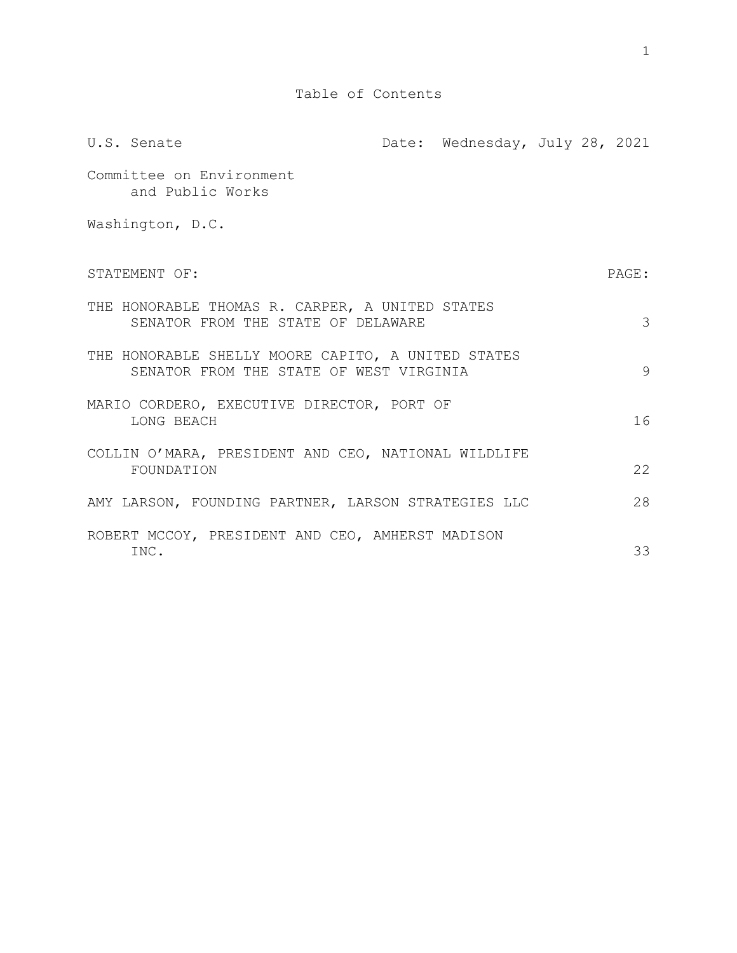| U.S. Senate                                                                                   | Date: Wednesday, July 28, 2021 |  |       |
|-----------------------------------------------------------------------------------------------|--------------------------------|--|-------|
| Committee on Environment<br>and Public Works                                                  |                                |  |       |
| Washington, D.C.                                                                              |                                |  |       |
| STATEMENT OF:                                                                                 |                                |  | PAGE: |
| THE HONORABLE THOMAS R. CARPER, A UNITED STATES<br>SENATOR FROM THE STATE OF DELAWARE         |                                |  | 3     |
| THE HONORABLE SHELLY MOORE CAPITO, A UNITED STATES<br>SENATOR FROM THE STATE OF WEST VIRGINIA |                                |  | 9     |
| MARIO CORDERO, EXECUTIVE DIRECTOR, PORT OF<br>LONG BEACH                                      |                                |  | 16    |
| COLLIN O'MARA, PRESIDENT AND CEO, NATIONAL WILDLIFE<br>FOUNDATION                             |                                |  | 22    |
| AMY LARSON, FOUNDING PARTNER, LARSON STRATEGIES LLC                                           |                                |  | 28    |
| ROBERT MCCOY, PRESIDENT AND CEO, AMHERST MADISON<br>INC.                                      |                                |  | 33    |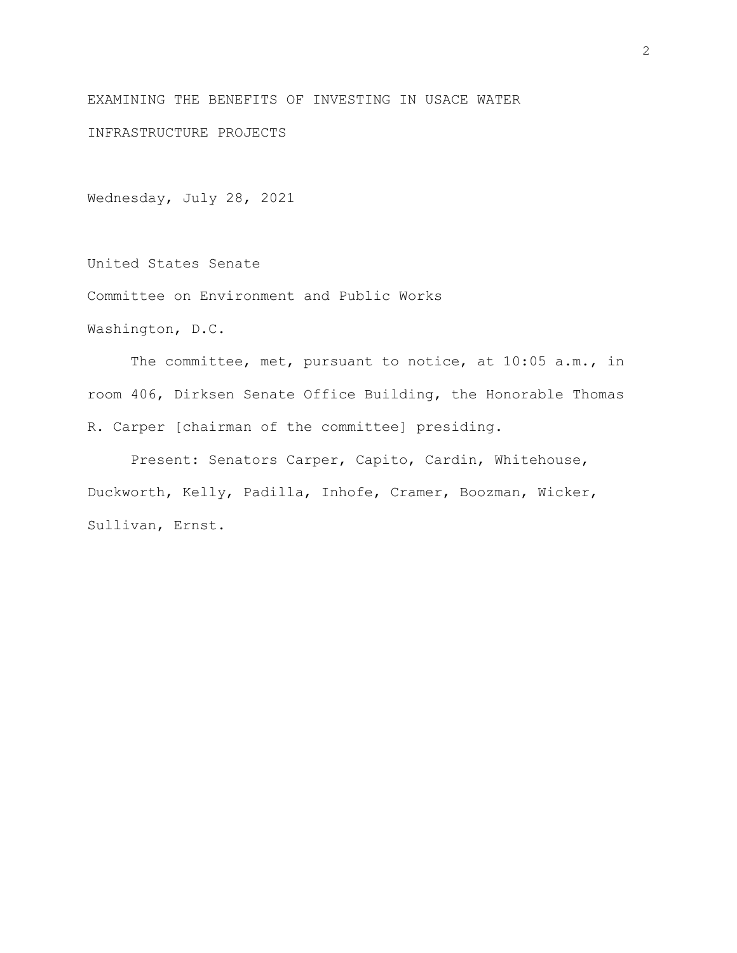EXAMINING THE BENEFITS OF INVESTING IN USACE WATER

INFRASTRUCTURE PROJECTS

Wednesday, July 28, 2021

United States Senate

Committee on Environment and Public Works

Washington, D.C.

The committee, met, pursuant to notice, at 10:05 a.m., in room 406, Dirksen Senate Office Building, the Honorable Thomas R. Carper [chairman of the committee] presiding.

Present: Senators Carper, Capito, Cardin, Whitehouse, Duckworth, Kelly, Padilla, Inhofe, Cramer, Boozman, Wicker, Sullivan, Ernst.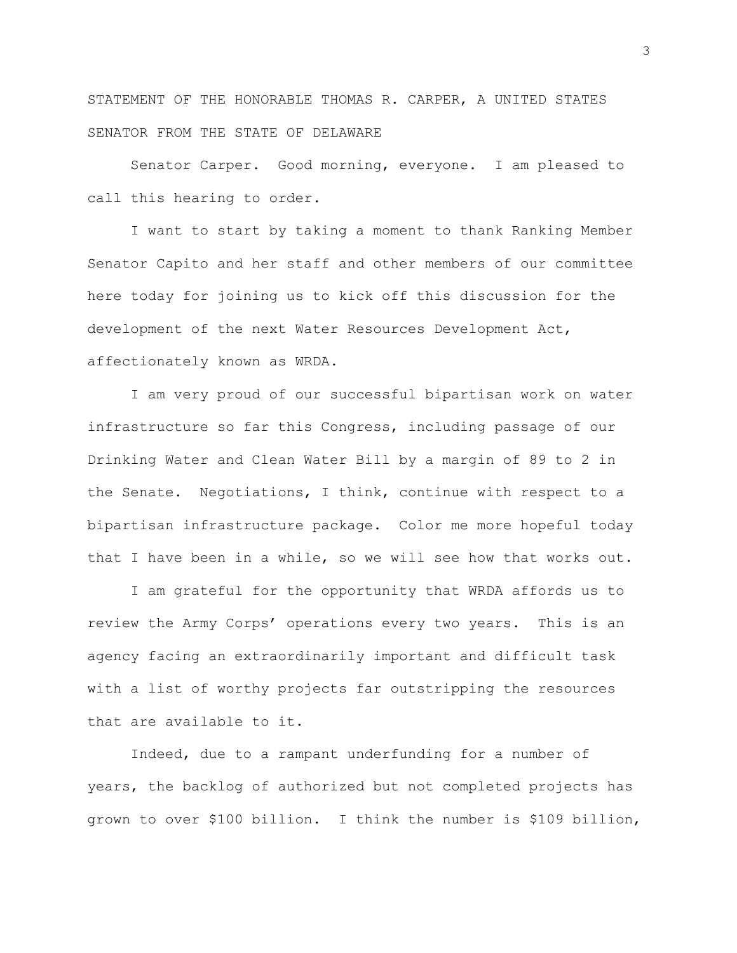STATEMENT OF THE HONORABLE THOMAS R. CARPER, A UNITED STATES SENATOR FROM THE STATE OF DELAWARE

Senator Carper. Good morning, everyone. I am pleased to call this hearing to order.

I want to start by taking a moment to thank Ranking Member Senator Capito and her staff and other members of our committee here today for joining us to kick off this discussion for the development of the next Water Resources Development Act, affectionately known as WRDA.

I am very proud of our successful bipartisan work on water infrastructure so far this Congress, including passage of our Drinking Water and Clean Water Bill by a margin of 89 to 2 in the Senate. Negotiations, I think, continue with respect to a bipartisan infrastructure package. Color me more hopeful today that I have been in a while, so we will see how that works out.

I am grateful for the opportunity that WRDA affords us to review the Army Corps' operations every two years. This is an agency facing an extraordinarily important and difficult task with a list of worthy projects far outstripping the resources that are available to it.

Indeed, due to a rampant underfunding for a number of years, the backlog of authorized but not completed projects has grown to over \$100 billion. I think the number is \$109 billion,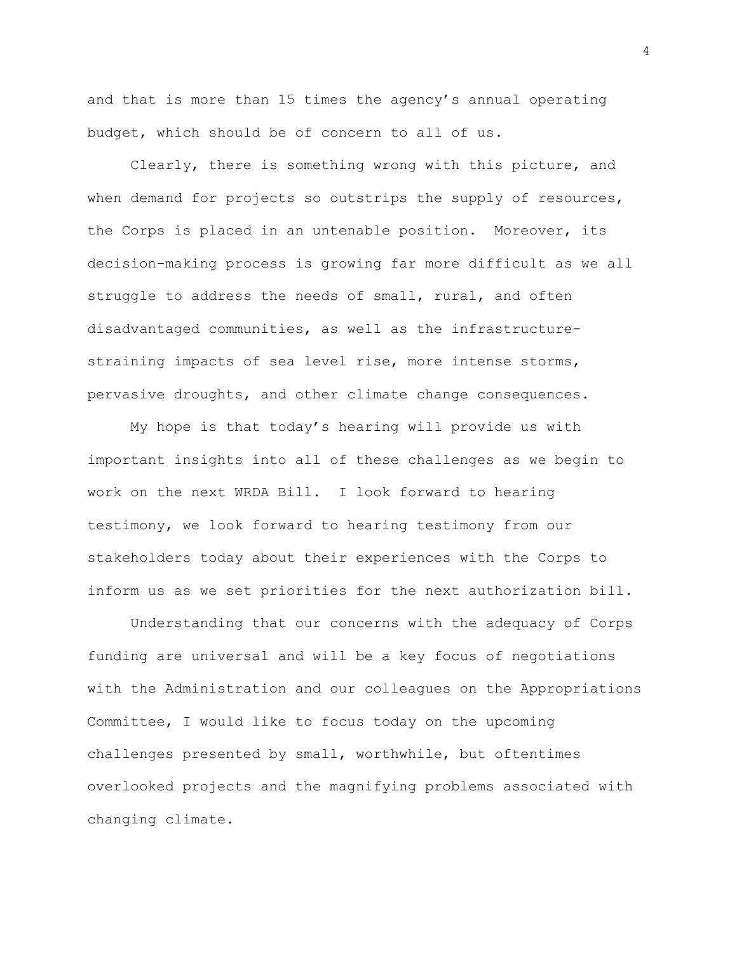and that is more than 15 times the agency's annual operating budget, which should be of concern to all of us.

Clearly, there is something wrong with this picture, and when demand for projects so outstrips the supply of resources, the Corps is placed in an untenable position. Moreover, its decision-making process is growing far more difficult as we all struggle to address the needs of small, rural, and often disadvantaged communities, as well as the infrastructurestraining impacts of sea level rise, more intense storms, pervasive droughts, and other climate change consequences.

My hope is that today's hearing will provide us with important insights into all of these challenges as we begin to work on the next WRDA Bill. I look forward to hearing testimony, we look forward to hearing testimony from our stakeholders today about their experiences with the Corps to inform us as we set priorities for the next authorization bill.

Understanding that our concerns with the adequacy of Corps funding are universal and will be a key focus of negotiations with the Administration and our colleagues on the Appropriations Committee, I would like to focus today on the upcoming challenges presented by small, worthwhile, but oftentimes overlooked projects and the magnifying problems associated with changing climate.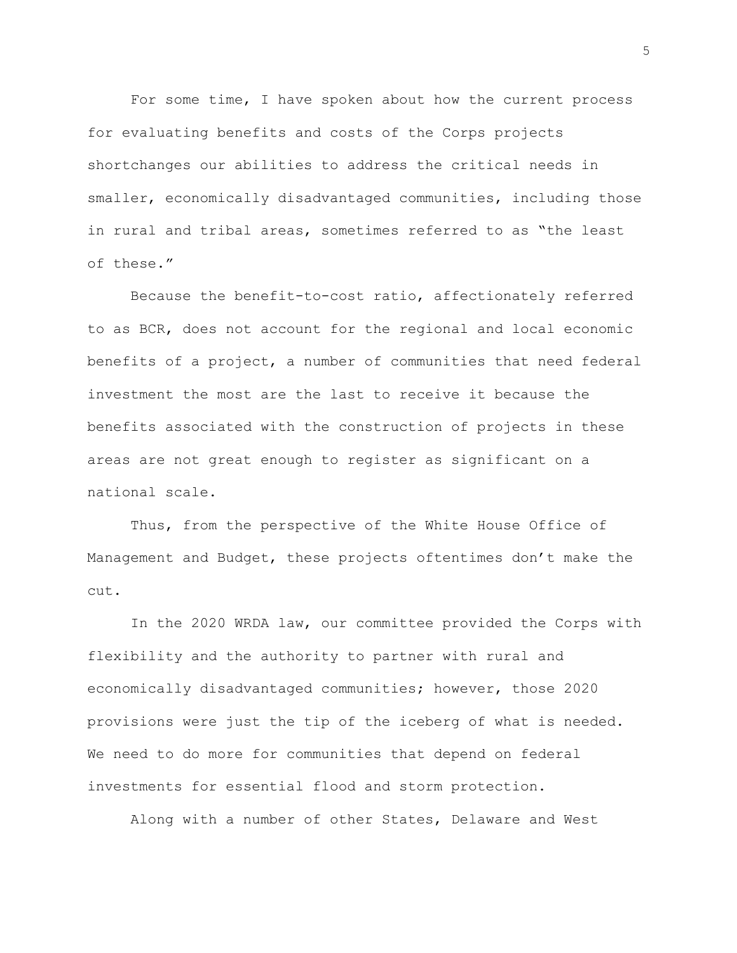For some time, I have spoken about how the current process for evaluating benefits and costs of the Corps projects shortchanges our abilities to address the critical needs in smaller, economically disadvantaged communities, including those in rural and tribal areas, sometimes referred to as "the least of these."

Because the benefit-to-cost ratio, affectionately referred to as BCR, does not account for the regional and local economic benefits of a project, a number of communities that need federal investment the most are the last to receive it because the benefits associated with the construction of projects in these areas are not great enough to register as significant on a national scale.

Thus, from the perspective of the White House Office of Management and Budget, these projects oftentimes don't make the cut.

In the 2020 WRDA law, our committee provided the Corps with flexibility and the authority to partner with rural and economically disadvantaged communities; however, those 2020 provisions were just the tip of the iceberg of what is needed. We need to do more for communities that depend on federal investments for essential flood and storm protection.

Along with a number of other States, Delaware and West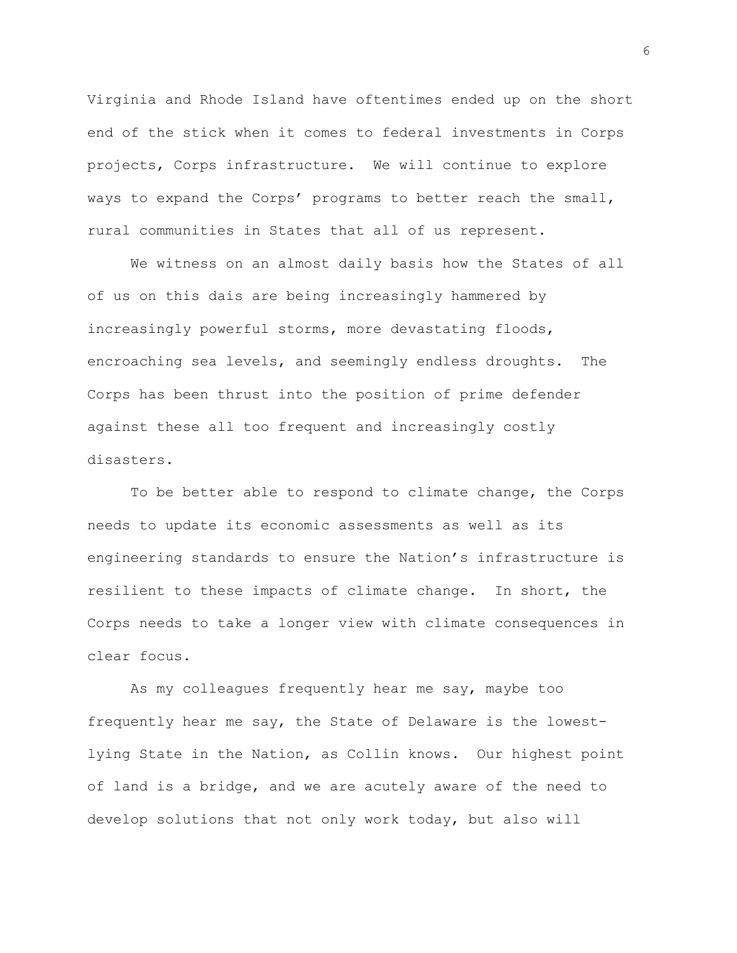Virginia and Rhode Island have oftentimes ended up on the short end of the stick when it comes to federal investments in Corps projects, Corps infrastructure. We will continue to explore ways to expand the Corps' programs to better reach the small, rural communities in States that all of us represent.

We witness on an almost daily basis how the States of all of us on this dais are being increasingly hammered by increasingly powerful storms, more devastating floods, encroaching sea levels, and seemingly endless droughts. The Corps has been thrust into the position of prime defender against these all too frequent and increasingly costly disasters.

To be better able to respond to climate change, the Corps needs to update its economic assessments as well as its engineering standards to ensure the Nation's infrastructure is resilient to these impacts of climate change. In short, the Corps needs to take a longer view with climate consequences in clear focus.

As my colleagues frequently hear me say, maybe too frequently hear me say, the State of Delaware is the lowestlying State in the Nation, as Collin knows. Our highest point of land is a bridge, and we are acutely aware of the need to develop solutions that not only work today, but also will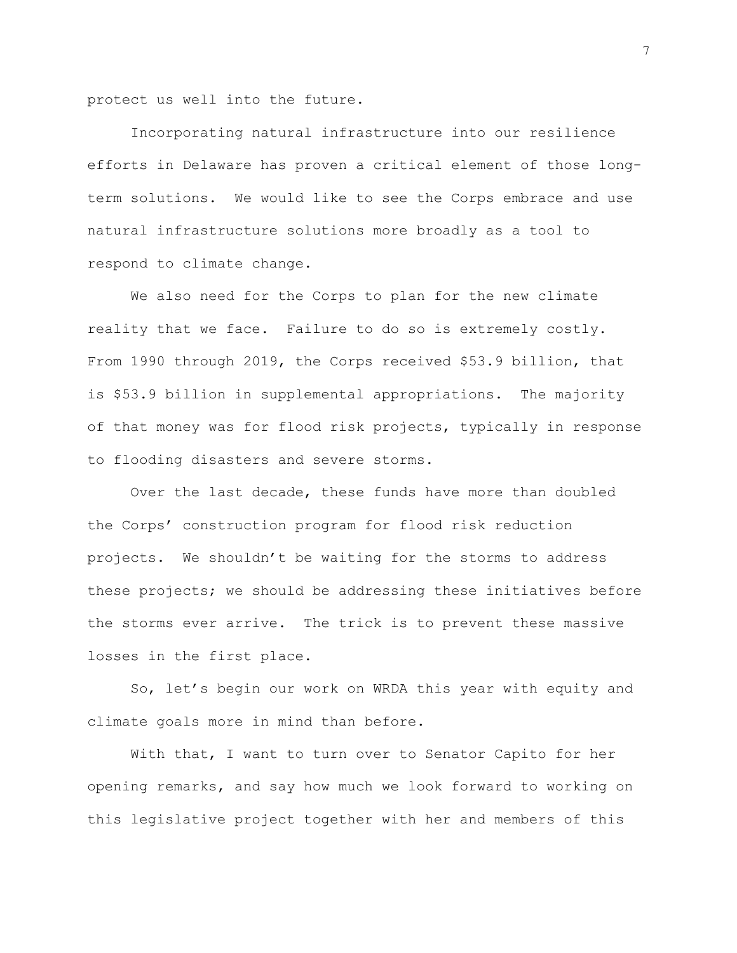protect us well into the future.

Incorporating natural infrastructure into our resilience efforts in Delaware has proven a critical element of those longterm solutions. We would like to see the Corps embrace and use natural infrastructure solutions more broadly as a tool to respond to climate change.

We also need for the Corps to plan for the new climate reality that we face. Failure to do so is extremely costly. From 1990 through 2019, the Corps received \$53.9 billion, that is \$53.9 billion in supplemental appropriations. The majority of that money was for flood risk projects, typically in response to flooding disasters and severe storms.

Over the last decade, these funds have more than doubled the Corps' construction program for flood risk reduction projects. We shouldn't be waiting for the storms to address these projects; we should be addressing these initiatives before the storms ever arrive. The trick is to prevent these massive losses in the first place.

So, let's begin our work on WRDA this year with equity and climate goals more in mind than before.

With that, I want to turn over to Senator Capito for her opening remarks, and say how much we look forward to working on this legislative project together with her and members of this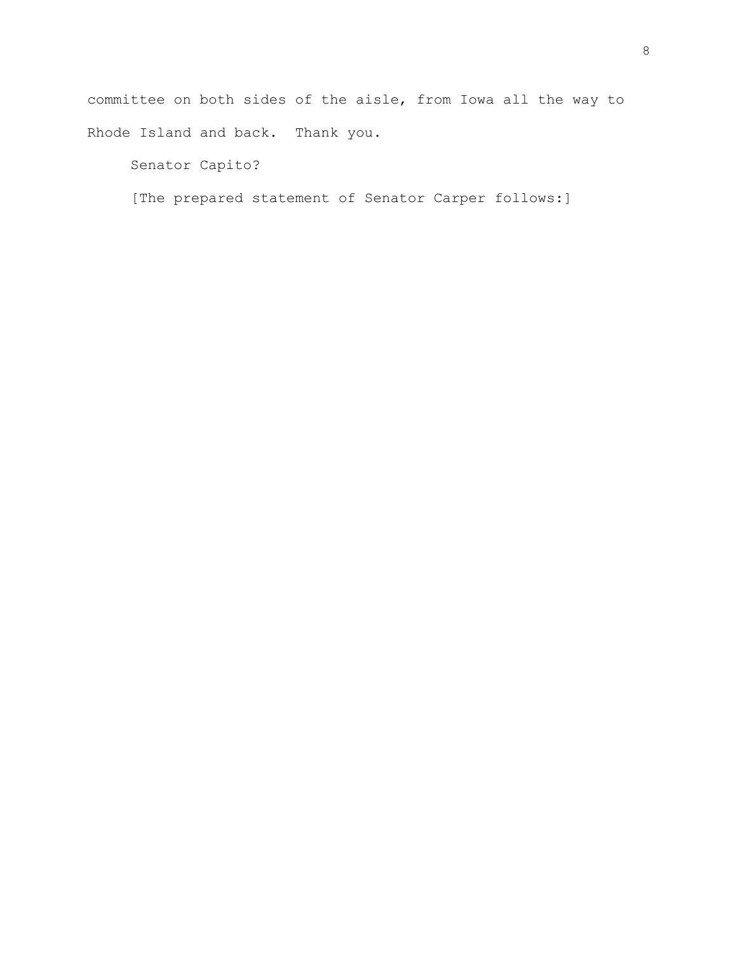committee on both sides of the aisle, from Iowa all the way to Rhode Island and back. Thank you.

Senator Capito?

[The prepared statement of Senator Carper follows:]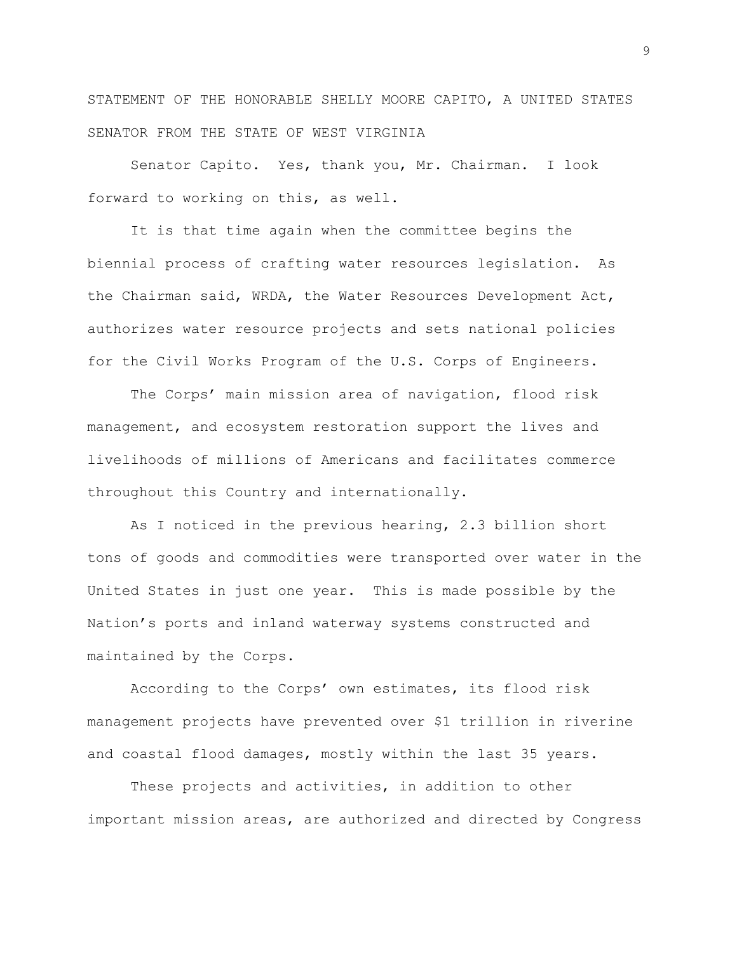STATEMENT OF THE HONORABLE SHELLY MOORE CAPITO, A UNITED STATES SENATOR FROM THE STATE OF WEST VIRGINIA

Senator Capito. Yes, thank you, Mr. Chairman. I look forward to working on this, as well.

It is that time again when the committee begins the biennial process of crafting water resources legislation. As the Chairman said, WRDA, the Water Resources Development Act, authorizes water resource projects and sets national policies for the Civil Works Program of the U.S. Corps of Engineers.

The Corps' main mission area of navigation, flood risk management, and ecosystem restoration support the lives and livelihoods of millions of Americans and facilitates commerce throughout this Country and internationally.

As I noticed in the previous hearing, 2.3 billion short tons of goods and commodities were transported over water in the United States in just one year. This is made possible by the Nation's ports and inland waterway systems constructed and maintained by the Corps.

According to the Corps' own estimates, its flood risk management projects have prevented over \$1 trillion in riverine and coastal flood damages, mostly within the last 35 years.

These projects and activities, in addition to other important mission areas, are authorized and directed by Congress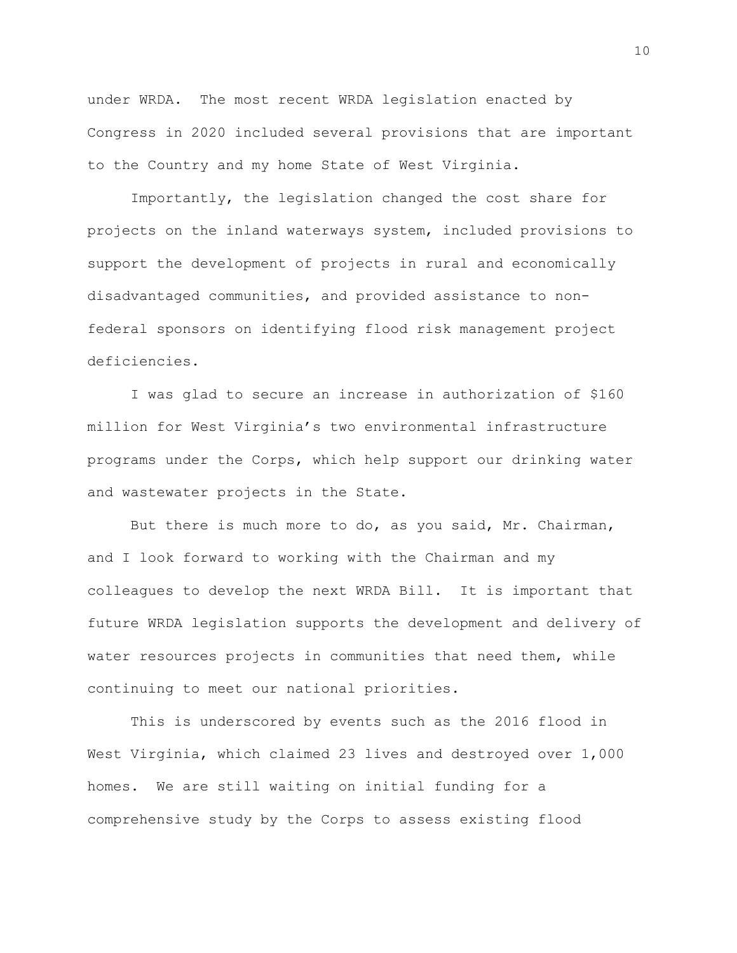under WRDA. The most recent WRDA legislation enacted by Congress in 2020 included several provisions that are important to the Country and my home State of West Virginia.

Importantly, the legislation changed the cost share for projects on the inland waterways system, included provisions to support the development of projects in rural and economically disadvantaged communities, and provided assistance to nonfederal sponsors on identifying flood risk management project deficiencies.

I was glad to secure an increase in authorization of \$160 million for West Virginia's two environmental infrastructure programs under the Corps, which help support our drinking water and wastewater projects in the State.

But there is much more to do, as you said, Mr. Chairman, and I look forward to working with the Chairman and my colleagues to develop the next WRDA Bill. It is important that future WRDA legislation supports the development and delivery of water resources projects in communities that need them, while continuing to meet our national priorities.

This is underscored by events such as the 2016 flood in West Virginia, which claimed 23 lives and destroyed over 1,000 homes. We are still waiting on initial funding for a comprehensive study by the Corps to assess existing flood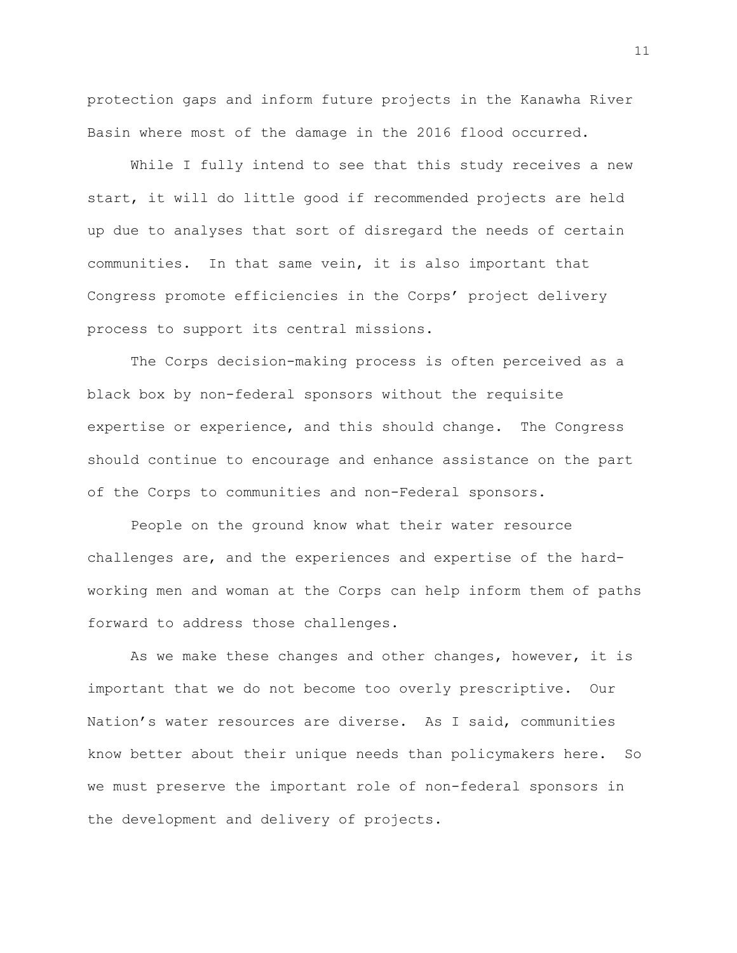protection gaps and inform future projects in the Kanawha River Basin where most of the damage in the 2016 flood occurred.

While I fully intend to see that this study receives a new start, it will do little good if recommended projects are held up due to analyses that sort of disregard the needs of certain communities. In that same vein, it is also important that Congress promote efficiencies in the Corps' project delivery process to support its central missions.

The Corps decision-making process is often perceived as a black box by non-federal sponsors without the requisite expertise or experience, and this should change. The Congress should continue to encourage and enhance assistance on the part of the Corps to communities and non-Federal sponsors.

People on the ground know what their water resource challenges are, and the experiences and expertise of the hardworking men and woman at the Corps can help inform them of paths forward to address those challenges.

As we make these changes and other changes, however, it is important that we do not become too overly prescriptive. Our Nation's water resources are diverse. As I said, communities know better about their unique needs than policymakers here. So we must preserve the important role of non-federal sponsors in the development and delivery of projects.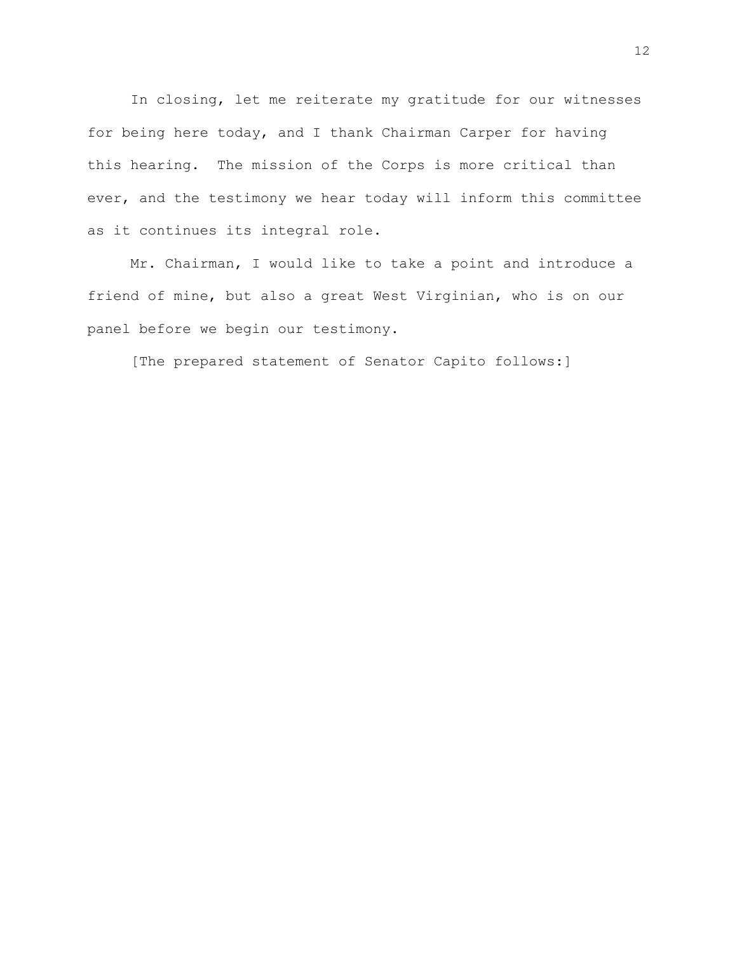In closing, let me reiterate my gratitude for our witnesses for being here today, and I thank Chairman Carper for having this hearing. The mission of the Corps is more critical than ever, and the testimony we hear today will inform this committee as it continues its integral role.

Mr. Chairman, I would like to take a point and introduce a friend of mine, but also a great West Virginian, who is on our panel before we begin our testimony.

[The prepared statement of Senator Capito follows:]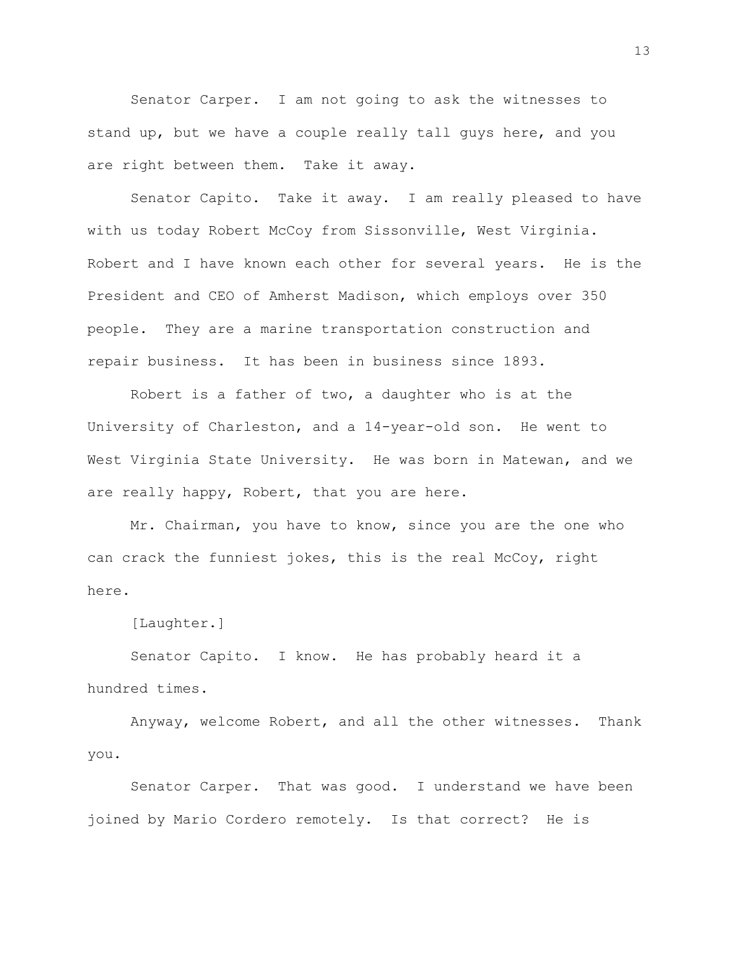Senator Carper. I am not going to ask the witnesses to stand up, but we have a couple really tall guys here, and you are right between them. Take it away.

Senator Capito. Take it away. I am really pleased to have with us today Robert McCoy from Sissonville, West Virginia. Robert and I have known each other for several years. He is the President and CEO of Amherst Madison, which employs over 350 people. They are a marine transportation construction and repair business. It has been in business since 1893.

Robert is a father of two, a daughter who is at the University of Charleston, and a 14-year-old son. He went to West Virginia State University. He was born in Matewan, and we are really happy, Robert, that you are here.

Mr. Chairman, you have to know, since you are the one who can crack the funniest jokes, this is the real McCoy, right here.

[Laughter.]

Senator Capito. I know. He has probably heard it a hundred times.

Anyway, welcome Robert, and all the other witnesses. Thank you.

Senator Carper. That was good. I understand we have been joined by Mario Cordero remotely. Is that correct? He is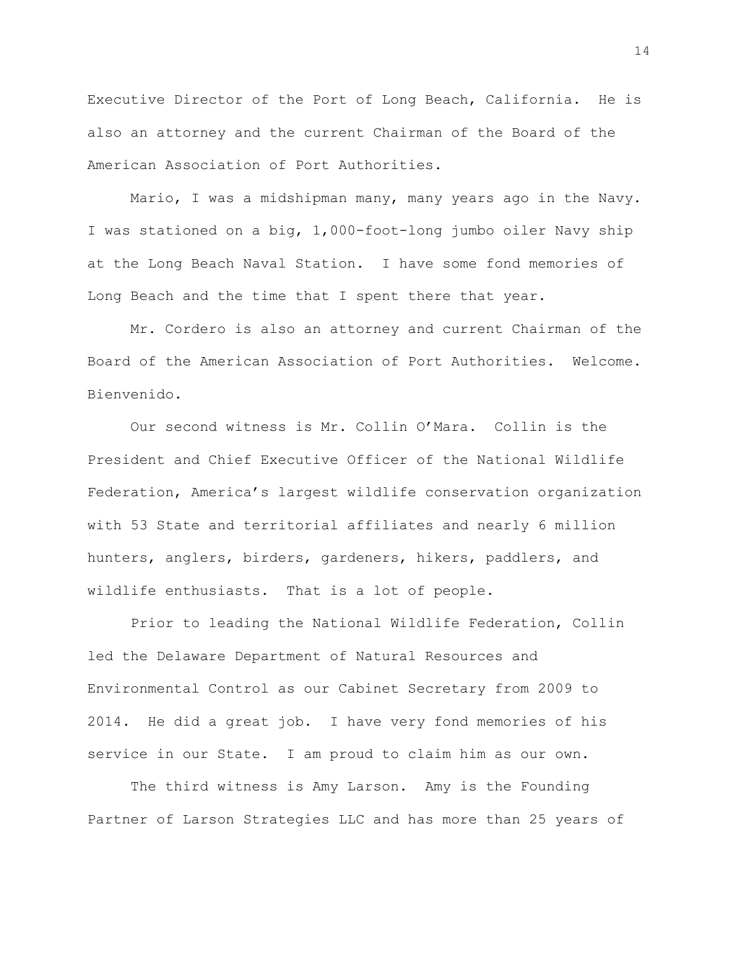Executive Director of the Port of Long Beach, California. He is also an attorney and the current Chairman of the Board of the American Association of Port Authorities.

Mario, I was a midshipman many, many years ago in the Navy. I was stationed on a big, 1,000-foot-long jumbo oiler Navy ship at the Long Beach Naval Station. I have some fond memories of Long Beach and the time that I spent there that year.

Mr. Cordero is also an attorney and current Chairman of the Board of the American Association of Port Authorities. Welcome. Bienvenido.

Our second witness is Mr. Collin O'Mara. Collin is the President and Chief Executive Officer of the National Wildlife Federation, America's largest wildlife conservation organization with 53 State and territorial affiliates and nearly 6 million hunters, anglers, birders, gardeners, hikers, paddlers, and wildlife enthusiasts. That is a lot of people.

Prior to leading the National Wildlife Federation, Collin led the Delaware Department of Natural Resources and Environmental Control as our Cabinet Secretary from 2009 to 2014. He did a great job. I have very fond memories of his service in our State. I am proud to claim him as our own.

The third witness is Amy Larson. Amy is the Founding Partner of Larson Strategies LLC and has more than 25 years of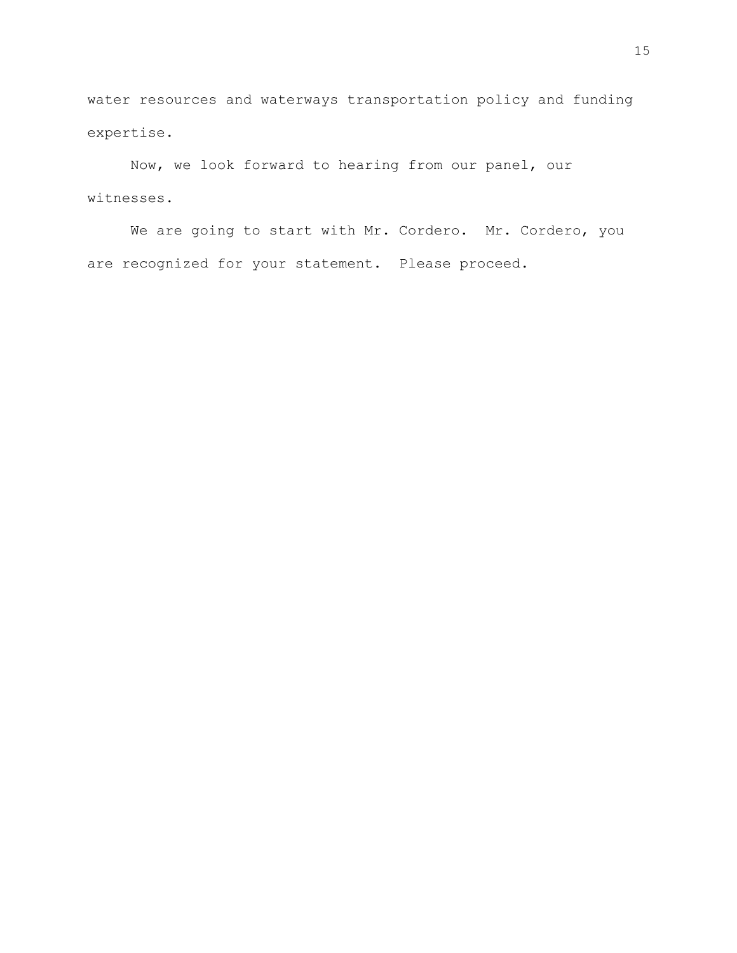water resources and waterways transportation policy and funding expertise.

Now, we look forward to hearing from our panel, our witnesses.

We are going to start with Mr. Cordero. Mr. Cordero, you are recognized for your statement. Please proceed.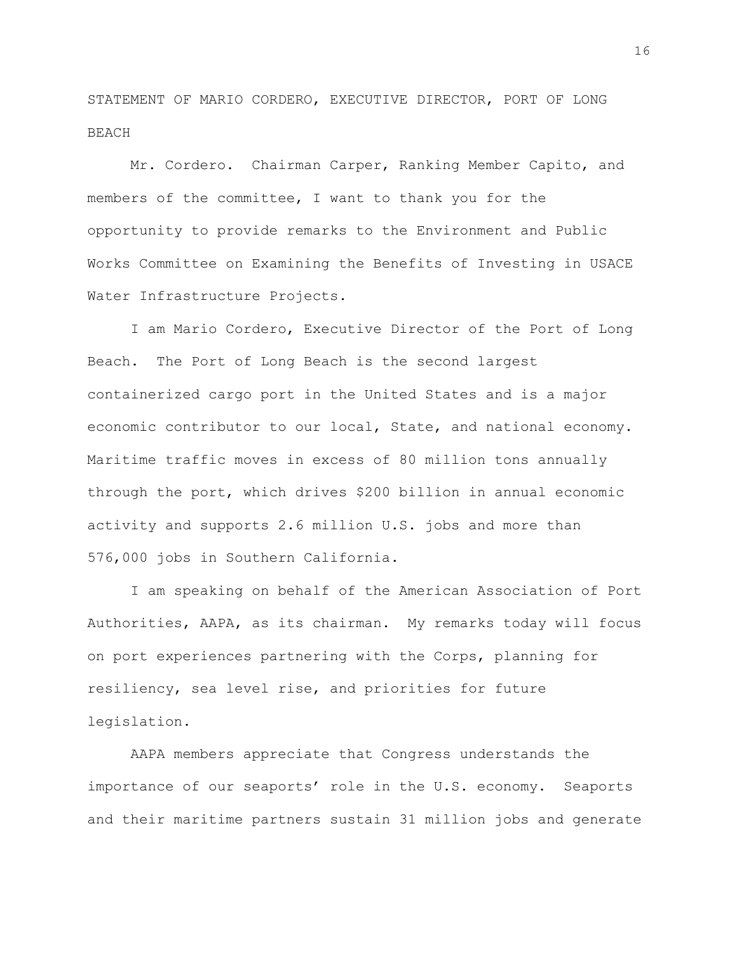STATEMENT OF MARIO CORDERO, EXECUTIVE DIRECTOR, PORT OF LONG BEACH

Mr. Cordero. Chairman Carper, Ranking Member Capito, and members of the committee, I want to thank you for the opportunity to provide remarks to the Environment and Public Works Committee on Examining the Benefits of Investing in USACE Water Infrastructure Projects.

I am Mario Cordero, Executive Director of the Port of Long Beach. The Port of Long Beach is the second largest containerized cargo port in the United States and is a major economic contributor to our local, State, and national economy. Maritime traffic moves in excess of 80 million tons annually through the port, which drives \$200 billion in annual economic activity and supports 2.6 million U.S. jobs and more than 576,000 jobs in Southern California.

I am speaking on behalf of the American Association of Port Authorities, AAPA, as its chairman. My remarks today will focus on port experiences partnering with the Corps, planning for resiliency, sea level rise, and priorities for future legislation.

AAPA members appreciate that Congress understands the importance of our seaports' role in the U.S. economy. Seaports and their maritime partners sustain 31 million jobs and generate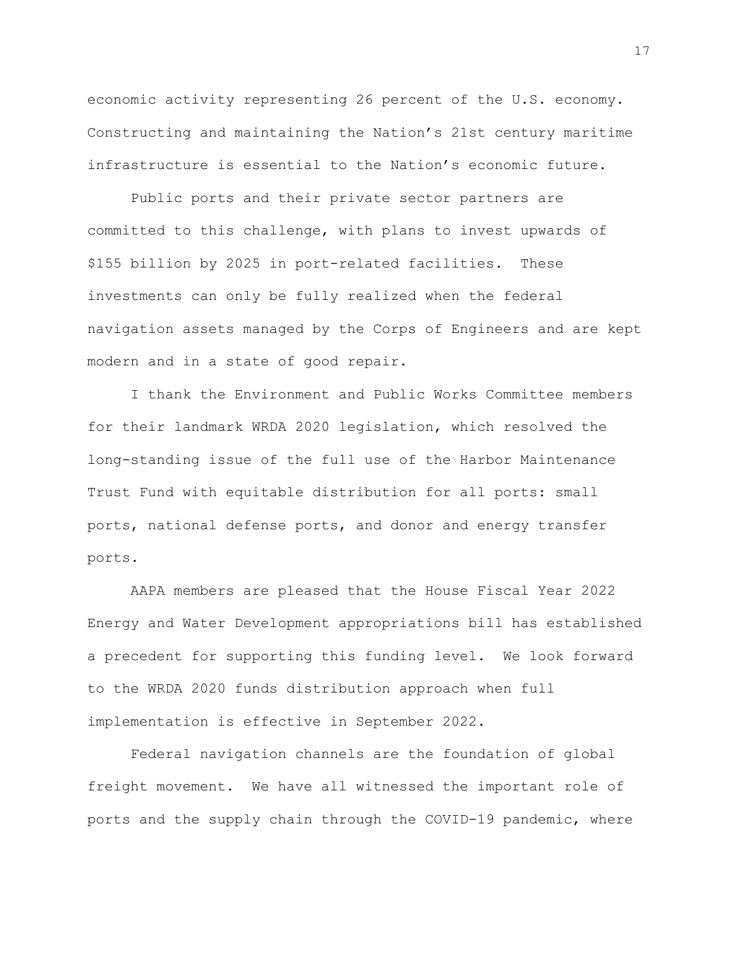economic activity representing 26 percent of the U.S. economy. Constructing and maintaining the Nation's 21st century maritime infrastructure is essential to the Nation's economic future.

Public ports and their private sector partners are committed to this challenge, with plans to invest upwards of \$155 billion by 2025 in port-related facilities. These investments can only be fully realized when the federal navigation assets managed by the Corps of Engineers and are kept modern and in a state of good repair.

I thank the Environment and Public Works Committee members for their landmark WRDA 2020 legislation, which resolved the long-standing issue of the full use of the Harbor Maintenance Trust Fund with equitable distribution for all ports: small ports, national defense ports, and donor and energy transfer ports.

AAPA members are pleased that the House Fiscal Year 2022 Energy and Water Development appropriations bill has established a precedent for supporting this funding level. We look forward to the WRDA 2020 funds distribution approach when full implementation is effective in September 2022.

Federal navigation channels are the foundation of global freight movement. We have all witnessed the important role of ports and the supply chain through the COVID-19 pandemic, where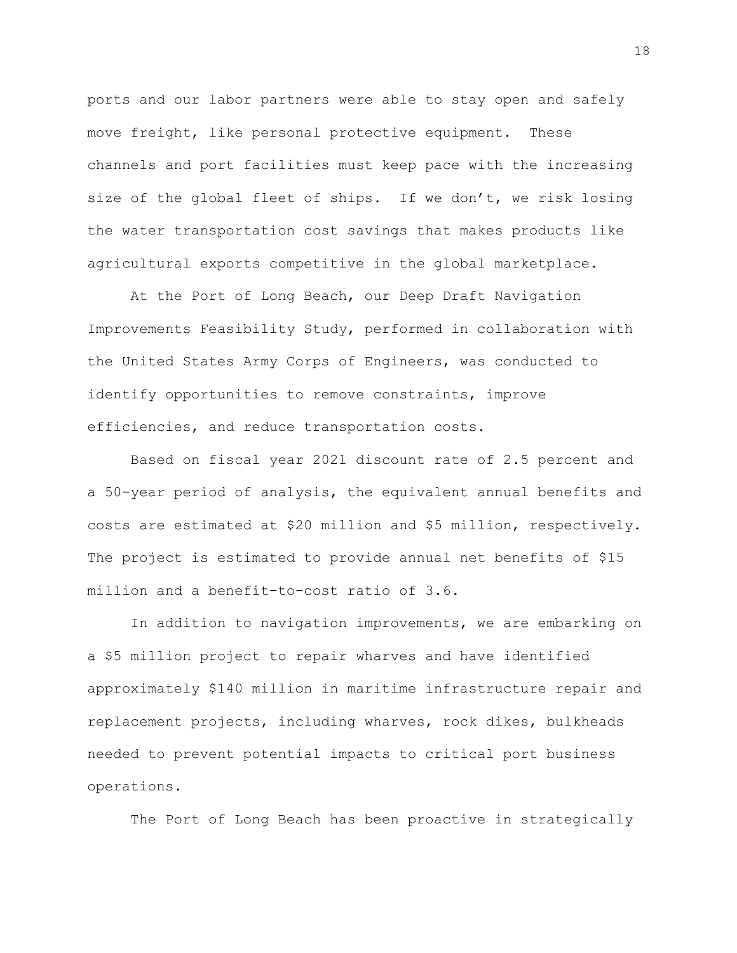ports and our labor partners were able to stay open and safely move freight, like personal protective equipment. These channels and port facilities must keep pace with the increasing size of the global fleet of ships. If we don't, we risk losing the water transportation cost savings that makes products like agricultural exports competitive in the global marketplace.

At the Port of Long Beach, our Deep Draft Navigation Improvements Feasibility Study, performed in collaboration with the United States Army Corps of Engineers, was conducted to identify opportunities to remove constraints, improve efficiencies, and reduce transportation costs.

Based on fiscal year 2021 discount rate of 2.5 percent and a 50-year period of analysis, the equivalent annual benefits and costs are estimated at \$20 million and \$5 million, respectively. The project is estimated to provide annual net benefits of \$15 million and a benefit-to-cost ratio of 3.6.

In addition to navigation improvements, we are embarking on a \$5 million project to repair wharves and have identified approximately \$140 million in maritime infrastructure repair and replacement projects, including wharves, rock dikes, bulkheads needed to prevent potential impacts to critical port business operations.

The Port of Long Beach has been proactive in strategically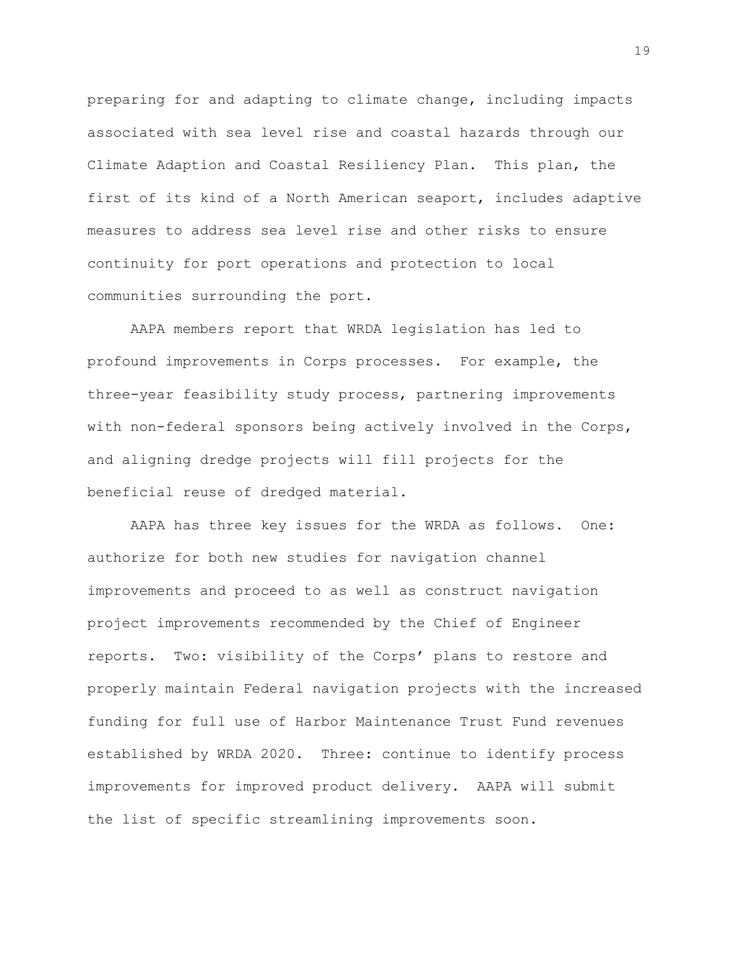preparing for and adapting to climate change, including impacts associated with sea level rise and coastal hazards through our Climate Adaption and Coastal Resiliency Plan. This plan, the first of its kind of a North American seaport, includes adaptive measures to address sea level rise and other risks to ensure continuity for port operations and protection to local communities surrounding the port.

AAPA members report that WRDA legislation has led to profound improvements in Corps processes. For example, the three-year feasibility study process, partnering improvements with non-federal sponsors being actively involved in the Corps, and aligning dredge projects will fill projects for the beneficial reuse of dredged material.

AAPA has three key issues for the WRDA as follows. One: authorize for both new studies for navigation channel improvements and proceed to as well as construct navigation project improvements recommended by the Chief of Engineer reports. Two: visibility of the Corps' plans to restore and properly maintain Federal navigation projects with the increased funding for full use of Harbor Maintenance Trust Fund revenues established by WRDA 2020. Three: continue to identify process improvements for improved product delivery. AAPA will submit the list of specific streamlining improvements soon.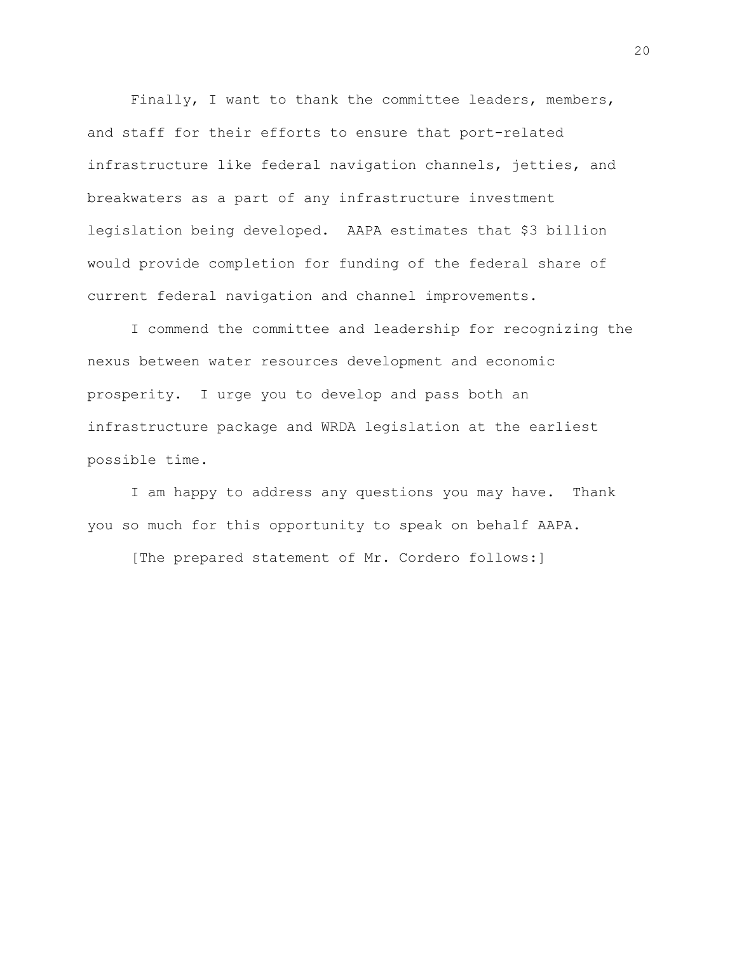Finally, I want to thank the committee leaders, members, and staff for their efforts to ensure that port-related infrastructure like federal navigation channels, jetties, and breakwaters as a part of any infrastructure investment legislation being developed. AAPA estimates that \$3 billion would provide completion for funding of the federal share of current federal navigation and channel improvements.

I commend the committee and leadership for recognizing the nexus between water resources development and economic prosperity. I urge you to develop and pass both an infrastructure package and WRDA legislation at the earliest possible time.

I am happy to address any questions you may have. Thank you so much for this opportunity to speak on behalf AAPA.

[The prepared statement of Mr. Cordero follows:]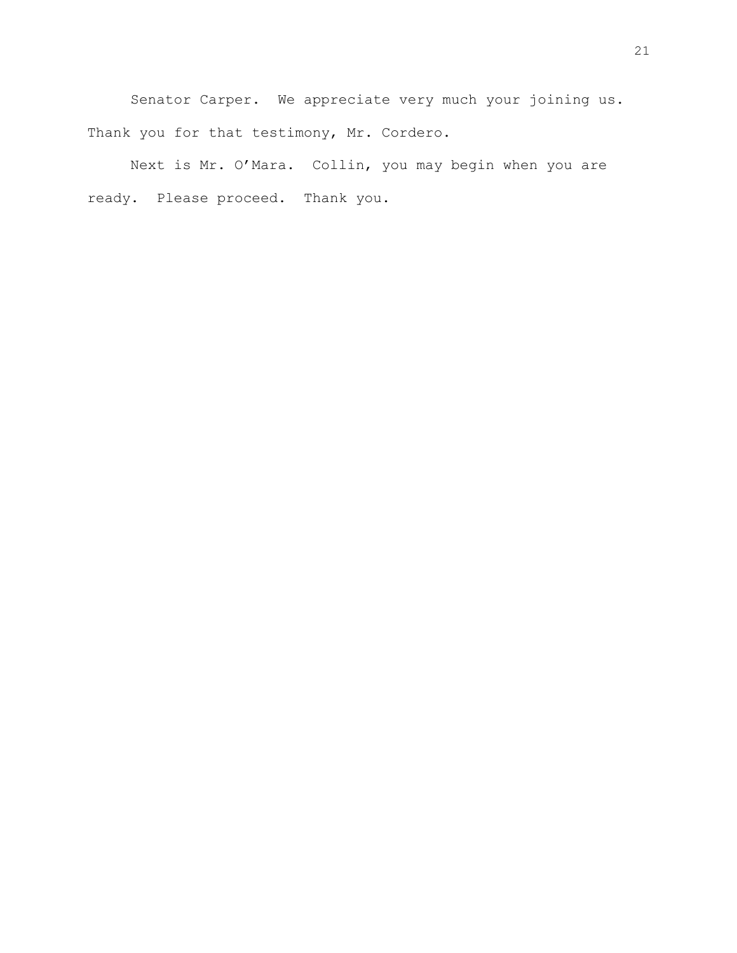Senator Carper. We appreciate very much your joining us. Thank you for that testimony, Mr. Cordero.

Next is Mr. O'Mara. Collin, you may begin when you are ready. Please proceed. Thank you.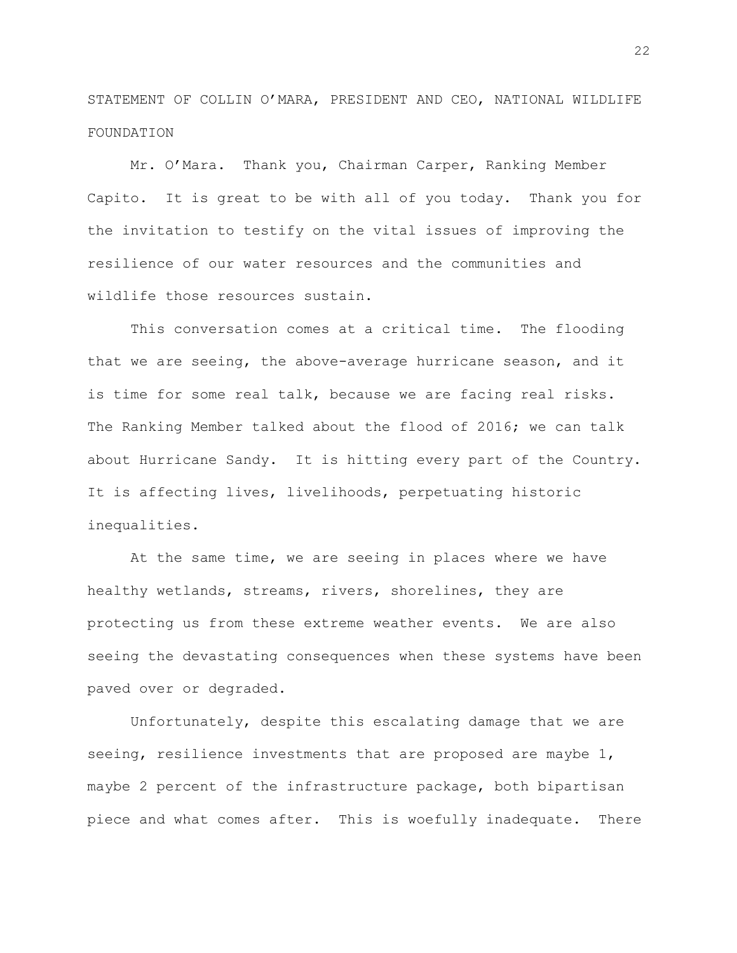STATEMENT OF COLLIN O'MARA, PRESIDENT AND CEO, NATIONAL WILDLIFE FOUNDATION

Mr. O'Mara. Thank you, Chairman Carper, Ranking Member Capito. It is great to be with all of you today. Thank you for the invitation to testify on the vital issues of improving the resilience of our water resources and the communities and wildlife those resources sustain.

This conversation comes at a critical time. The flooding that we are seeing, the above-average hurricane season, and it is time for some real talk, because we are facing real risks. The Ranking Member talked about the flood of 2016; we can talk about Hurricane Sandy. It is hitting every part of the Country. It is affecting lives, livelihoods, perpetuating historic inequalities.

At the same time, we are seeing in places where we have healthy wetlands, streams, rivers, shorelines, they are protecting us from these extreme weather events. We are also seeing the devastating consequences when these systems have been paved over or degraded.

Unfortunately, despite this escalating damage that we are seeing, resilience investments that are proposed are maybe 1, maybe 2 percent of the infrastructure package, both bipartisan piece and what comes after. This is woefully inadequate. There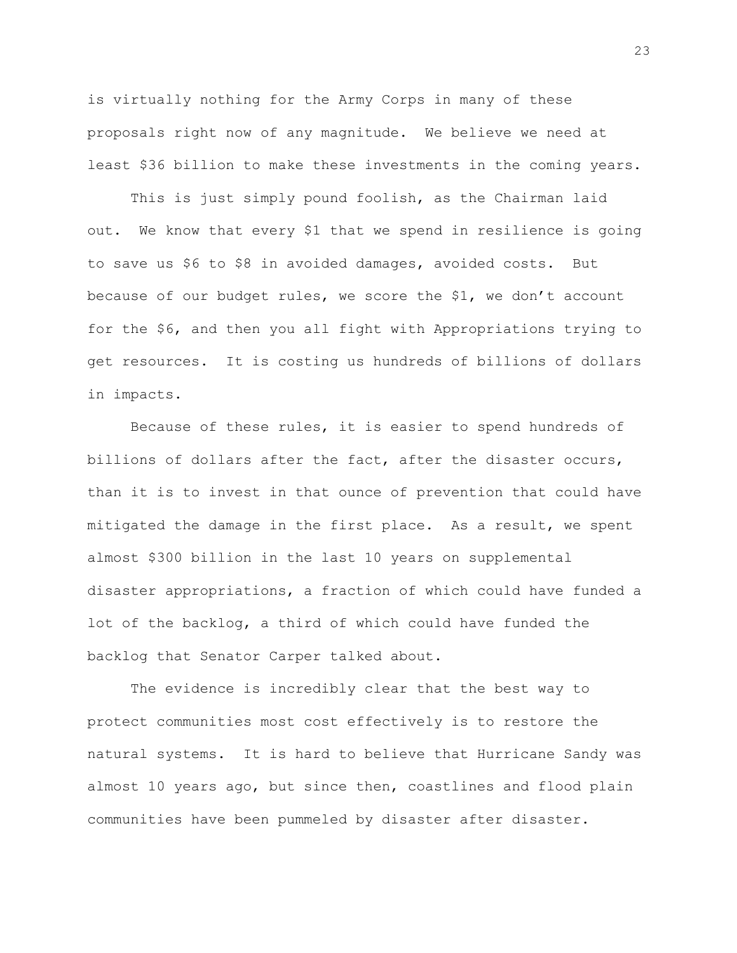is virtually nothing for the Army Corps in many of these proposals right now of any magnitude. We believe we need at least \$36 billion to make these investments in the coming years.

This is just simply pound foolish, as the Chairman laid out. We know that every \$1 that we spend in resilience is going to save us \$6 to \$8 in avoided damages, avoided costs. But because of our budget rules, we score the \$1, we don't account for the \$6, and then you all fight with Appropriations trying to get resources. It is costing us hundreds of billions of dollars in impacts.

Because of these rules, it is easier to spend hundreds of billions of dollars after the fact, after the disaster occurs, than it is to invest in that ounce of prevention that could have mitigated the damage in the first place. As a result, we spent almost \$300 billion in the last 10 years on supplemental disaster appropriations, a fraction of which could have funded a lot of the backlog, a third of which could have funded the backlog that Senator Carper talked about.

The evidence is incredibly clear that the best way to protect communities most cost effectively is to restore the natural systems. It is hard to believe that Hurricane Sandy was almost 10 years ago, but since then, coastlines and flood plain communities have been pummeled by disaster after disaster.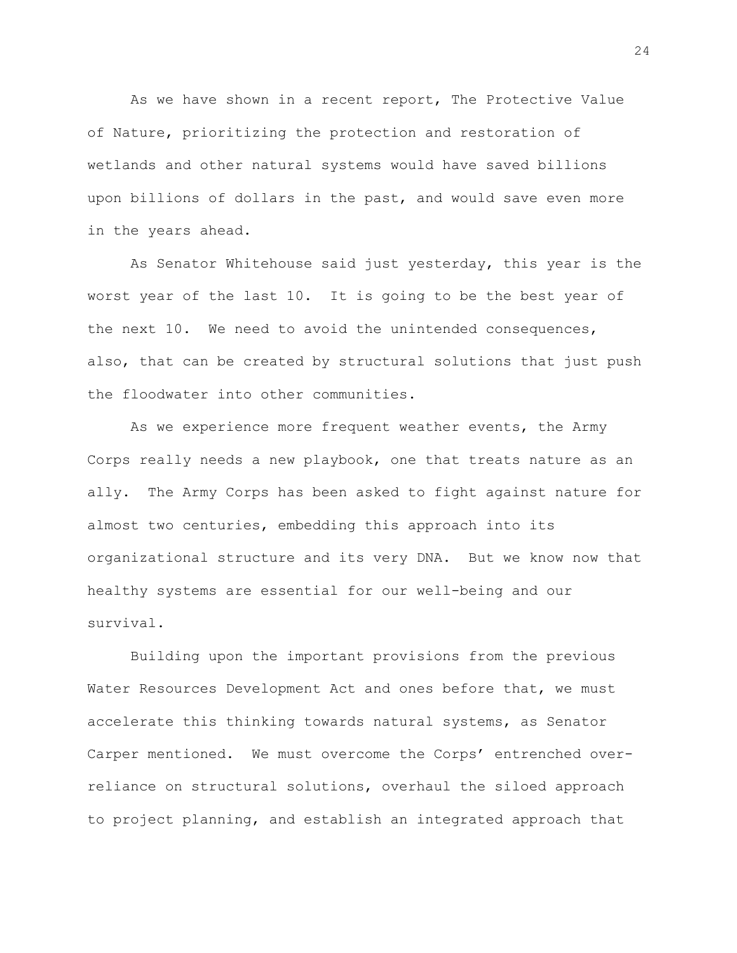As we have shown in a recent report, The Protective Value of Nature, prioritizing the protection and restoration of wetlands and other natural systems would have saved billions upon billions of dollars in the past, and would save even more in the years ahead.

As Senator Whitehouse said just yesterday, this year is the worst year of the last 10. It is going to be the best year of the next 10. We need to avoid the unintended consequences, also, that can be created by structural solutions that just push the floodwater into other communities.

As we experience more frequent weather events, the Army Corps really needs a new playbook, one that treats nature as an ally. The Army Corps has been asked to fight against nature for almost two centuries, embedding this approach into its organizational structure and its very DNA. But we know now that healthy systems are essential for our well-being and our survival.

Building upon the important provisions from the previous Water Resources Development Act and ones before that, we must accelerate this thinking towards natural systems, as Senator Carper mentioned. We must overcome the Corps' entrenched overreliance on structural solutions, overhaul the siloed approach to project planning, and establish an integrated approach that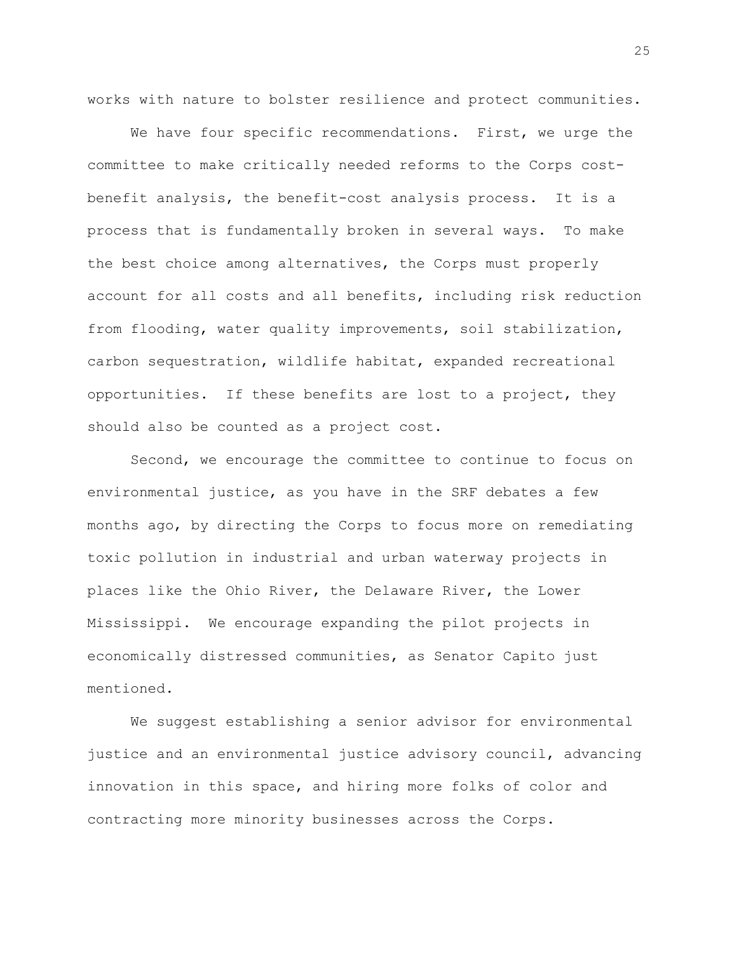works with nature to bolster resilience and protect communities.

We have four specific recommendations. First, we urge the committee to make critically needed reforms to the Corps costbenefit analysis, the benefit-cost analysis process. It is a process that is fundamentally broken in several ways. To make the best choice among alternatives, the Corps must properly account for all costs and all benefits, including risk reduction from flooding, water quality improvements, soil stabilization, carbon sequestration, wildlife habitat, expanded recreational opportunities. If these benefits are lost to a project, they should also be counted as a project cost.

Second, we encourage the committee to continue to focus on environmental justice, as you have in the SRF debates a few months ago, by directing the Corps to focus more on remediating toxic pollution in industrial and urban waterway projects in places like the Ohio River, the Delaware River, the Lower Mississippi. We encourage expanding the pilot projects in economically distressed communities, as Senator Capito just mentioned.

We suggest establishing a senior advisor for environmental justice and an environmental justice advisory council, advancing innovation in this space, and hiring more folks of color and contracting more minority businesses across the Corps.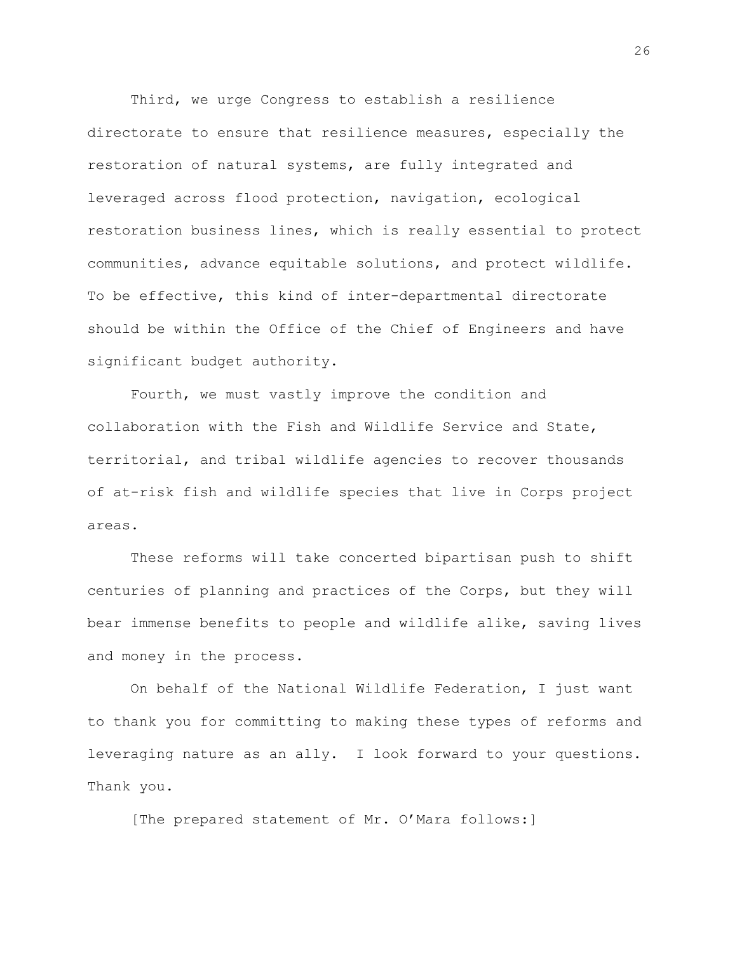Third, we urge Congress to establish a resilience directorate to ensure that resilience measures, especially the restoration of natural systems, are fully integrated and leveraged across flood protection, navigation, ecological restoration business lines, which is really essential to protect communities, advance equitable solutions, and protect wildlife. To be effective, this kind of inter-departmental directorate should be within the Office of the Chief of Engineers and have significant budget authority.

Fourth, we must vastly improve the condition and collaboration with the Fish and Wildlife Service and State, territorial, and tribal wildlife agencies to recover thousands of at-risk fish and wildlife species that live in Corps project areas.

These reforms will take concerted bipartisan push to shift centuries of planning and practices of the Corps, but they will bear immense benefits to people and wildlife alike, saving lives and money in the process.

On behalf of the National Wildlife Federation, I just want to thank you for committing to making these types of reforms and leveraging nature as an ally. I look forward to your questions. Thank you.

[The prepared statement of Mr. O'Mara follows:]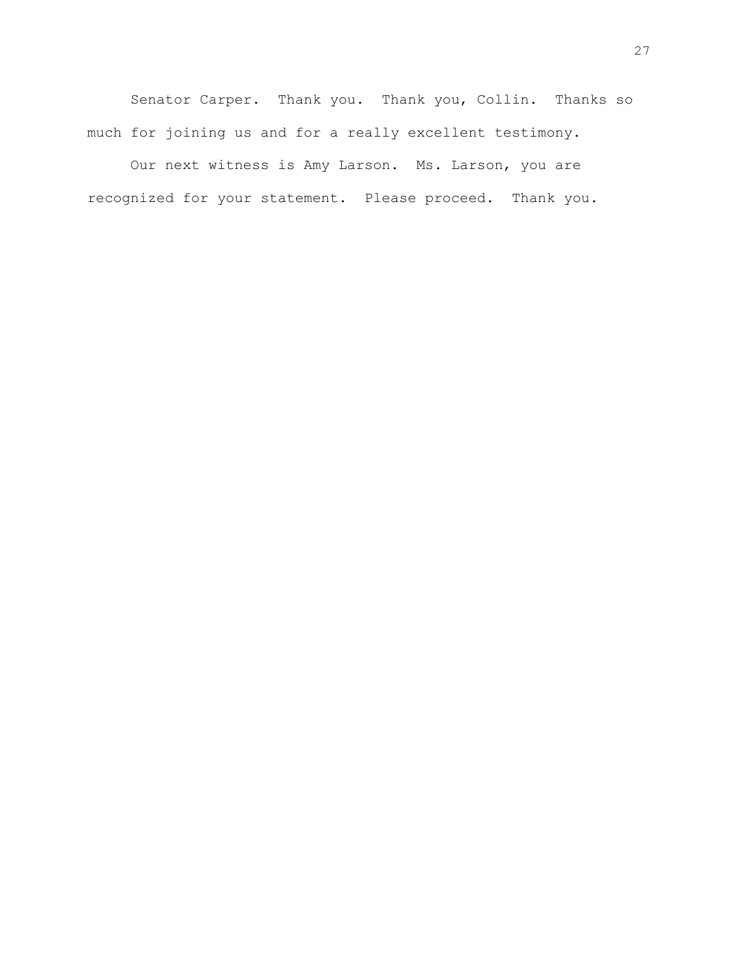Senator Carper. Thank you. Thank you, Collin. Thanks so much for joining us and for a really excellent testimony.

Our next witness is Amy Larson. Ms. Larson, you are recognized for your statement. Please proceed. Thank you.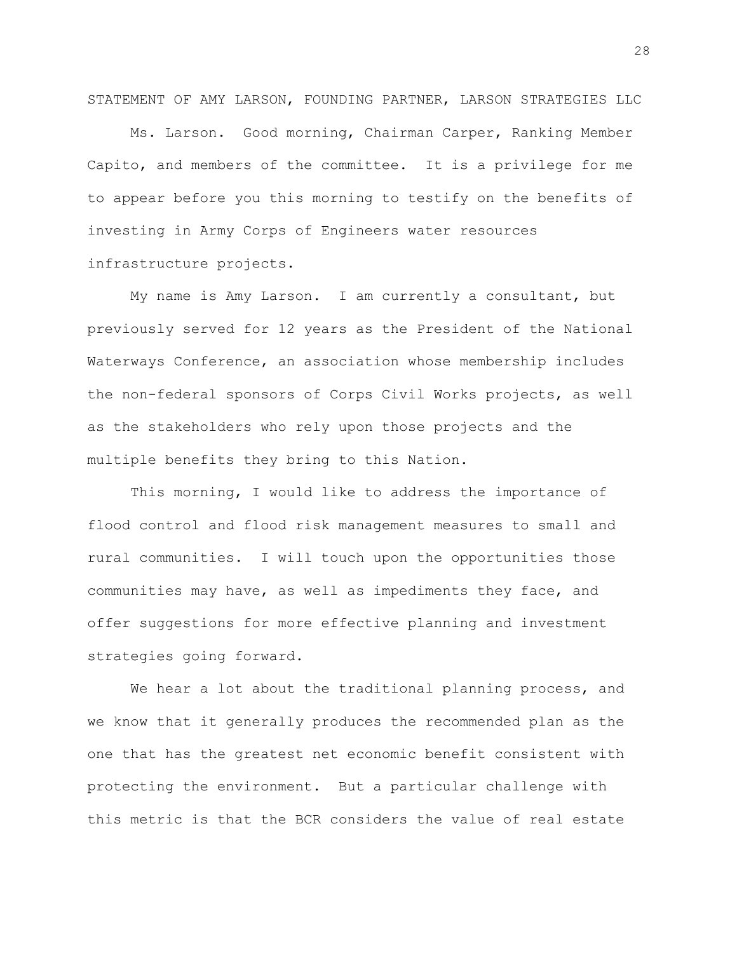STATEMENT OF AMY LARSON, FOUNDING PARTNER, LARSON STRATEGIES LLC

Ms. Larson. Good morning, Chairman Carper, Ranking Member Capito, and members of the committee. It is a privilege for me to appear before you this morning to testify on the benefits of investing in Army Corps of Engineers water resources infrastructure projects.

My name is Amy Larson. I am currently a consultant, but previously served for 12 years as the President of the National Waterways Conference, an association whose membership includes the non-federal sponsors of Corps Civil Works projects, as well as the stakeholders who rely upon those projects and the multiple benefits they bring to this Nation.

This morning, I would like to address the importance of flood control and flood risk management measures to small and rural communities. I will touch upon the opportunities those communities may have, as well as impediments they face, and offer suggestions for more effective planning and investment strategies going forward.

We hear a lot about the traditional planning process, and we know that it generally produces the recommended plan as the one that has the greatest net economic benefit consistent with protecting the environment. But a particular challenge with this metric is that the BCR considers the value of real estate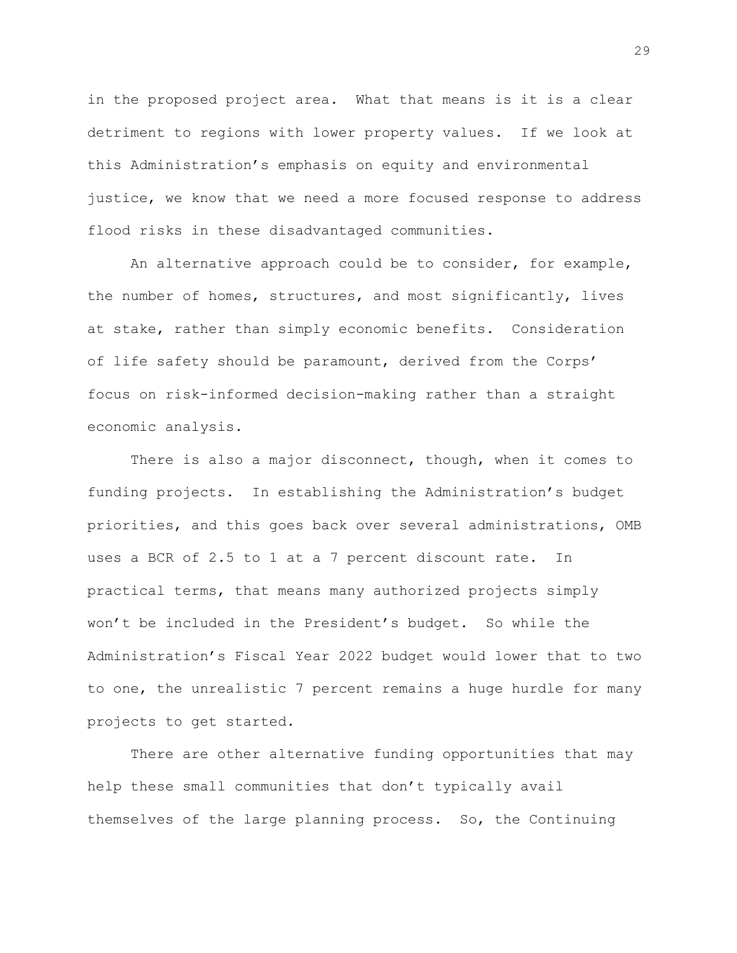in the proposed project area. What that means is it is a clear detriment to regions with lower property values. If we look at this Administration's emphasis on equity and environmental justice, we know that we need a more focused response to address flood risks in these disadvantaged communities.

An alternative approach could be to consider, for example, the number of homes, structures, and most significantly, lives at stake, rather than simply economic benefits. Consideration of life safety should be paramount, derived from the Corps' focus on risk-informed decision-making rather than a straight economic analysis.

There is also a major disconnect, though, when it comes to funding projects. In establishing the Administration's budget priorities, and this goes back over several administrations, OMB uses a BCR of 2.5 to 1 at a 7 percent discount rate. In practical terms, that means many authorized projects simply won't be included in the President's budget. So while the Administration's Fiscal Year 2022 budget would lower that to two to one, the unrealistic 7 percent remains a huge hurdle for many projects to get started.

There are other alternative funding opportunities that may help these small communities that don't typically avail themselves of the large planning process. So, the Continuing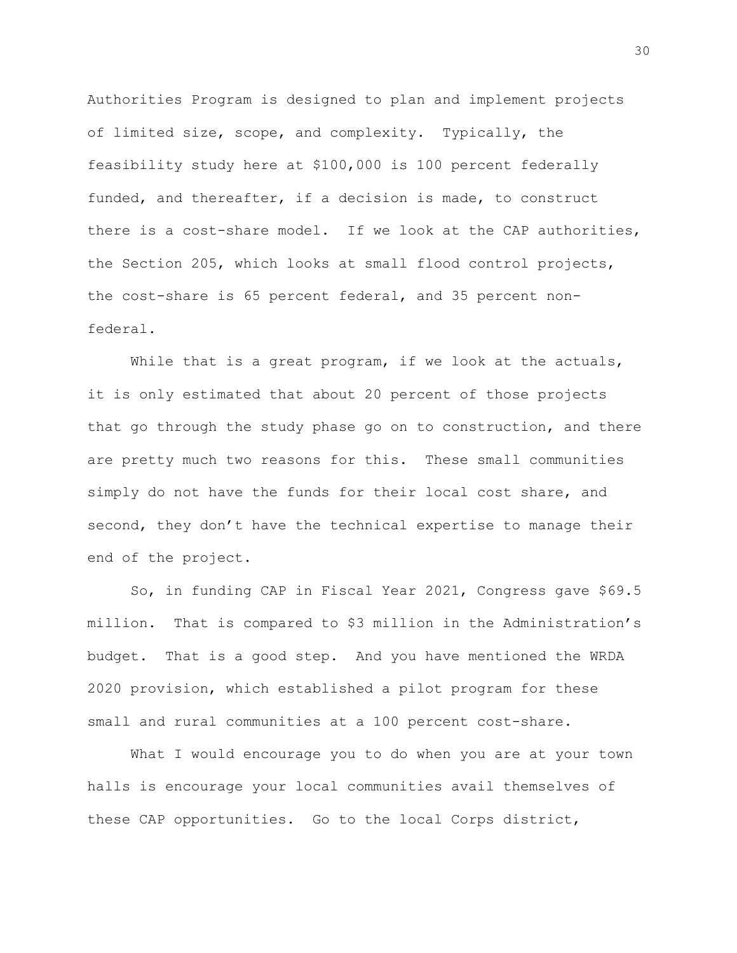Authorities Program is designed to plan and implement projects of limited size, scope, and complexity. Typically, the feasibility study here at \$100,000 is 100 percent federally funded, and thereafter, if a decision is made, to construct there is a cost-share model. If we look at the CAP authorities, the Section 205, which looks at small flood control projects, the cost-share is 65 percent federal, and 35 percent nonfederal.

While that is a great program, if we look at the actuals, it is only estimated that about 20 percent of those projects that go through the study phase go on to construction, and there are pretty much two reasons for this. These small communities simply do not have the funds for their local cost share, and second, they don't have the technical expertise to manage their end of the project.

So, in funding CAP in Fiscal Year 2021, Congress gave \$69.5 million. That is compared to \$3 million in the Administration's budget. That is a good step. And you have mentioned the WRDA 2020 provision, which established a pilot program for these small and rural communities at a 100 percent cost-share.

What I would encourage you to do when you are at your town halls is encourage your local communities avail themselves of these CAP opportunities. Go to the local Corps district,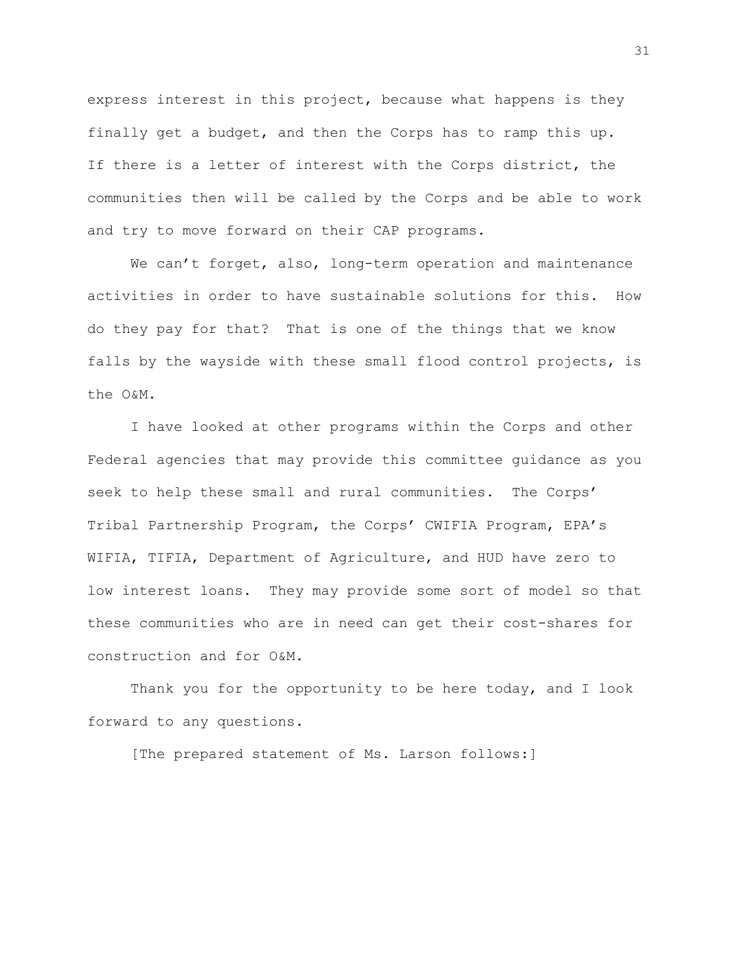express interest in this project, because what happens is they finally get a budget, and then the Corps has to ramp this up. If there is a letter of interest with the Corps district, the communities then will be called by the Corps and be able to work and try to move forward on their CAP programs.

We can't forget, also, long-term operation and maintenance activities in order to have sustainable solutions for this. How do they pay for that? That is one of the things that we know falls by the wayside with these small flood control projects, is the O&M.

I have looked at other programs within the Corps and other Federal agencies that may provide this committee guidance as you seek to help these small and rural communities. The Corps' Tribal Partnership Program, the Corps' CWIFIA Program, EPA's WIFIA, TIFIA, Department of Agriculture, and HUD have zero to low interest loans. They may provide some sort of model so that these communities who are in need can get their cost-shares for construction and for O&M.

Thank you for the opportunity to be here today, and I look forward to any questions.

[The prepared statement of Ms. Larson follows:]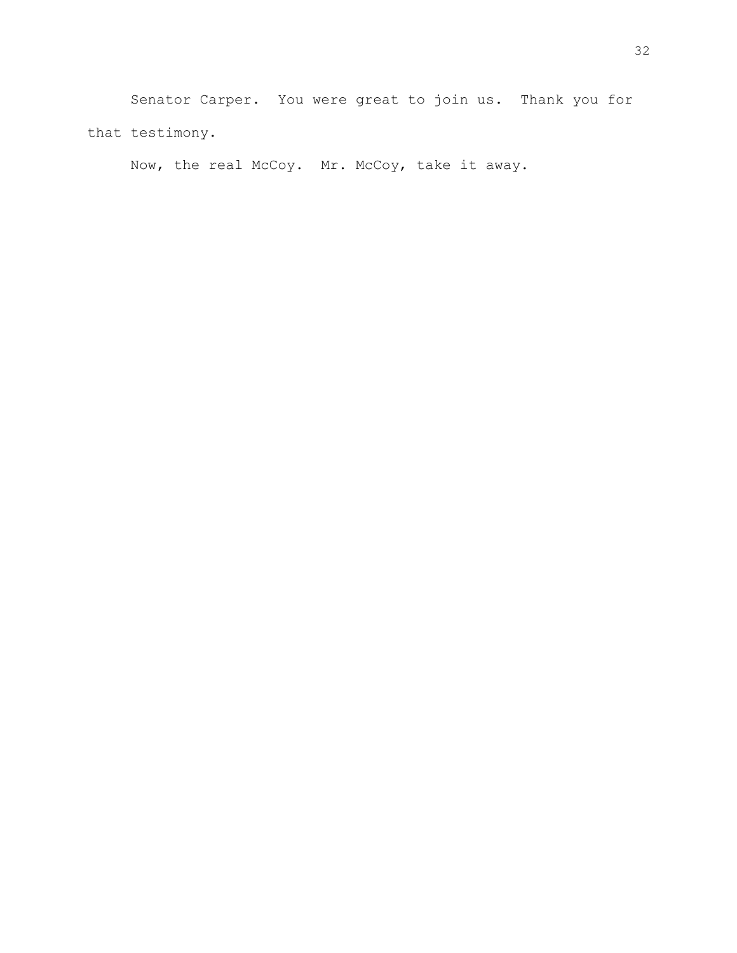Senator Carper. You were great to join us. Thank you for that testimony.

Now, the real McCoy. Mr. McCoy, take it away.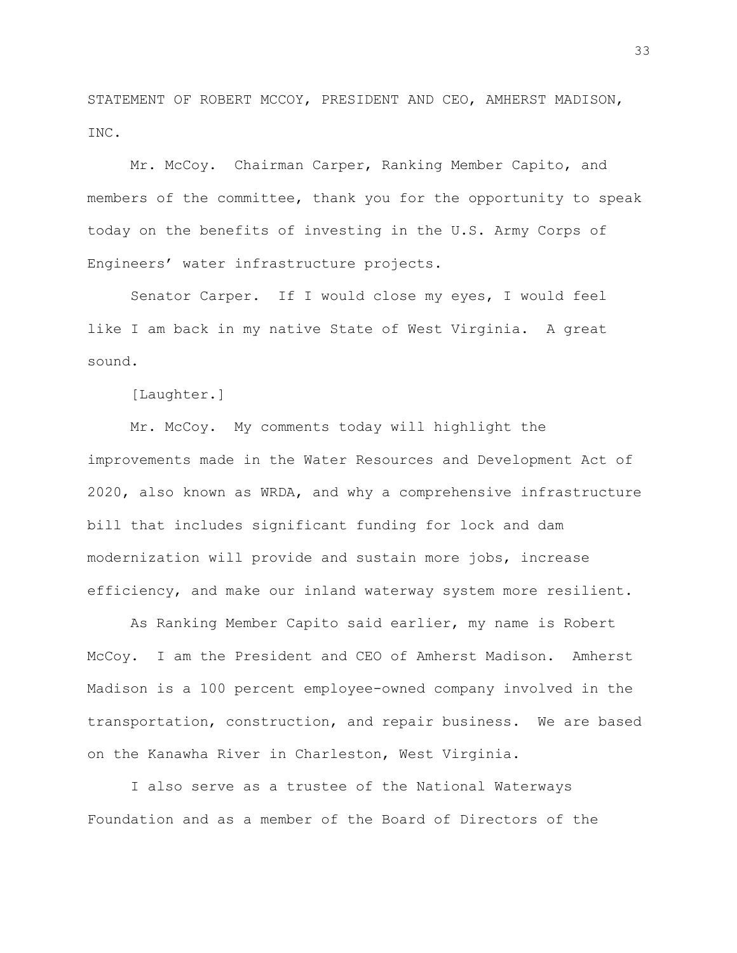STATEMENT OF ROBERT MCCOY, PRESIDENT AND CEO, AMHERST MADISON, INC.

Mr. McCoy. Chairman Carper, Ranking Member Capito, and members of the committee, thank you for the opportunity to speak today on the benefits of investing in the U.S. Army Corps of Engineers' water infrastructure projects.

Senator Carper. If I would close my eyes, I would feel like I am back in my native State of West Virginia. A great sound.

[Laughter.]

Mr. McCoy. My comments today will highlight the improvements made in the Water Resources and Development Act of 2020, also known as WRDA, and why a comprehensive infrastructure bill that includes significant funding for lock and dam modernization will provide and sustain more jobs, increase efficiency, and make our inland waterway system more resilient.

As Ranking Member Capito said earlier, my name is Robert McCoy. I am the President and CEO of Amherst Madison. Amherst Madison is a 100 percent employee-owned company involved in the transportation, construction, and repair business. We are based on the Kanawha River in Charleston, West Virginia.

I also serve as a trustee of the National Waterways Foundation and as a member of the Board of Directors of the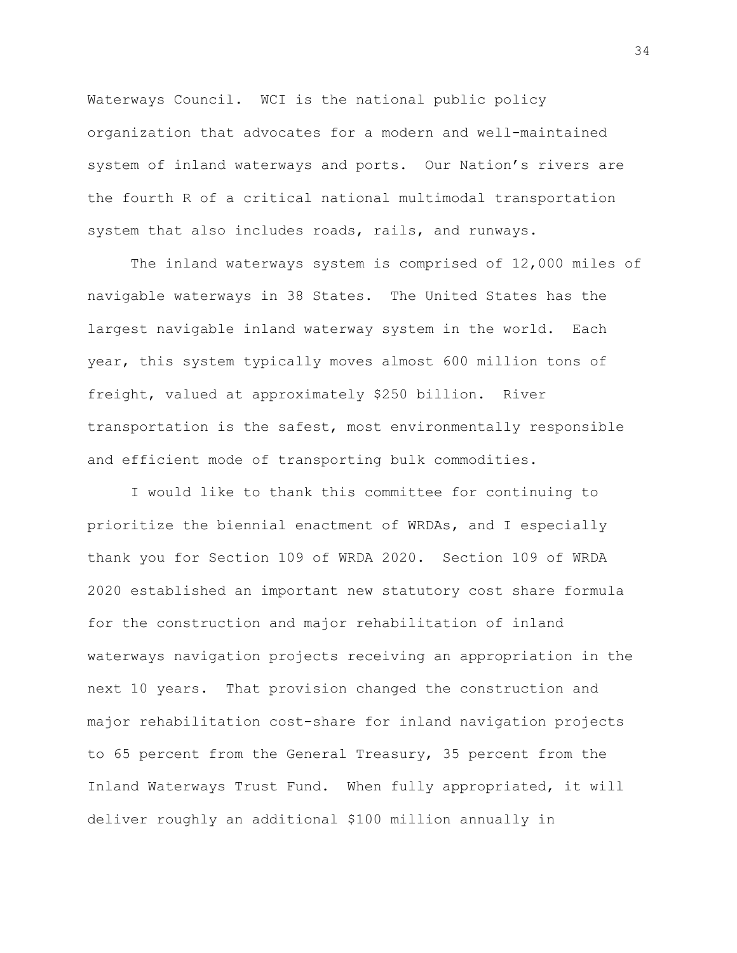Waterways Council. WCI is the national public policy organization that advocates for a modern and well-maintained system of inland waterways and ports. Our Nation's rivers are the fourth R of a critical national multimodal transportation system that also includes roads, rails, and runways.

The inland waterways system is comprised of 12,000 miles of navigable waterways in 38 States. The United States has the largest navigable inland waterway system in the world. Each year, this system typically moves almost 600 million tons of freight, valued at approximately \$250 billion. River transportation is the safest, most environmentally responsible and efficient mode of transporting bulk commodities.

I would like to thank this committee for continuing to prioritize the biennial enactment of WRDAs, and I especially thank you for Section 109 of WRDA 2020. Section 109 of WRDA 2020 established an important new statutory cost share formula for the construction and major rehabilitation of inland waterways navigation projects receiving an appropriation in the next 10 years. That provision changed the construction and major rehabilitation cost-share for inland navigation projects to 65 percent from the General Treasury, 35 percent from the Inland Waterways Trust Fund. When fully appropriated, it will deliver roughly an additional \$100 million annually in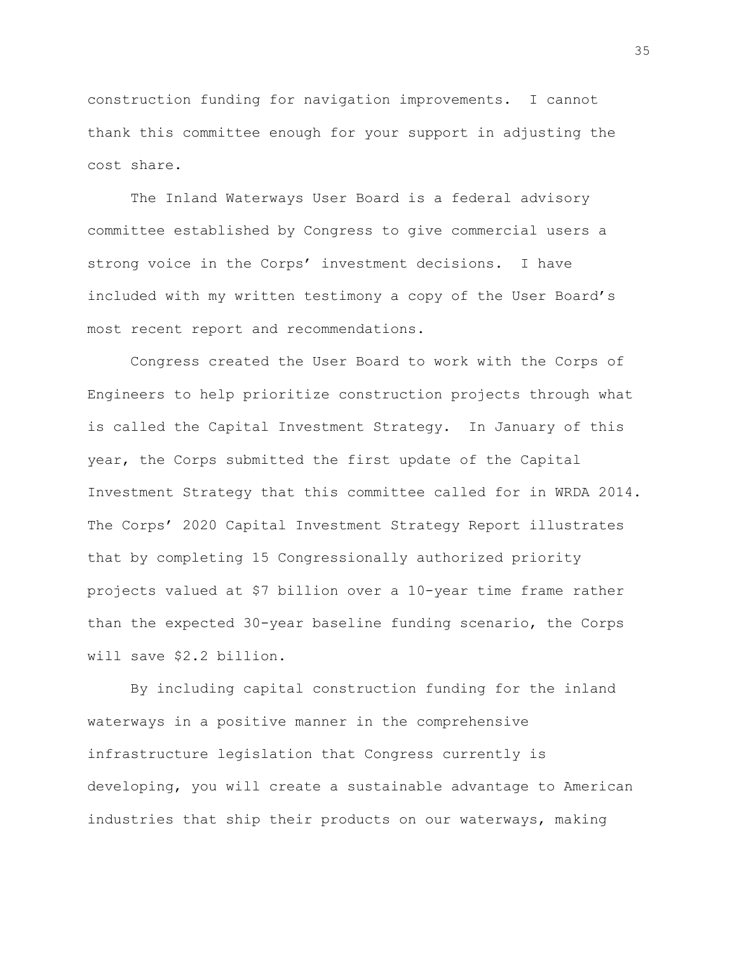construction funding for navigation improvements. I cannot thank this committee enough for your support in adjusting the cost share.

The Inland Waterways User Board is a federal advisory committee established by Congress to give commercial users a strong voice in the Corps' investment decisions. I have included with my written testimony a copy of the User Board's most recent report and recommendations.

Congress created the User Board to work with the Corps of Engineers to help prioritize construction projects through what is called the Capital Investment Strategy. In January of this year, the Corps submitted the first update of the Capital Investment Strategy that this committee called for in WRDA 2014. The Corps' 2020 Capital Investment Strategy Report illustrates that by completing 15 Congressionally authorized priority projects valued at \$7 billion over a 10-year time frame rather than the expected 30-year baseline funding scenario, the Corps will save \$2.2 billion.

By including capital construction funding for the inland waterways in a positive manner in the comprehensive infrastructure legislation that Congress currently is developing, you will create a sustainable advantage to American industries that ship their products on our waterways, making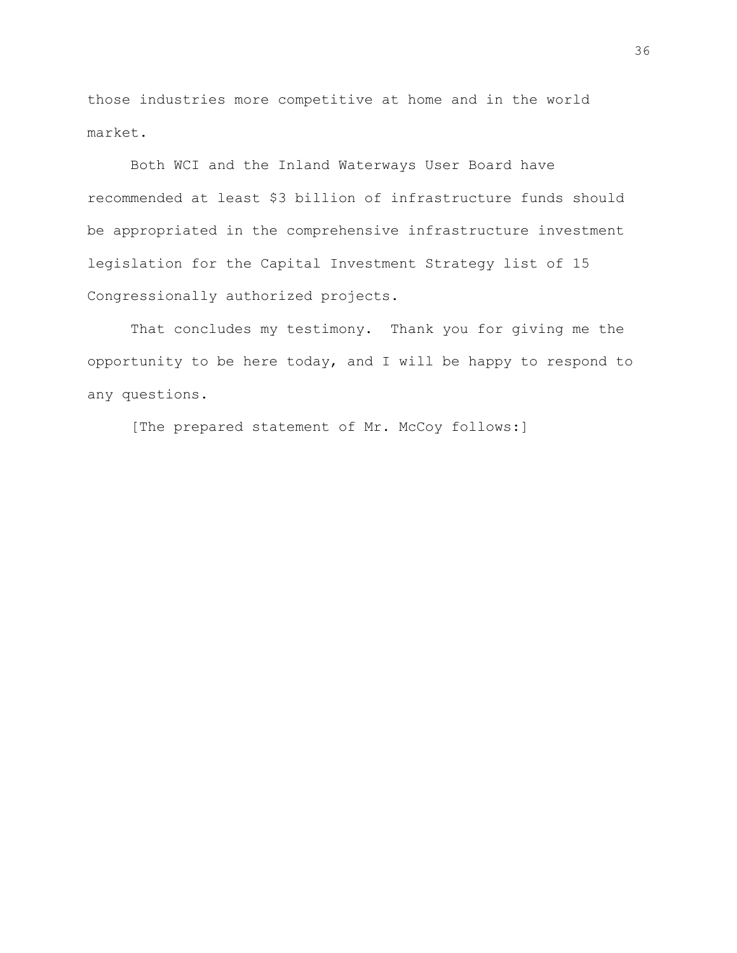those industries more competitive at home and in the world market.

Both WCI and the Inland Waterways User Board have recommended at least \$3 billion of infrastructure funds should be appropriated in the comprehensive infrastructure investment legislation for the Capital Investment Strategy list of 15 Congressionally authorized projects.

That concludes my testimony. Thank you for giving me the opportunity to be here today, and I will be happy to respond to any questions.

[The prepared statement of Mr. McCoy follows:]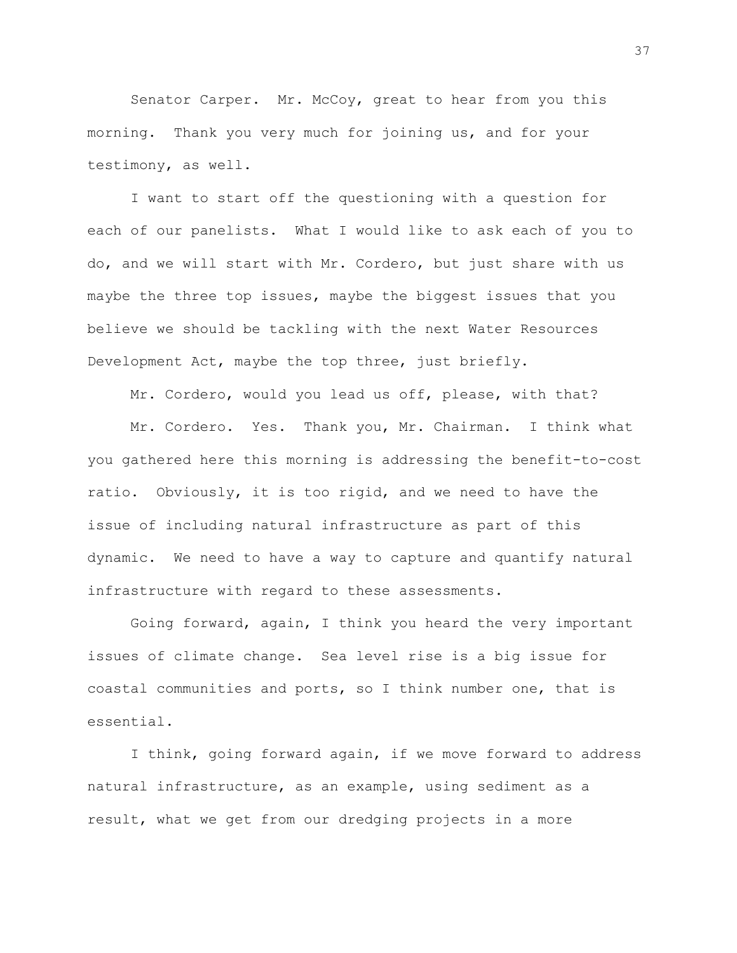Senator Carper. Mr. McCoy, great to hear from you this morning. Thank you very much for joining us, and for your testimony, as well.

I want to start off the questioning with a question for each of our panelists. What I would like to ask each of you to do, and we will start with Mr. Cordero, but just share with us maybe the three top issues, maybe the biggest issues that you believe we should be tackling with the next Water Resources Development Act, maybe the top three, just briefly.

Mr. Cordero, would you lead us off, please, with that?

Mr. Cordero. Yes. Thank you, Mr. Chairman. I think what you gathered here this morning is addressing the benefit-to-cost ratio. Obviously, it is too rigid, and we need to have the issue of including natural infrastructure as part of this dynamic. We need to have a way to capture and quantify natural infrastructure with regard to these assessments.

Going forward, again, I think you heard the very important issues of climate change. Sea level rise is a big issue for coastal communities and ports, so I think number one, that is essential.

I think, going forward again, if we move forward to address natural infrastructure, as an example, using sediment as a result, what we get from our dredging projects in a more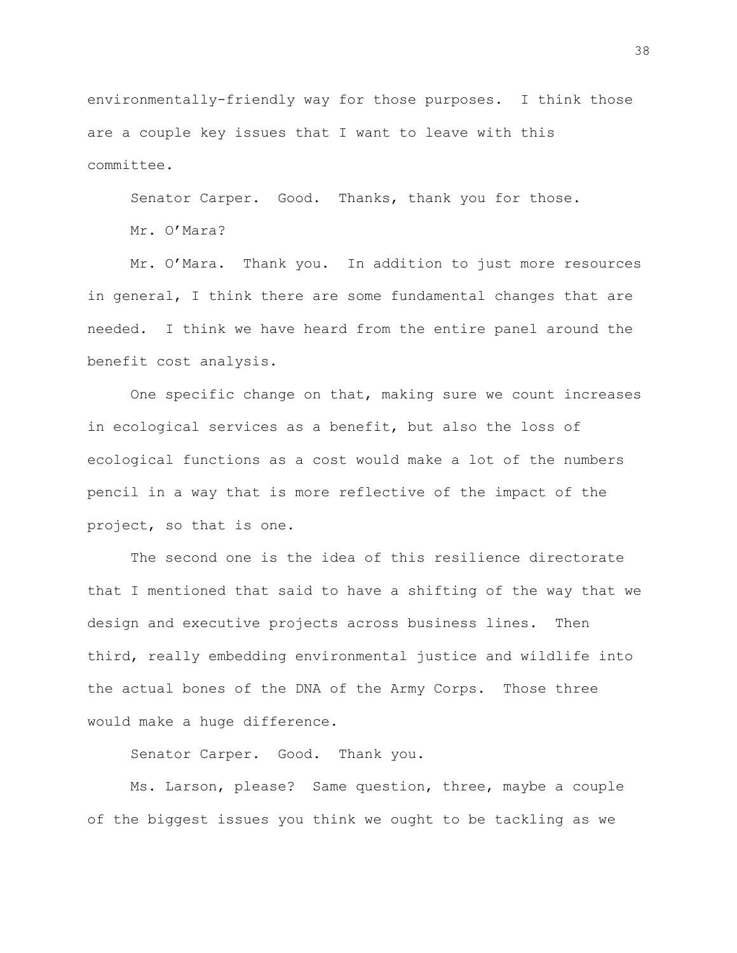environmentally-friendly way for those purposes. I think those are a couple key issues that I want to leave with this committee.

Senator Carper. Good. Thanks, thank you for those.

Mr. O'Mara?

Mr. O'Mara. Thank you. In addition to just more resources in general, I think there are some fundamental changes that are needed. I think we have heard from the entire panel around the benefit cost analysis.

One specific change on that, making sure we count increases in ecological services as a benefit, but also the loss of ecological functions as a cost would make a lot of the numbers pencil in a way that is more reflective of the impact of the project, so that is one.

The second one is the idea of this resilience directorate that I mentioned that said to have a shifting of the way that we design and executive projects across business lines. Then third, really embedding environmental justice and wildlife into the actual bones of the DNA of the Army Corps. Those three would make a huge difference.

Senator Carper. Good. Thank you.

Ms. Larson, please? Same question, three, maybe a couple of the biggest issues you think we ought to be tackling as we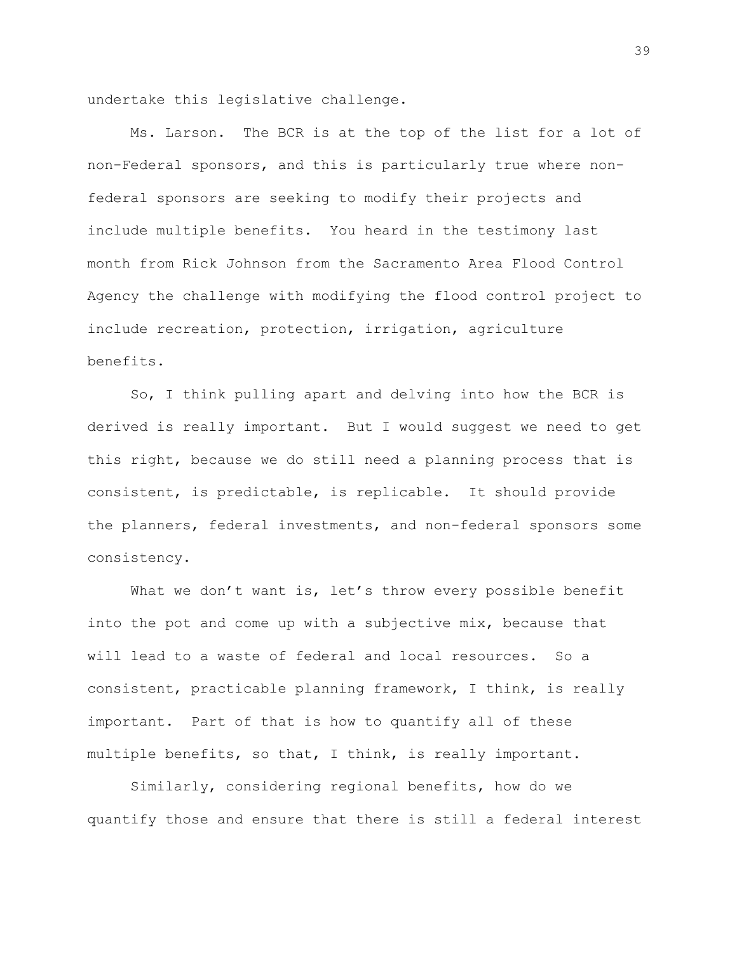undertake this legislative challenge.

Ms. Larson. The BCR is at the top of the list for a lot of non-Federal sponsors, and this is particularly true where nonfederal sponsors are seeking to modify their projects and include multiple benefits. You heard in the testimony last month from Rick Johnson from the Sacramento Area Flood Control Agency the challenge with modifying the flood control project to include recreation, protection, irrigation, agriculture benefits.

So, I think pulling apart and delving into how the BCR is derived is really important. But I would suggest we need to get this right, because we do still need a planning process that is consistent, is predictable, is replicable. It should provide the planners, federal investments, and non-federal sponsors some consistency.

What we don't want is, let's throw every possible benefit into the pot and come up with a subjective mix, because that will lead to a waste of federal and local resources. So a consistent, practicable planning framework, I think, is really important. Part of that is how to quantify all of these multiple benefits, so that, I think, is really important.

Similarly, considering regional benefits, how do we quantify those and ensure that there is still a federal interest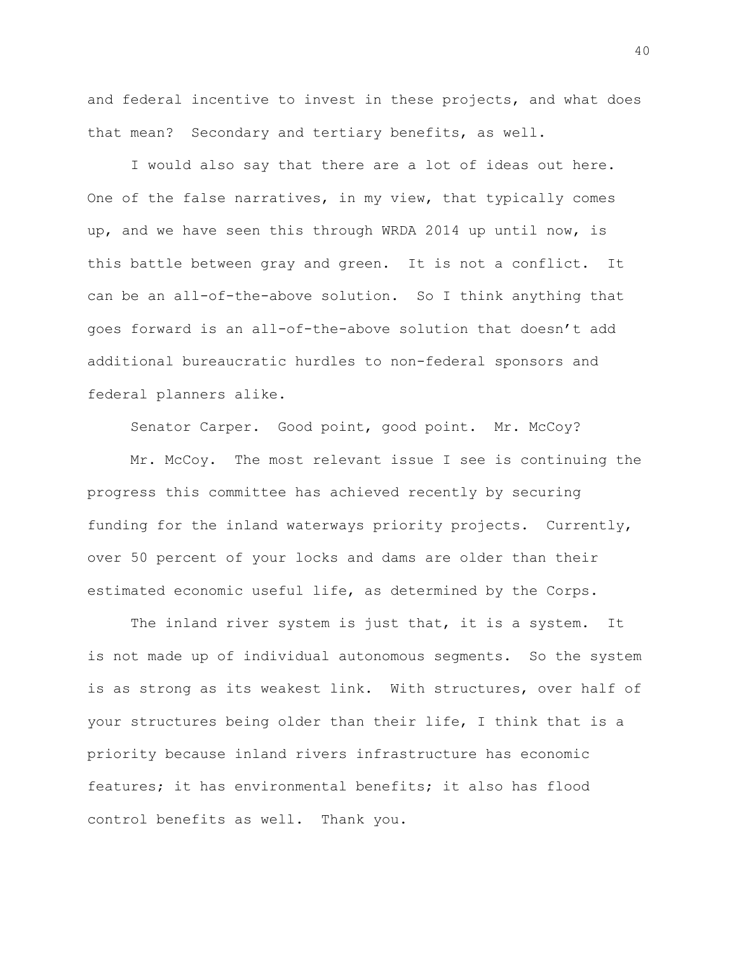and federal incentive to invest in these projects, and what does that mean? Secondary and tertiary benefits, as well.

I would also say that there are a lot of ideas out here. One of the false narratives, in my view, that typically comes up, and we have seen this through WRDA 2014 up until now, is this battle between gray and green. It is not a conflict. It can be an all-of-the-above solution. So I think anything that goes forward is an all-of-the-above solution that doesn't add additional bureaucratic hurdles to non-federal sponsors and federal planners alike.

Senator Carper. Good point, good point. Mr. McCoy?

Mr. McCoy. The most relevant issue I see is continuing the progress this committee has achieved recently by securing funding for the inland waterways priority projects. Currently, over 50 percent of your locks and dams are older than their estimated economic useful life, as determined by the Corps.

The inland river system is just that, it is a system. It is not made up of individual autonomous segments. So the system is as strong as its weakest link. With structures, over half of your structures being older than their life, I think that is a priority because inland rivers infrastructure has economic features; it has environmental benefits; it also has flood control benefits as well. Thank you.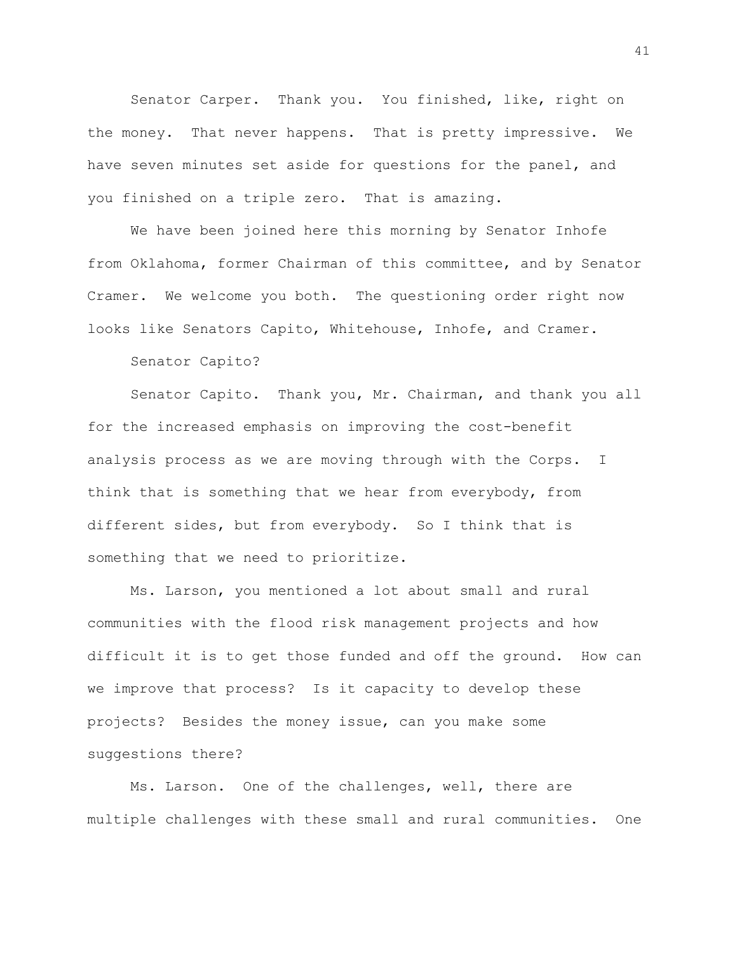Senator Carper. Thank you. You finished, like, right on the money. That never happens. That is pretty impressive. We have seven minutes set aside for questions for the panel, and you finished on a triple zero. That is amazing.

We have been joined here this morning by Senator Inhofe from Oklahoma, former Chairman of this committee, and by Senator Cramer. We welcome you both. The questioning order right now looks like Senators Capito, Whitehouse, Inhofe, and Cramer.

Senator Capito?

Senator Capito. Thank you, Mr. Chairman, and thank you all for the increased emphasis on improving the cost-benefit analysis process as we are moving through with the Corps. I think that is something that we hear from everybody, from different sides, but from everybody. So I think that is something that we need to prioritize.

Ms. Larson, you mentioned a lot about small and rural communities with the flood risk management projects and how difficult it is to get those funded and off the ground. How can we improve that process? Is it capacity to develop these projects? Besides the money issue, can you make some suggestions there?

Ms. Larson. One of the challenges, well, there are multiple challenges with these small and rural communities. One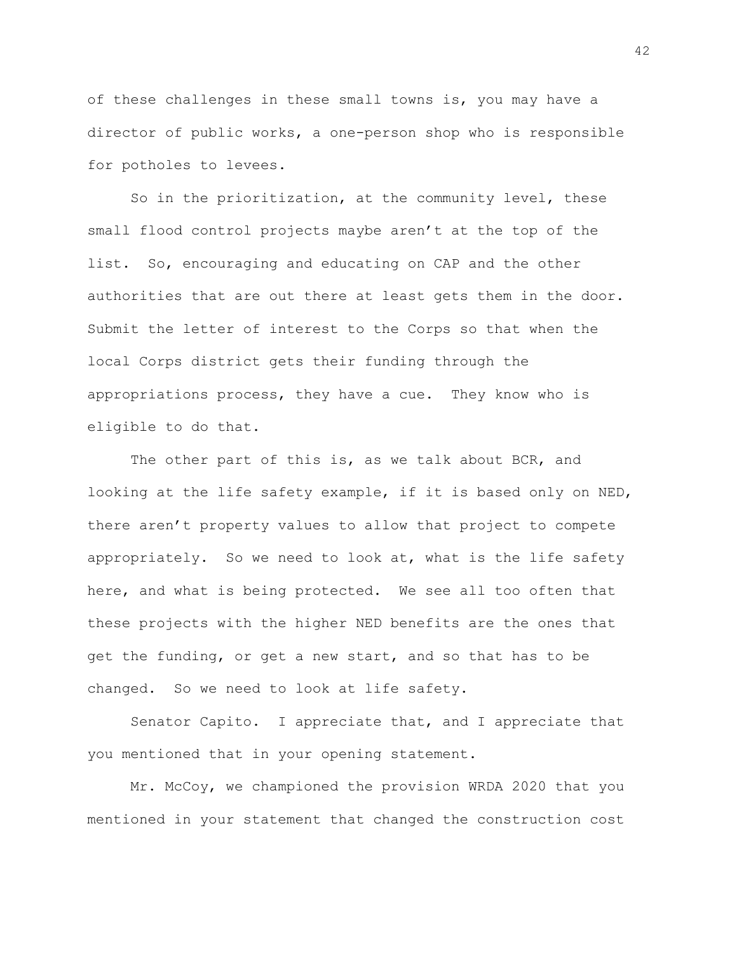of these challenges in these small towns is, you may have a director of public works, a one-person shop who is responsible for potholes to levees.

So in the prioritization, at the community level, these small flood control projects maybe aren't at the top of the list. So, encouraging and educating on CAP and the other authorities that are out there at least gets them in the door. Submit the letter of interest to the Corps so that when the local Corps district gets their funding through the appropriations process, they have a cue. They know who is eligible to do that.

The other part of this is, as we talk about BCR, and looking at the life safety example, if it is based only on NED, there aren't property values to allow that project to compete appropriately. So we need to look at, what is the life safety here, and what is being protected. We see all too often that these projects with the higher NED benefits are the ones that get the funding, or get a new start, and so that has to be changed. So we need to look at life safety.

Senator Capito. I appreciate that, and I appreciate that you mentioned that in your opening statement.

Mr. McCoy, we championed the provision WRDA 2020 that you mentioned in your statement that changed the construction cost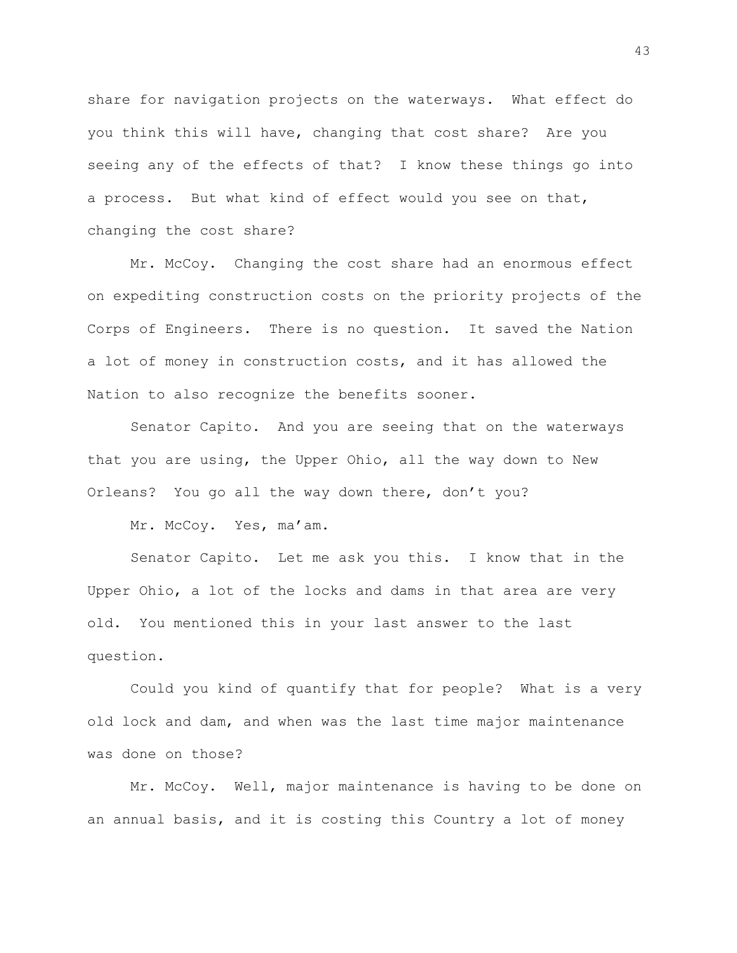share for navigation projects on the waterways. What effect do you think this will have, changing that cost share? Are you seeing any of the effects of that? I know these things go into a process. But what kind of effect would you see on that, changing the cost share?

Mr. McCoy. Changing the cost share had an enormous effect on expediting construction costs on the priority projects of the Corps of Engineers. There is no question. It saved the Nation a lot of money in construction costs, and it has allowed the Nation to also recognize the benefits sooner.

Senator Capito. And you are seeing that on the waterways that you are using, the Upper Ohio, all the way down to New Orleans? You go all the way down there, don't you?

Mr. McCoy. Yes, ma'am.

Senator Capito. Let me ask you this. I know that in the Upper Ohio, a lot of the locks and dams in that area are very old. You mentioned this in your last answer to the last question.

Could you kind of quantify that for people? What is a very old lock and dam, and when was the last time major maintenance was done on those?

Mr. McCoy. Well, major maintenance is having to be done on an annual basis, and it is costing this Country a lot of money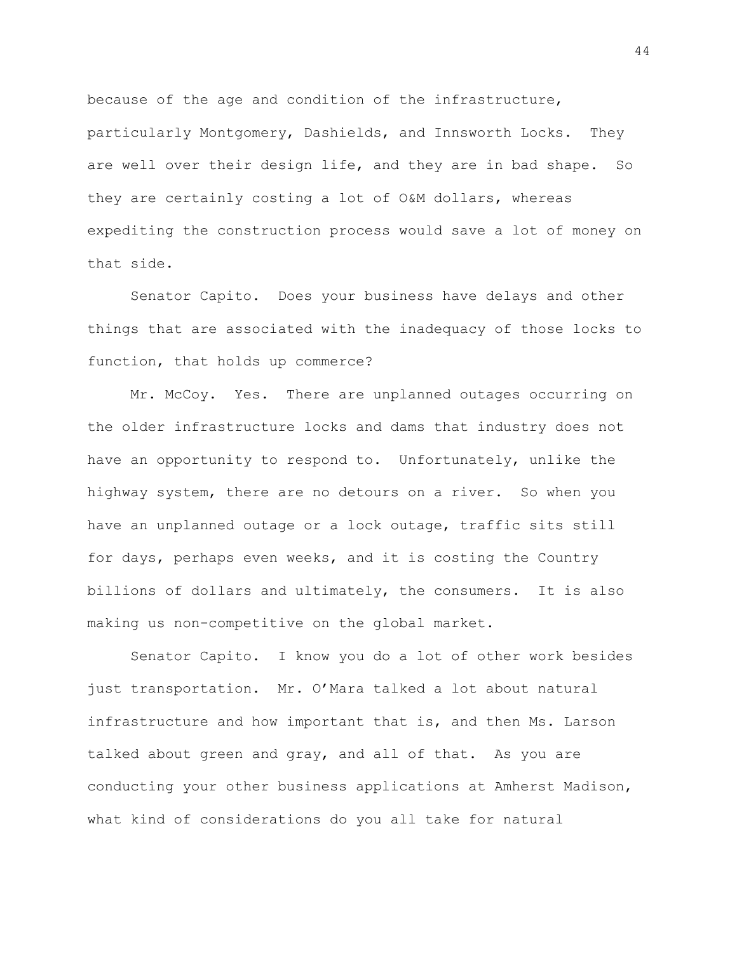because of the age and condition of the infrastructure, particularly Montgomery, Dashields, and Innsworth Locks. They are well over their design life, and they are in bad shape. So they are certainly costing a lot of O&M dollars, whereas expediting the construction process would save a lot of money on that side.

Senator Capito. Does your business have delays and other things that are associated with the inadequacy of those locks to function, that holds up commerce?

Mr. McCoy. Yes. There are unplanned outages occurring on the older infrastructure locks and dams that industry does not have an opportunity to respond to. Unfortunately, unlike the highway system, there are no detours on a river. So when you have an unplanned outage or a lock outage, traffic sits still for days, perhaps even weeks, and it is costing the Country billions of dollars and ultimately, the consumers. It is also making us non-competitive on the global market.

Senator Capito. I know you do a lot of other work besides just transportation. Mr. O'Mara talked a lot about natural infrastructure and how important that is, and then Ms. Larson talked about green and gray, and all of that. As you are conducting your other business applications at Amherst Madison, what kind of considerations do you all take for natural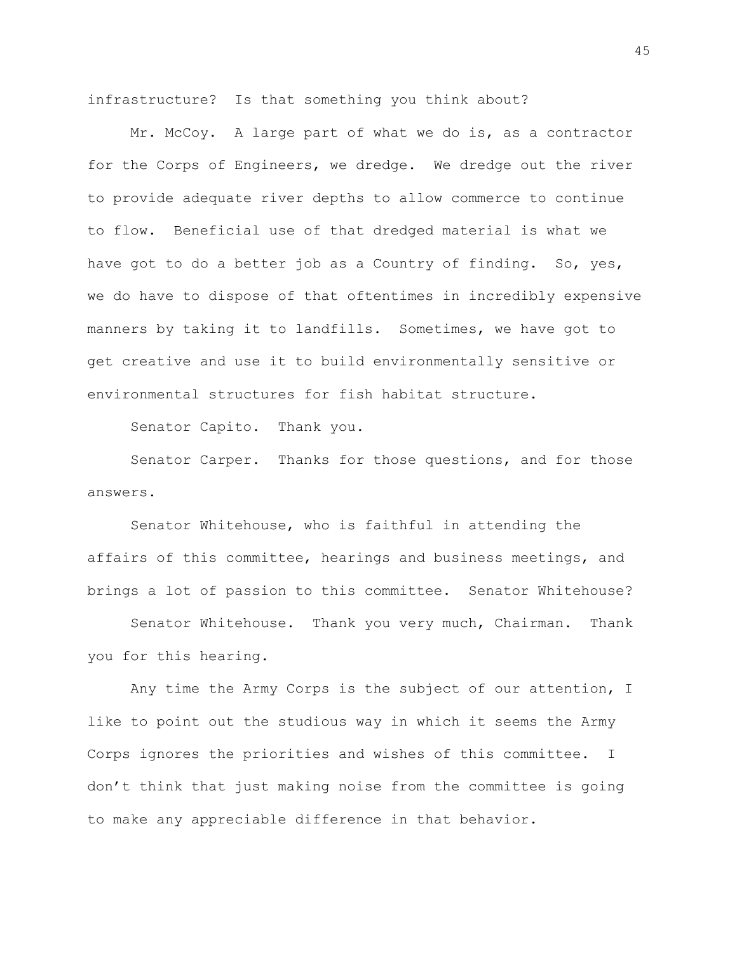infrastructure? Is that something you think about?

Mr. McCoy. A large part of what we do is, as a contractor for the Corps of Engineers, we dredge. We dredge out the river to provide adequate river depths to allow commerce to continue to flow. Beneficial use of that dredged material is what we have got to do a better job as a Country of finding. So, yes, we do have to dispose of that oftentimes in incredibly expensive manners by taking it to landfills. Sometimes, we have got to get creative and use it to build environmentally sensitive or environmental structures for fish habitat structure.

Senator Capito. Thank you.

Senator Carper. Thanks for those questions, and for those answers.

Senator Whitehouse, who is faithful in attending the affairs of this committee, hearings and business meetings, and brings a lot of passion to this committee. Senator Whitehouse?

Senator Whitehouse. Thank you very much, Chairman. Thank you for this hearing.

Any time the Army Corps is the subject of our attention, I like to point out the studious way in which it seems the Army Corps ignores the priorities and wishes of this committee. I don't think that just making noise from the committee is going to make any appreciable difference in that behavior.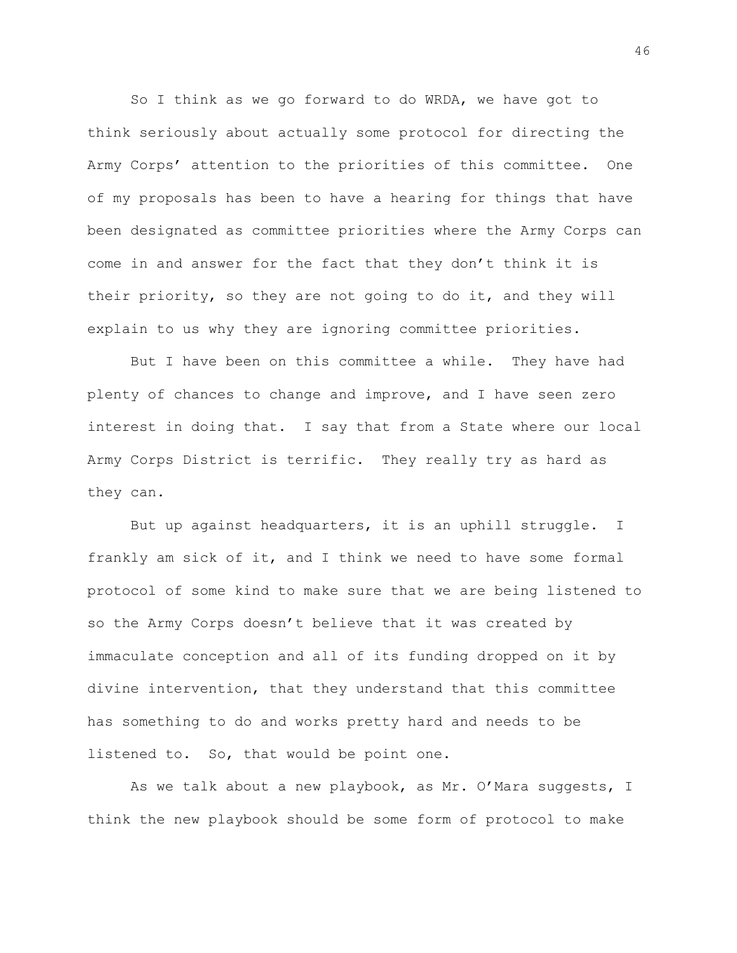So I think as we go forward to do WRDA, we have got to think seriously about actually some protocol for directing the Army Corps' attention to the priorities of this committee. One of my proposals has been to have a hearing for things that have been designated as committee priorities where the Army Corps can come in and answer for the fact that they don't think it is their priority, so they are not going to do it, and they will explain to us why they are ignoring committee priorities.

But I have been on this committee a while. They have had plenty of chances to change and improve, and I have seen zero interest in doing that. I say that from a State where our local Army Corps District is terrific. They really try as hard as they can.

But up against headquarters, it is an uphill struggle. I frankly am sick of it, and I think we need to have some formal protocol of some kind to make sure that we are being listened to so the Army Corps doesn't believe that it was created by immaculate conception and all of its funding dropped on it by divine intervention, that they understand that this committee has something to do and works pretty hard and needs to be listened to. So, that would be point one.

As we talk about a new playbook, as Mr. O'Mara suggests, I think the new playbook should be some form of protocol to make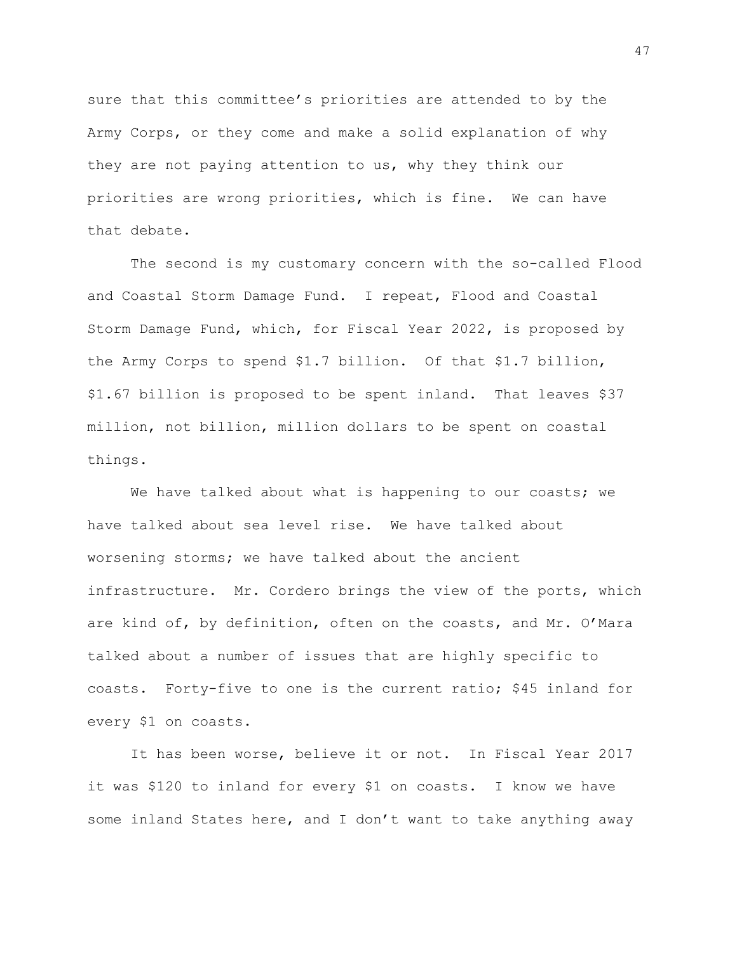sure that this committee's priorities are attended to by the Army Corps, or they come and make a solid explanation of why they are not paying attention to us, why they think our priorities are wrong priorities, which is fine. We can have that debate.

The second is my customary concern with the so-called Flood and Coastal Storm Damage Fund. I repeat, Flood and Coastal Storm Damage Fund, which, for Fiscal Year 2022, is proposed by the Army Corps to spend \$1.7 billion. Of that \$1.7 billion, \$1.67 billion is proposed to be spent inland. That leaves \$37 million, not billion, million dollars to be spent on coastal things.

We have talked about what is happening to our coasts; we have talked about sea level rise. We have talked about worsening storms; we have talked about the ancient infrastructure. Mr. Cordero brings the view of the ports, which are kind of, by definition, often on the coasts, and Mr. O'Mara talked about a number of issues that are highly specific to coasts. Forty-five to one is the current ratio; \$45 inland for every \$1 on coasts.

It has been worse, believe it or not. In Fiscal Year 2017 it was \$120 to inland for every \$1 on coasts. I know we have some inland States here, and I don't want to take anything away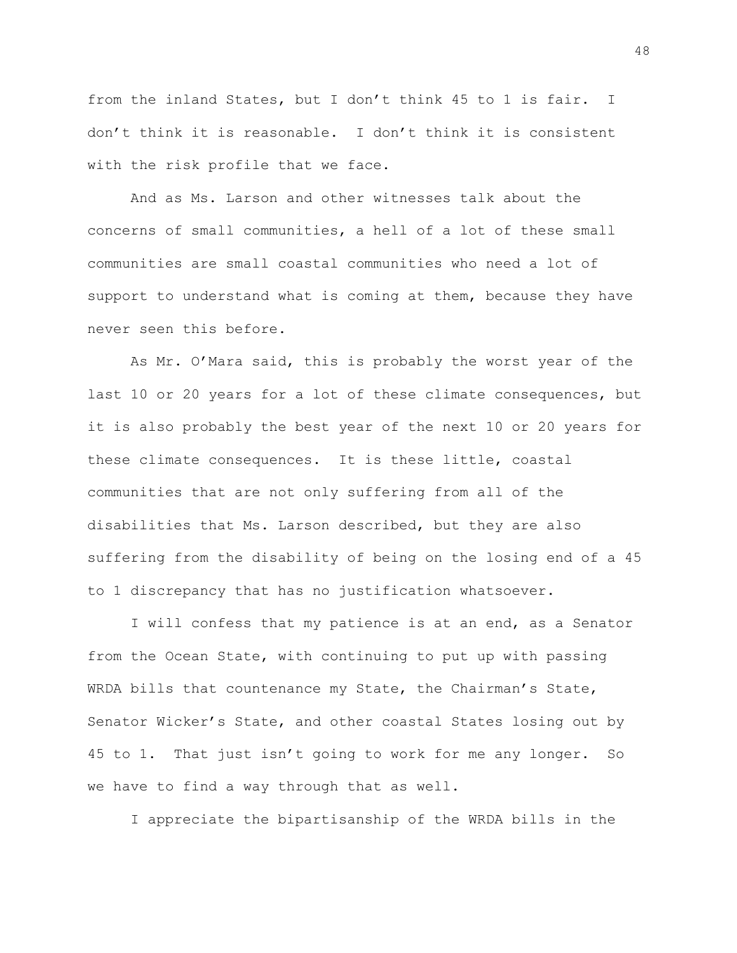from the inland States, but I don't think 45 to 1 is fair. I don't think it is reasonable. I don't think it is consistent with the risk profile that we face.

And as Ms. Larson and other witnesses talk about the concerns of small communities, a hell of a lot of these small communities are small coastal communities who need a lot of support to understand what is coming at them, because they have never seen this before.

As Mr. O'Mara said, this is probably the worst year of the last 10 or 20 years for a lot of these climate consequences, but it is also probably the best year of the next 10 or 20 years for these climate consequences. It is these little, coastal communities that are not only suffering from all of the disabilities that Ms. Larson described, but they are also suffering from the disability of being on the losing end of a 45 to 1 discrepancy that has no justification whatsoever.

I will confess that my patience is at an end, as a Senator from the Ocean State, with continuing to put up with passing WRDA bills that countenance my State, the Chairman's State, Senator Wicker's State, and other coastal States losing out by 45 to 1. That just isn't going to work for me any longer. So we have to find a way through that as well.

I appreciate the bipartisanship of the WRDA bills in the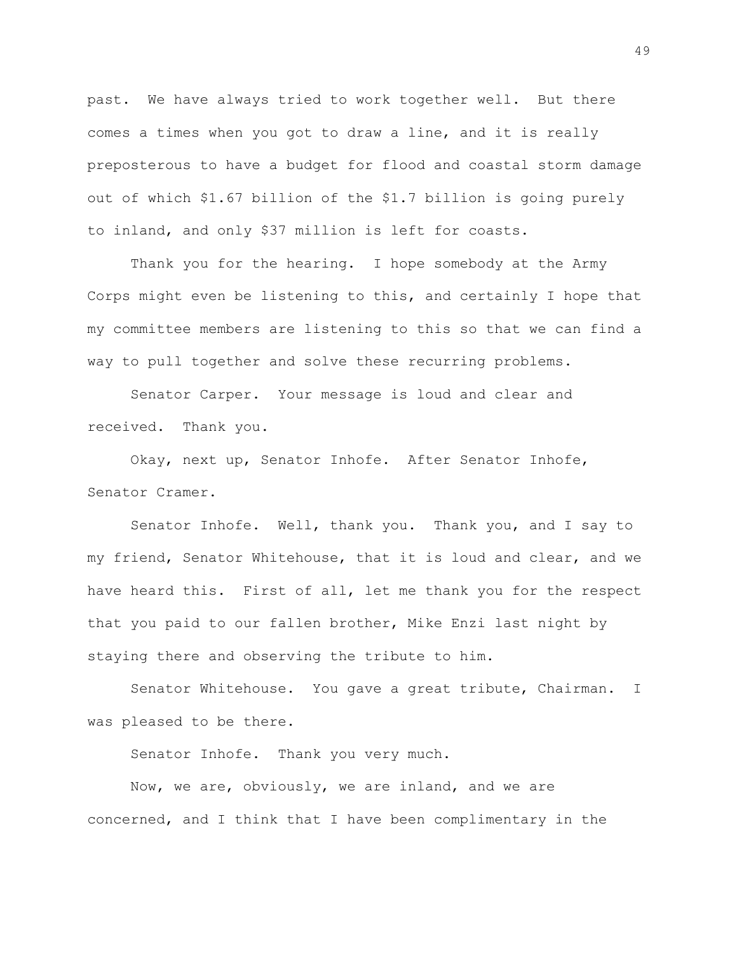past. We have always tried to work together well. But there comes a times when you got to draw a line, and it is really preposterous to have a budget for flood and coastal storm damage out of which \$1.67 billion of the \$1.7 billion is going purely to inland, and only \$37 million is left for coasts.

Thank you for the hearing. I hope somebody at the Army Corps might even be listening to this, and certainly I hope that my committee members are listening to this so that we can find a way to pull together and solve these recurring problems.

Senator Carper. Your message is loud and clear and received. Thank you.

Okay, next up, Senator Inhofe. After Senator Inhofe, Senator Cramer.

Senator Inhofe. Well, thank you. Thank you, and I say to my friend, Senator Whitehouse, that it is loud and clear, and we have heard this. First of all, let me thank you for the respect that you paid to our fallen brother, Mike Enzi last night by staying there and observing the tribute to him.

Senator Whitehouse. You gave a great tribute, Chairman. I was pleased to be there.

Senator Inhofe. Thank you very much.

Now, we are, obviously, we are inland, and we are concerned, and I think that I have been complimentary in the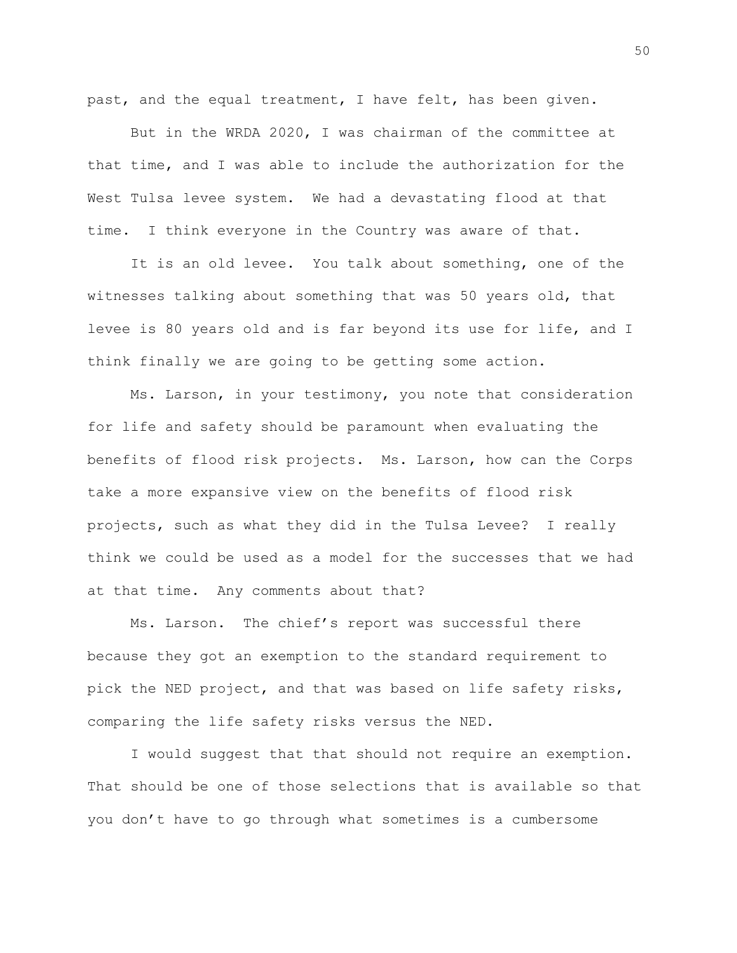past, and the equal treatment, I have felt, has been given.

But in the WRDA 2020, I was chairman of the committee at that time, and I was able to include the authorization for the West Tulsa levee system. We had a devastating flood at that time. I think everyone in the Country was aware of that.

It is an old levee. You talk about something, one of the witnesses talking about something that was 50 years old, that levee is 80 years old and is far beyond its use for life, and I think finally we are going to be getting some action.

Ms. Larson, in your testimony, you note that consideration for life and safety should be paramount when evaluating the benefits of flood risk projects. Ms. Larson, how can the Corps take a more expansive view on the benefits of flood risk projects, such as what they did in the Tulsa Levee? I really think we could be used as a model for the successes that we had at that time. Any comments about that?

Ms. Larson. The chief's report was successful there because they got an exemption to the standard requirement to pick the NED project, and that was based on life safety risks, comparing the life safety risks versus the NED.

I would suggest that that should not require an exemption. That should be one of those selections that is available so that you don't have to go through what sometimes is a cumbersome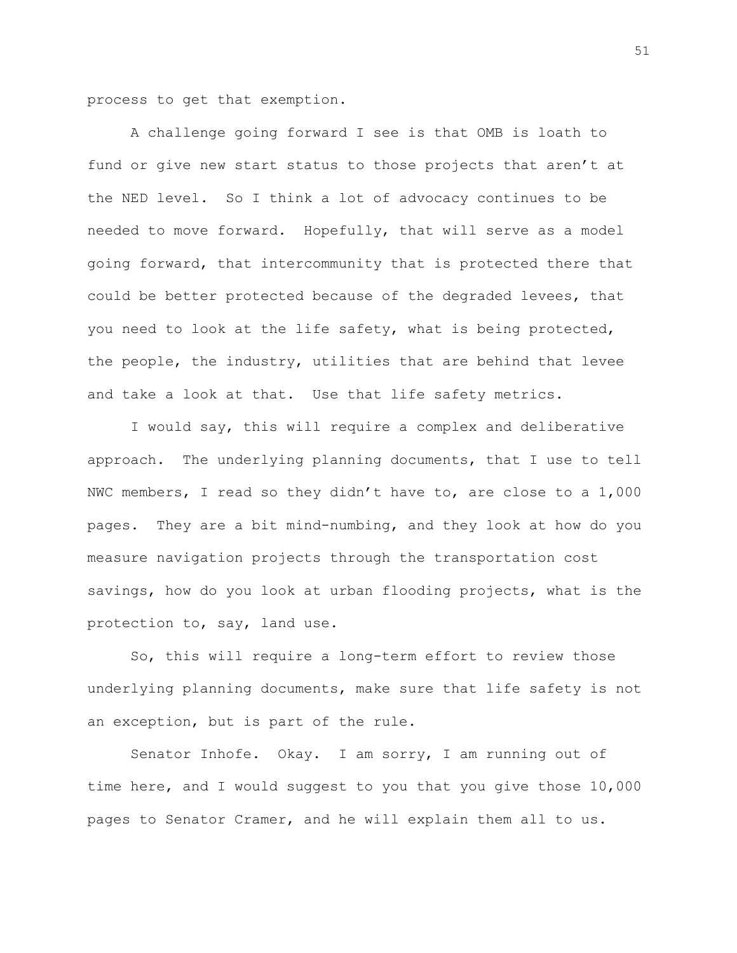process to get that exemption.

A challenge going forward I see is that OMB is loath to fund or give new start status to those projects that aren't at the NED level. So I think a lot of advocacy continues to be needed to move forward. Hopefully, that will serve as a model going forward, that intercommunity that is protected there that could be better protected because of the degraded levees, that you need to look at the life safety, what is being protected, the people, the industry, utilities that are behind that levee and take a look at that. Use that life safety metrics.

I would say, this will require a complex and deliberative approach. The underlying planning documents, that I use to tell NWC members, I read so they didn't have to, are close to a 1,000 pages. They are a bit mind-numbing, and they look at how do you measure navigation projects through the transportation cost savings, how do you look at urban flooding projects, what is the protection to, say, land use.

So, this will require a long-term effort to review those underlying planning documents, make sure that life safety is not an exception, but is part of the rule.

Senator Inhofe. Okay. I am sorry, I am running out of time here, and I would suggest to you that you give those 10,000 pages to Senator Cramer, and he will explain them all to us.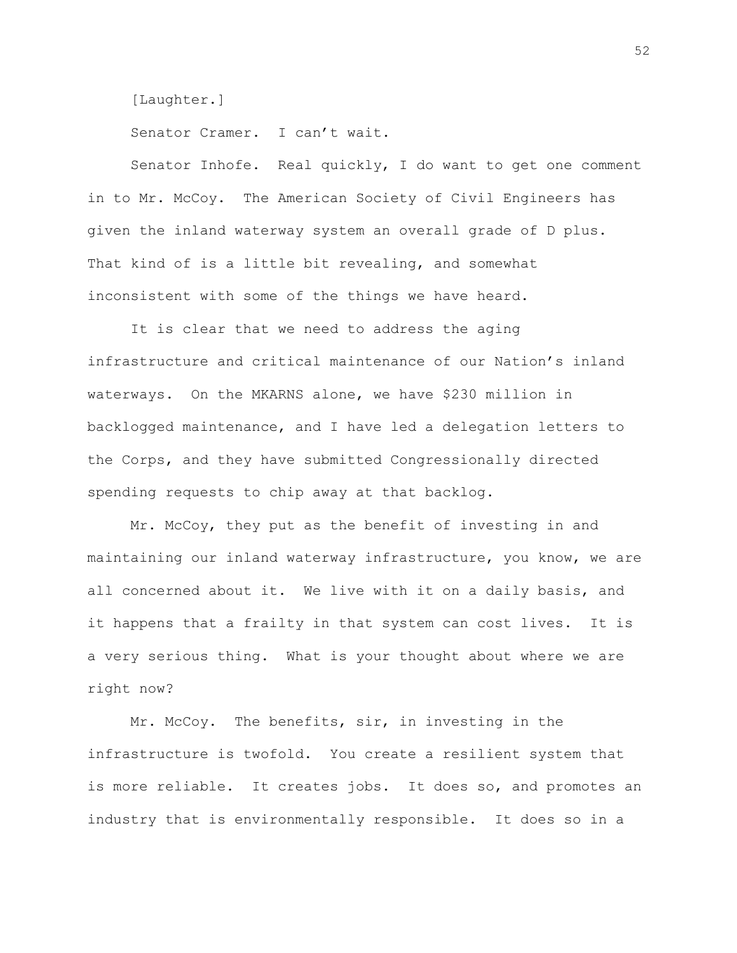[Laughter.]

Senator Cramer. I can't wait.

Senator Inhofe. Real quickly, I do want to get one comment in to Mr. McCoy. The American Society of Civil Engineers has given the inland waterway system an overall grade of D plus. That kind of is a little bit revealing, and somewhat inconsistent with some of the things we have heard.

It is clear that we need to address the aging infrastructure and critical maintenance of our Nation's inland waterways. On the MKARNS alone, we have \$230 million in backlogged maintenance, and I have led a delegation letters to the Corps, and they have submitted Congressionally directed spending requests to chip away at that backlog.

Mr. McCoy, they put as the benefit of investing in and maintaining our inland waterway infrastructure, you know, we are all concerned about it. We live with it on a daily basis, and it happens that a frailty in that system can cost lives. It is a very serious thing. What is your thought about where we are right now?

Mr. McCoy. The benefits, sir, in investing in the infrastructure is twofold. You create a resilient system that is more reliable. It creates jobs. It does so, and promotes an industry that is environmentally responsible. It does so in a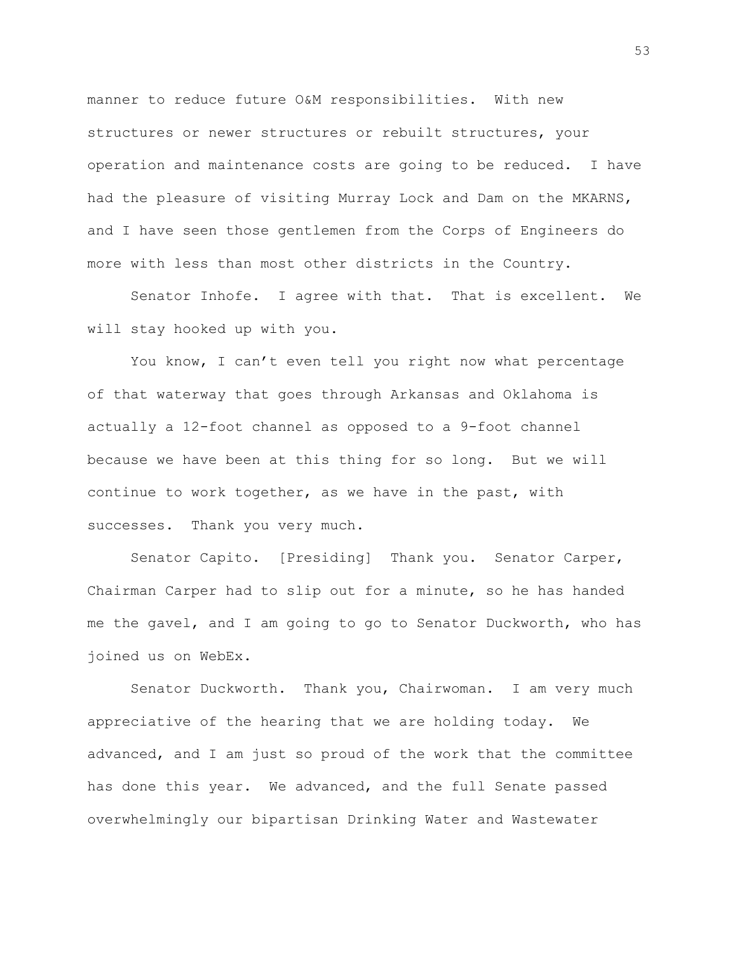manner to reduce future O&M responsibilities. With new structures or newer structures or rebuilt structures, your operation and maintenance costs are going to be reduced. I have had the pleasure of visiting Murray Lock and Dam on the MKARNS, and I have seen those gentlemen from the Corps of Engineers do more with less than most other districts in the Country.

Senator Inhofe. I agree with that. That is excellent. We will stay hooked up with you.

You know, I can't even tell you right now what percentage of that waterway that goes through Arkansas and Oklahoma is actually a 12-foot channel as opposed to a 9-foot channel because we have been at this thing for so long. But we will continue to work together, as we have in the past, with successes. Thank you very much.

Senator Capito. [Presiding] Thank you. Senator Carper, Chairman Carper had to slip out for a minute, so he has handed me the gavel, and I am going to go to Senator Duckworth, who has joined us on WebEx.

Senator Duckworth. Thank you, Chairwoman. I am very much appreciative of the hearing that we are holding today. We advanced, and I am just so proud of the work that the committee has done this year. We advanced, and the full Senate passed overwhelmingly our bipartisan Drinking Water and Wastewater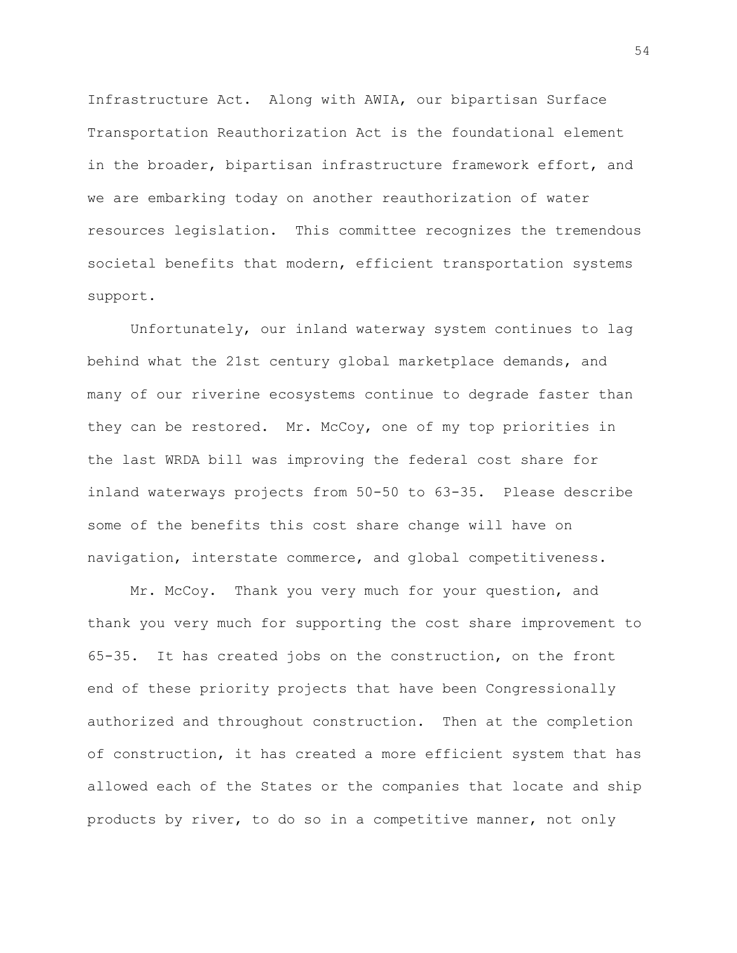Infrastructure Act. Along with AWIA, our bipartisan Surface Transportation Reauthorization Act is the foundational element in the broader, bipartisan infrastructure framework effort, and we are embarking today on another reauthorization of water resources legislation. This committee recognizes the tremendous societal benefits that modern, efficient transportation systems support.

Unfortunately, our inland waterway system continues to lag behind what the 21st century global marketplace demands, and many of our riverine ecosystems continue to degrade faster than they can be restored. Mr. McCoy, one of my top priorities in the last WRDA bill was improving the federal cost share for inland waterways projects from 50-50 to 63-35. Please describe some of the benefits this cost share change will have on navigation, interstate commerce, and global competitiveness.

Mr. McCoy. Thank you very much for your question, and thank you very much for supporting the cost share improvement to 65-35. It has created jobs on the construction, on the front end of these priority projects that have been Congressionally authorized and throughout construction. Then at the completion of construction, it has created a more efficient system that has allowed each of the States or the companies that locate and ship products by river, to do so in a competitive manner, not only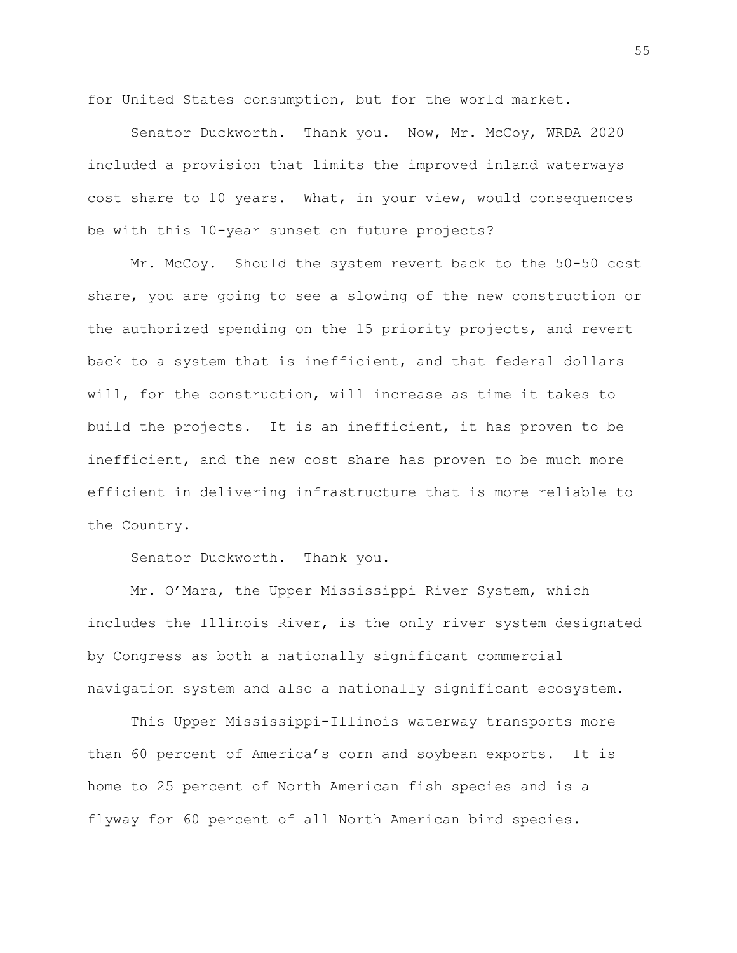for United States consumption, but for the world market.

Senator Duckworth. Thank you. Now, Mr. McCoy, WRDA 2020 included a provision that limits the improved inland waterways cost share to 10 years. What, in your view, would consequences be with this 10-year sunset on future projects?

Mr. McCoy. Should the system revert back to the 50-50 cost share, you are going to see a slowing of the new construction or the authorized spending on the 15 priority projects, and revert back to a system that is inefficient, and that federal dollars will, for the construction, will increase as time it takes to build the projects. It is an inefficient, it has proven to be inefficient, and the new cost share has proven to be much more efficient in delivering infrastructure that is more reliable to the Country.

Senator Duckworth. Thank you.

Mr. O'Mara, the Upper Mississippi River System, which includes the Illinois River, is the only river system designated by Congress as both a nationally significant commercial navigation system and also a nationally significant ecosystem.

This Upper Mississippi-Illinois waterway transports more than 60 percent of America's corn and soybean exports. It is home to 25 percent of North American fish species and is a flyway for 60 percent of all North American bird species.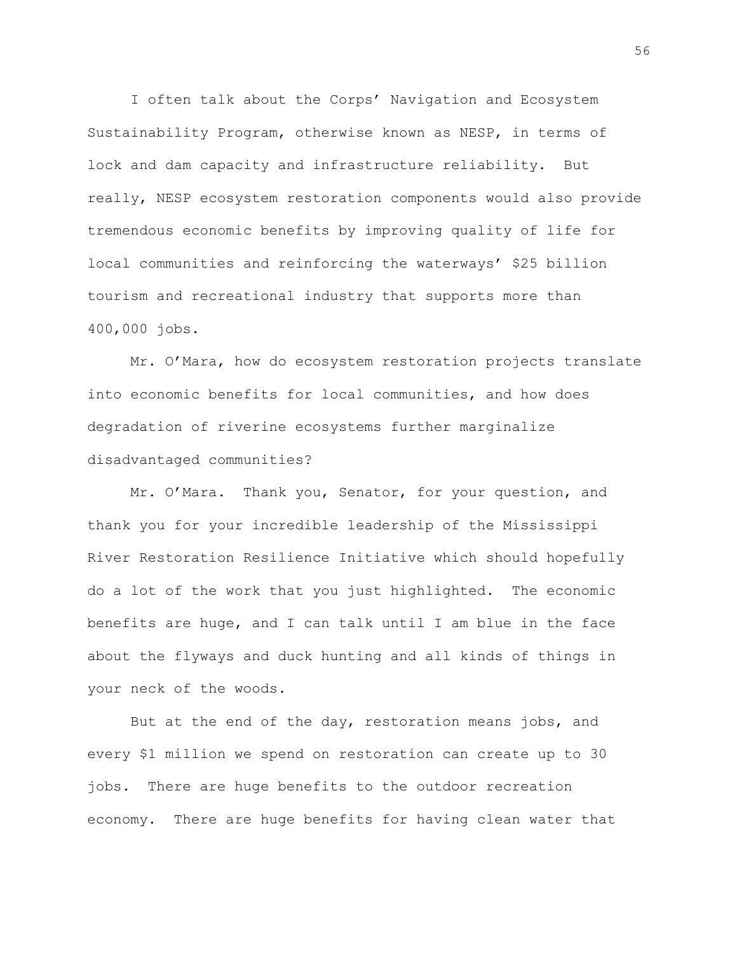I often talk about the Corps' Navigation and Ecosystem Sustainability Program, otherwise known as NESP, in terms of lock and dam capacity and infrastructure reliability. But really, NESP ecosystem restoration components would also provide tremendous economic benefits by improving quality of life for local communities and reinforcing the waterways' \$25 billion tourism and recreational industry that supports more than 400,000 jobs.

Mr. O'Mara, how do ecosystem restoration projects translate into economic benefits for local communities, and how does degradation of riverine ecosystems further marginalize disadvantaged communities?

Mr. O'Mara. Thank you, Senator, for your question, and thank you for your incredible leadership of the Mississippi River Restoration Resilience Initiative which should hopefully do a lot of the work that you just highlighted. The economic benefits are huge, and I can talk until I am blue in the face about the flyways and duck hunting and all kinds of things in your neck of the woods.

But at the end of the day, restoration means jobs, and every \$1 million we spend on restoration can create up to 30 jobs. There are huge benefits to the outdoor recreation economy. There are huge benefits for having clean water that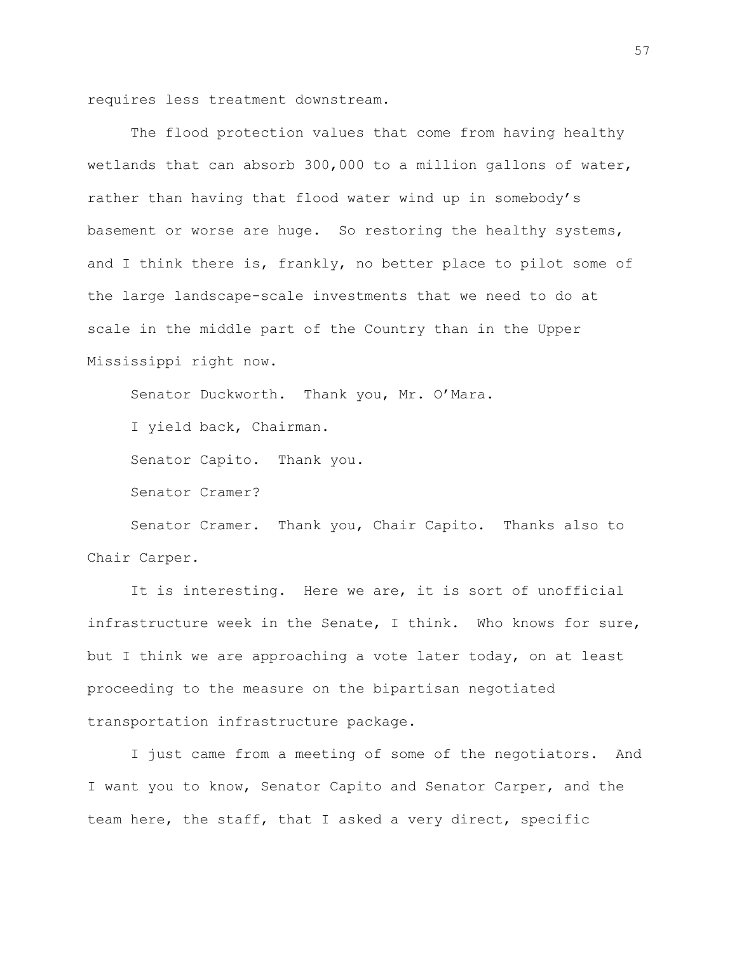requires less treatment downstream.

The flood protection values that come from having healthy wetlands that can absorb 300,000 to a million gallons of water, rather than having that flood water wind up in somebody's basement or worse are huge. So restoring the healthy systems, and I think there is, frankly, no better place to pilot some of the large landscape-scale investments that we need to do at scale in the middle part of the Country than in the Upper Mississippi right now.

Senator Duckworth. Thank you, Mr. O'Mara.

I yield back, Chairman.

Senator Capito. Thank you.

Senator Cramer?

Senator Cramer. Thank you, Chair Capito. Thanks also to Chair Carper.

It is interesting. Here we are, it is sort of unofficial infrastructure week in the Senate, I think. Who knows for sure, but I think we are approaching a vote later today, on at least proceeding to the measure on the bipartisan negotiated transportation infrastructure package.

I just came from a meeting of some of the negotiators. And I want you to know, Senator Capito and Senator Carper, and the team here, the staff, that I asked a very direct, specific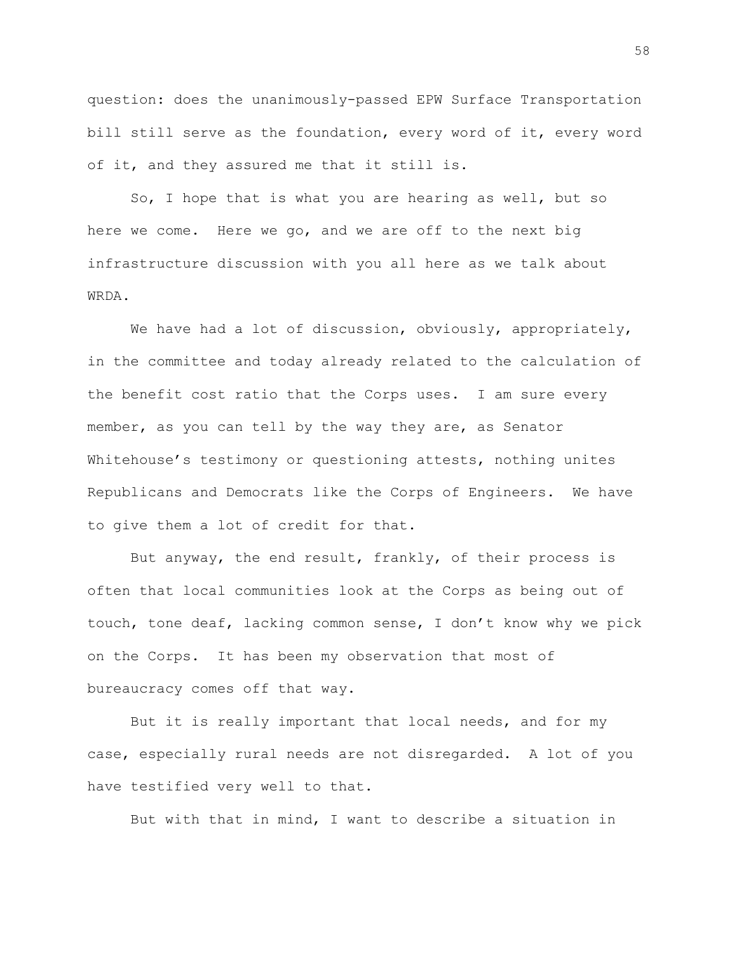question: does the unanimously-passed EPW Surface Transportation bill still serve as the foundation, every word of it, every word of it, and they assured me that it still is.

So, I hope that is what you are hearing as well, but so here we come. Here we go, and we are off to the next big infrastructure discussion with you all here as we talk about WRDA.

We have had a lot of discussion, obviously, appropriately, in the committee and today already related to the calculation of the benefit cost ratio that the Corps uses. I am sure every member, as you can tell by the way they are, as Senator Whitehouse's testimony or questioning attests, nothing unites Republicans and Democrats like the Corps of Engineers. We have to give them a lot of credit for that.

But anyway, the end result, frankly, of their process is often that local communities look at the Corps as being out of touch, tone deaf, lacking common sense, I don't know why we pick on the Corps. It has been my observation that most of bureaucracy comes off that way.

But it is really important that local needs, and for my case, especially rural needs are not disregarded. A lot of you have testified very well to that.

But with that in mind, I want to describe a situation in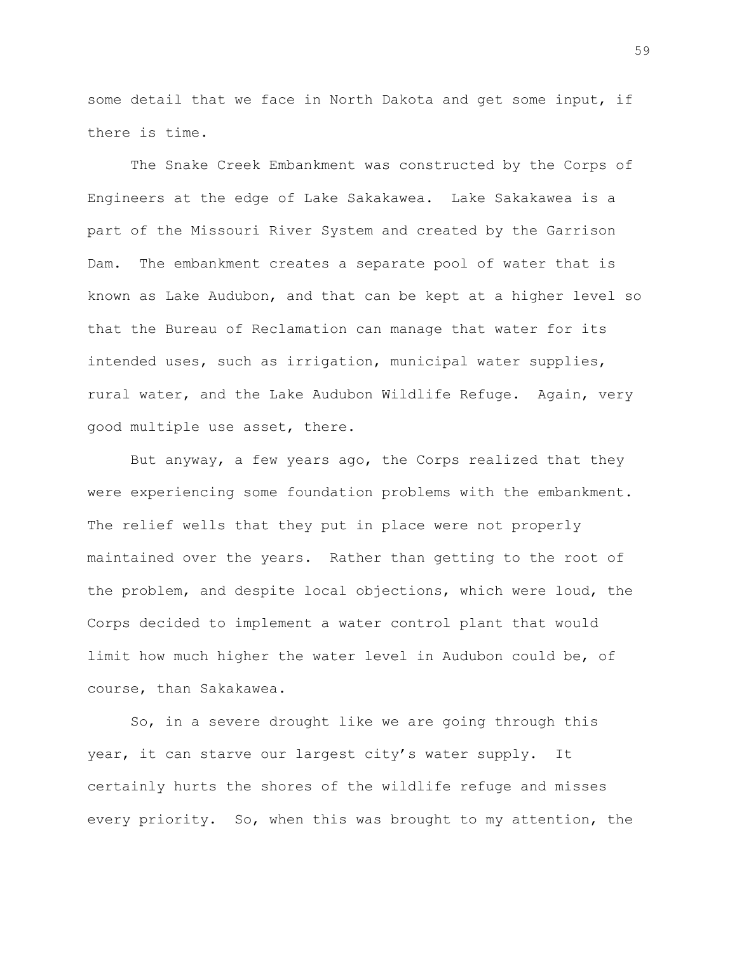some detail that we face in North Dakota and get some input, if there is time.

The Snake Creek Embankment was constructed by the Corps of Engineers at the edge of Lake Sakakawea. Lake Sakakawea is a part of the Missouri River System and created by the Garrison Dam. The embankment creates a separate pool of water that is known as Lake Audubon, and that can be kept at a higher level so that the Bureau of Reclamation can manage that water for its intended uses, such as irrigation, municipal water supplies, rural water, and the Lake Audubon Wildlife Refuge. Again, very good multiple use asset, there.

But anyway, a few years ago, the Corps realized that they were experiencing some foundation problems with the embankment. The relief wells that they put in place were not properly maintained over the years. Rather than getting to the root of the problem, and despite local objections, which were loud, the Corps decided to implement a water control plant that would limit how much higher the water level in Audubon could be, of course, than Sakakawea.

So, in a severe drought like we are going through this year, it can starve our largest city's water supply. It certainly hurts the shores of the wildlife refuge and misses every priority. So, when this was brought to my attention, the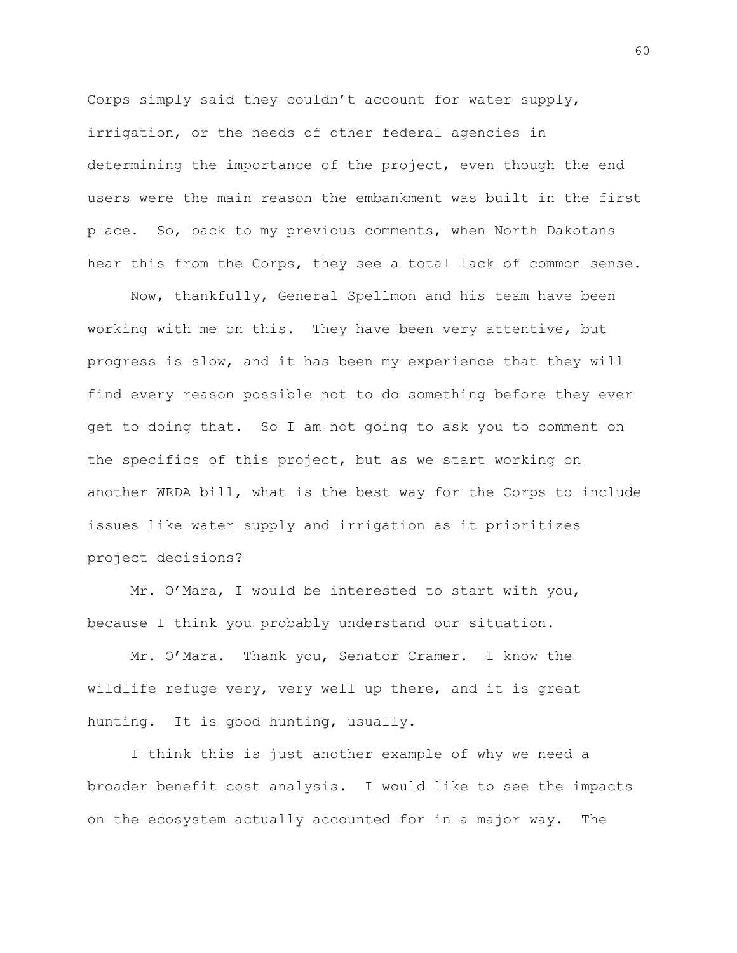Corps simply said they couldn't account for water supply, irrigation, or the needs of other federal agencies in determining the importance of the project, even though the end users were the main reason the embankment was built in the first place. So, back to my previous comments, when North Dakotans hear this from the Corps, they see a total lack of common sense.

Now, thankfully, General Spellmon and his team have been working with me on this. They have been very attentive, but progress is slow, and it has been my experience that they will find every reason possible not to do something before they ever get to doing that. So I am not going to ask you to comment on the specifics of this project, but as we start working on another WRDA bill, what is the best way for the Corps to include issues like water supply and irrigation as it prioritizes project decisions?

Mr. O'Mara, I would be interested to start with you, because I think you probably understand our situation.

Mr. O'Mara. Thank you, Senator Cramer. I know the wildlife refuge very, very well up there, and it is great hunting. It is good hunting, usually.

I think this is just another example of why we need a broader benefit cost analysis. I would like to see the impacts on the ecosystem actually accounted for in a major way. The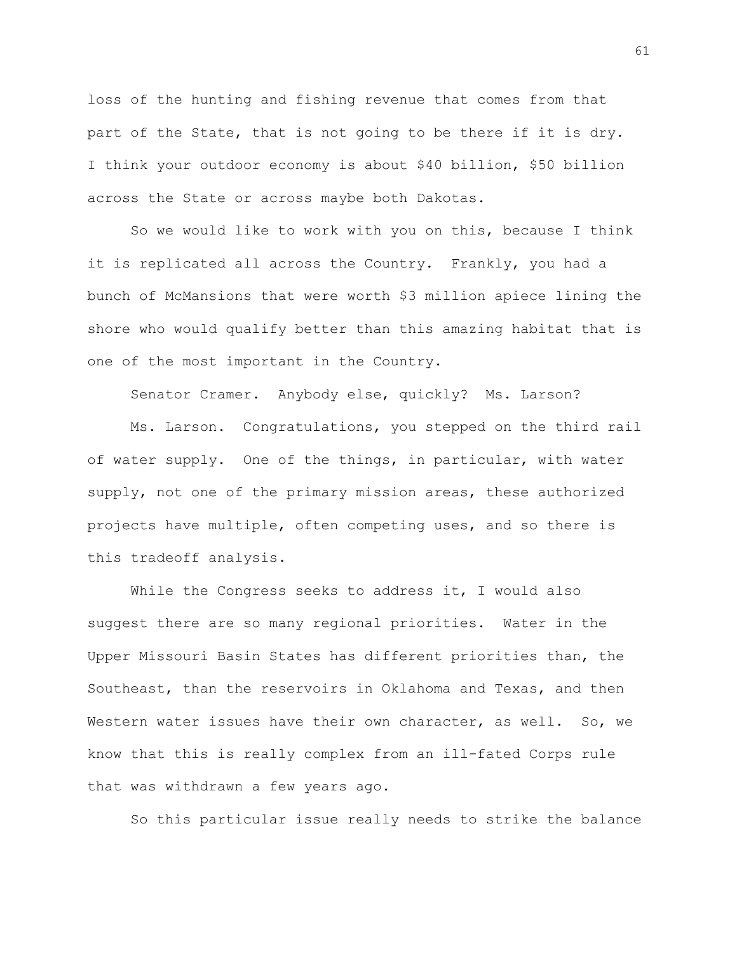loss of the hunting and fishing revenue that comes from that part of the State, that is not going to be there if it is dry. I think your outdoor economy is about \$40 billion, \$50 billion across the State or across maybe both Dakotas.

So we would like to work with you on this, because I think it is replicated all across the Country. Frankly, you had a bunch of McMansions that were worth \$3 million apiece lining the shore who would qualify better than this amazing habitat that is one of the most important in the Country.

Senator Cramer. Anybody else, quickly? Ms. Larson?

Ms. Larson. Congratulations, you stepped on the third rail of water supply. One of the things, in particular, with water supply, not one of the primary mission areas, these authorized projects have multiple, often competing uses, and so there is this tradeoff analysis.

While the Congress seeks to address it, I would also suggest there are so many regional priorities. Water in the Upper Missouri Basin States has different priorities than, the Southeast, than the reservoirs in Oklahoma and Texas, and then Western water issues have their own character, as well. So, we know that this is really complex from an ill-fated Corps rule that was withdrawn a few years ago.

So this particular issue really needs to strike the balance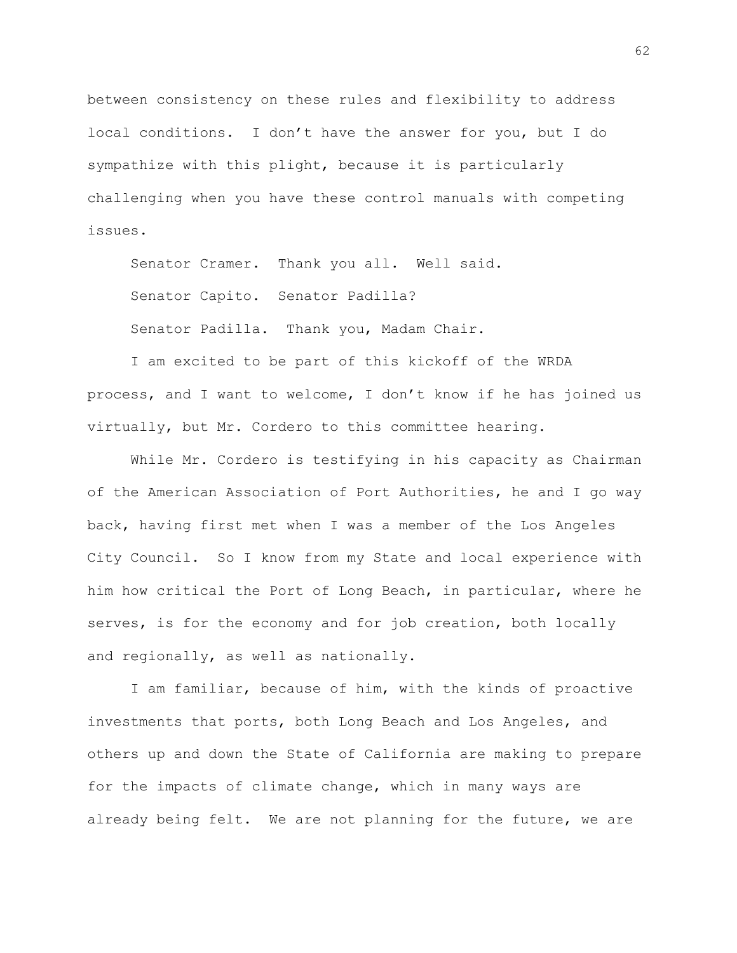between consistency on these rules and flexibility to address local conditions. I don't have the answer for you, but I do sympathize with this plight, because it is particularly challenging when you have these control manuals with competing issues.

Senator Cramer. Thank you all. Well said. Senator Capito. Senator Padilla? Senator Padilla. Thank you, Madam Chair.

I am excited to be part of this kickoff of the WRDA process, and I want to welcome, I don't know if he has joined us virtually, but Mr. Cordero to this committee hearing.

While Mr. Cordero is testifying in his capacity as Chairman of the American Association of Port Authorities, he and I go way back, having first met when I was a member of the Los Angeles City Council. So I know from my State and local experience with him how critical the Port of Long Beach, in particular, where he serves, is for the economy and for job creation, both locally and regionally, as well as nationally.

I am familiar, because of him, with the kinds of proactive investments that ports, both Long Beach and Los Angeles, and others up and down the State of California are making to prepare for the impacts of climate change, which in many ways are already being felt. We are not planning for the future, we are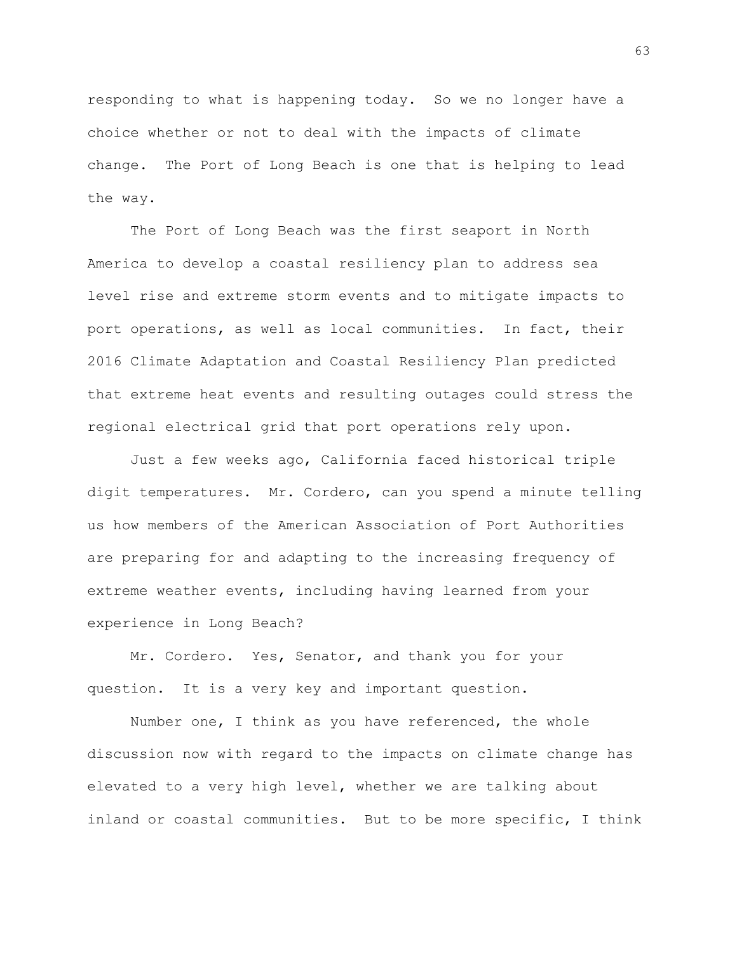responding to what is happening today. So we no longer have a choice whether or not to deal with the impacts of climate change. The Port of Long Beach is one that is helping to lead the way.

The Port of Long Beach was the first seaport in North America to develop a coastal resiliency plan to address sea level rise and extreme storm events and to mitigate impacts to port operations, as well as local communities. In fact, their 2016 Climate Adaptation and Coastal Resiliency Plan predicted that extreme heat events and resulting outages could stress the regional electrical grid that port operations rely upon.

Just a few weeks ago, California faced historical triple digit temperatures. Mr. Cordero, can you spend a minute telling us how members of the American Association of Port Authorities are preparing for and adapting to the increasing frequency of extreme weather events, including having learned from your experience in Long Beach?

Mr. Cordero. Yes, Senator, and thank you for your question. It is a very key and important question.

Number one, I think as you have referenced, the whole discussion now with regard to the impacts on climate change has elevated to a very high level, whether we are talking about inland or coastal communities. But to be more specific, I think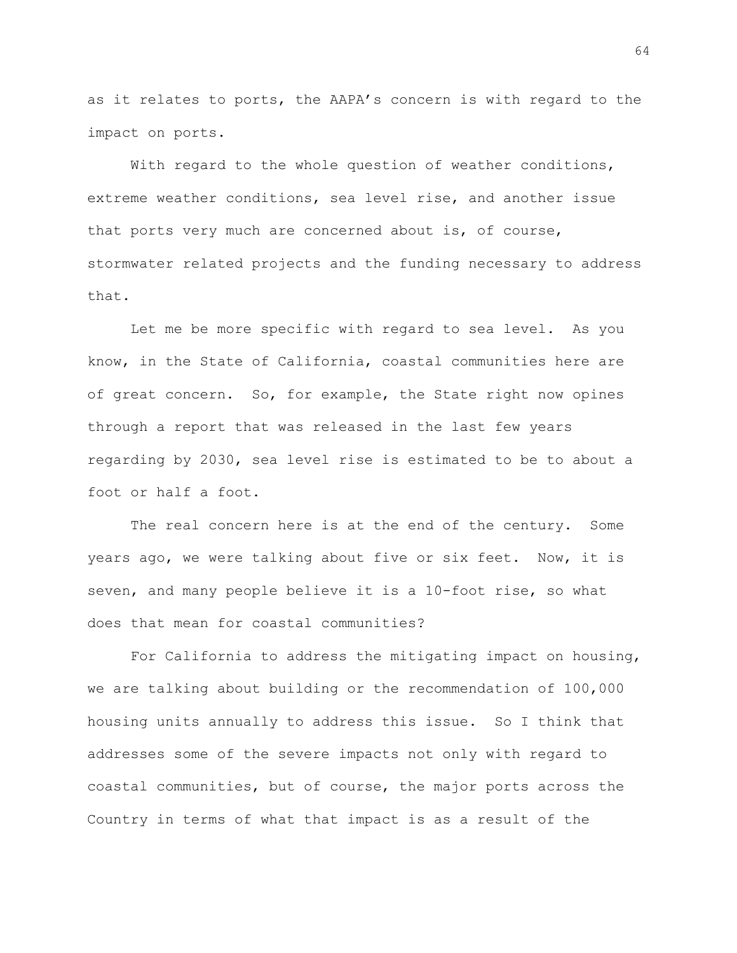as it relates to ports, the AAPA's concern is with regard to the impact on ports.

With regard to the whole question of weather conditions, extreme weather conditions, sea level rise, and another issue that ports very much are concerned about is, of course, stormwater related projects and the funding necessary to address that.

Let me be more specific with regard to sea level. As you know, in the State of California, coastal communities here are of great concern. So, for example, the State right now opines through a report that was released in the last few years regarding by 2030, sea level rise is estimated to be to about a foot or half a foot.

The real concern here is at the end of the century. Some years ago, we were talking about five or six feet. Now, it is seven, and many people believe it is a 10-foot rise, so what does that mean for coastal communities?

For California to address the mitigating impact on housing, we are talking about building or the recommendation of 100,000 housing units annually to address this issue. So I think that addresses some of the severe impacts not only with regard to coastal communities, but of course, the major ports across the Country in terms of what that impact is as a result of the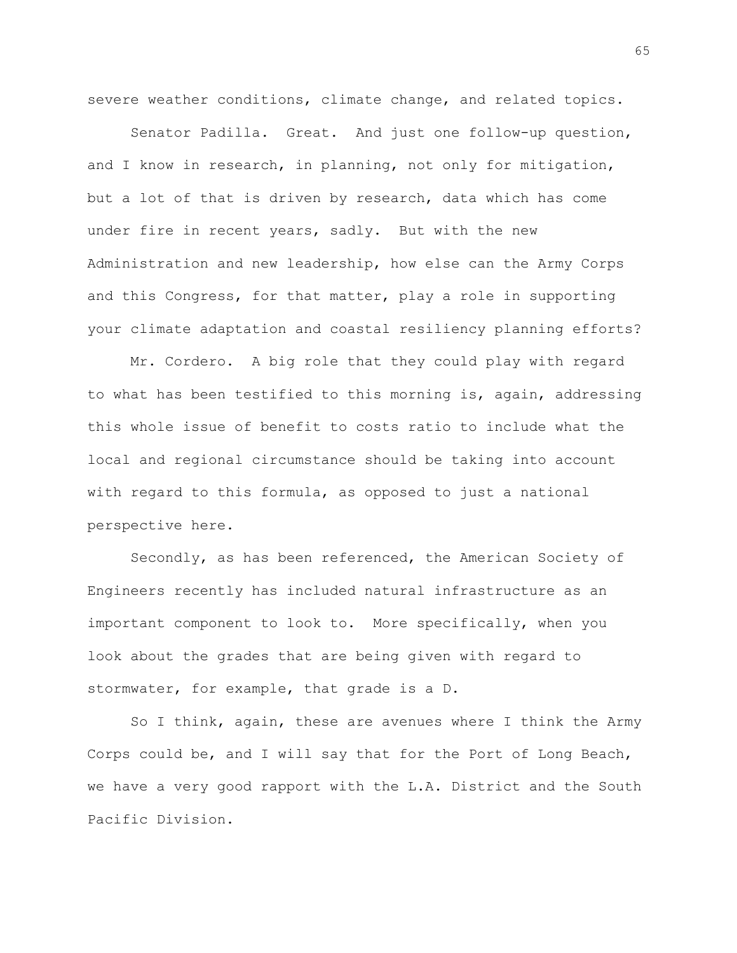severe weather conditions, climate change, and related topics.

Senator Padilla. Great. And just one follow-up question, and I know in research, in planning, not only for mitigation, but a lot of that is driven by research, data which has come under fire in recent years, sadly. But with the new Administration and new leadership, how else can the Army Corps and this Congress, for that matter, play a role in supporting your climate adaptation and coastal resiliency planning efforts?

Mr. Cordero. A big role that they could play with regard to what has been testified to this morning is, again, addressing this whole issue of benefit to costs ratio to include what the local and regional circumstance should be taking into account with regard to this formula, as opposed to just a national perspective here.

Secondly, as has been referenced, the American Society of Engineers recently has included natural infrastructure as an important component to look to. More specifically, when you look about the grades that are being given with regard to stormwater, for example, that grade is a D.

So I think, again, these are avenues where I think the Army Corps could be, and I will say that for the Port of Long Beach, we have a very good rapport with the L.A. District and the South Pacific Division.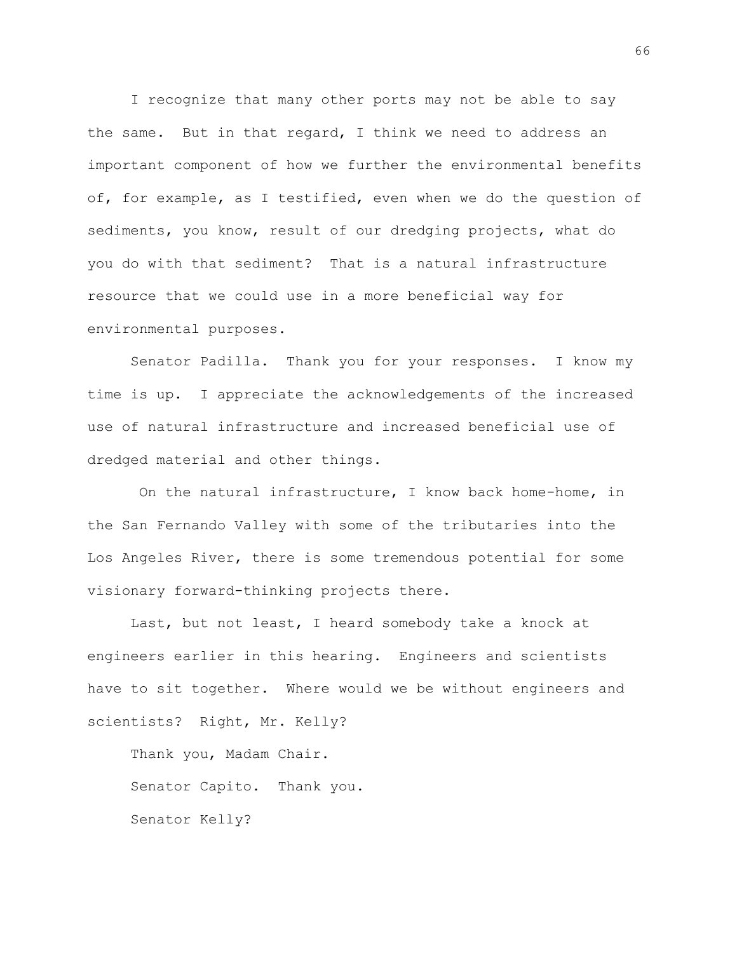I recognize that many other ports may not be able to say the same. But in that regard, I think we need to address an important component of how we further the environmental benefits of, for example, as I testified, even when we do the question of sediments, you know, result of our dredging projects, what do you do with that sediment? That is a natural infrastructure resource that we could use in a more beneficial way for environmental purposes.

Senator Padilla. Thank you for your responses. I know my time is up. I appreciate the acknowledgements of the increased use of natural infrastructure and increased beneficial use of dredged material and other things.

On the natural infrastructure, I know back home-home, in the San Fernando Valley with some of the tributaries into the Los Angeles River, there is some tremendous potential for some visionary forward-thinking projects there.

Last, but not least, I heard somebody take a knock at engineers earlier in this hearing. Engineers and scientists have to sit together. Where would we be without engineers and scientists? Right, Mr. Kelly?

Thank you, Madam Chair. Senator Capito. Thank you. Senator Kelly?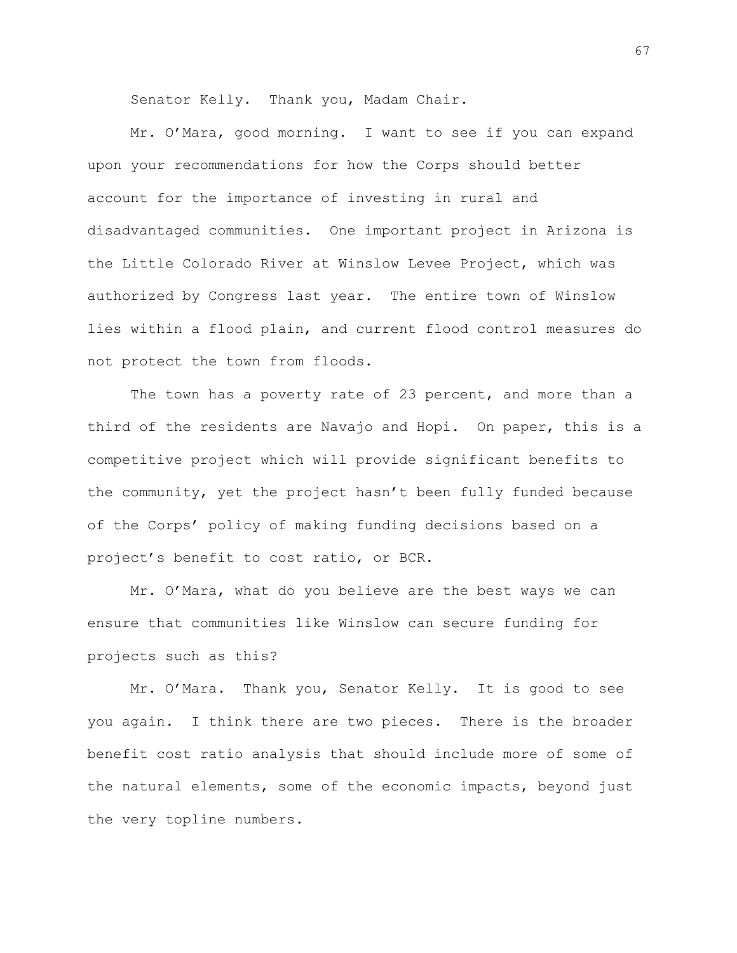Senator Kelly. Thank you, Madam Chair.

Mr. O'Mara, good morning. I want to see if you can expand upon your recommendations for how the Corps should better account for the importance of investing in rural and disadvantaged communities. One important project in Arizona is the Little Colorado River at Winslow Levee Project, which was authorized by Congress last year. The entire town of Winslow lies within a flood plain, and current flood control measures do not protect the town from floods.

The town has a poverty rate of 23 percent, and more than a third of the residents are Navajo and Hopi. On paper, this is a competitive project which will provide significant benefits to the community, yet the project hasn't been fully funded because of the Corps' policy of making funding decisions based on a project's benefit to cost ratio, or BCR.

Mr. O'Mara, what do you believe are the best ways we can ensure that communities like Winslow can secure funding for projects such as this?

Mr. O'Mara. Thank you, Senator Kelly. It is good to see you again. I think there are two pieces. There is the broader benefit cost ratio analysis that should include more of some of the natural elements, some of the economic impacts, beyond just the very topline numbers.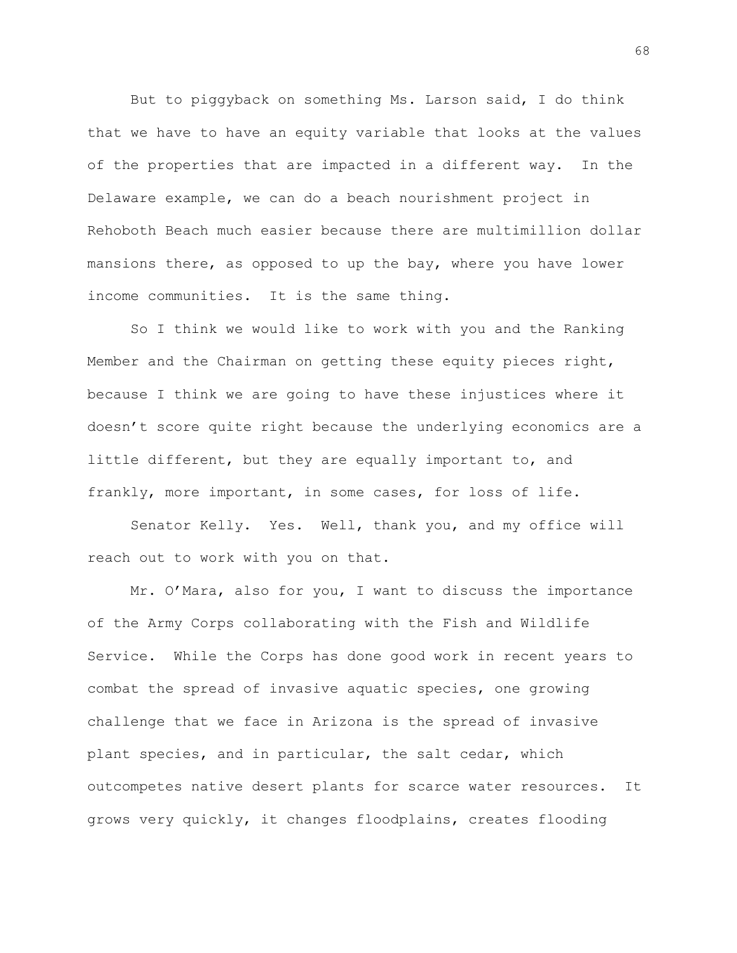But to piggyback on something Ms. Larson said, I do think that we have to have an equity variable that looks at the values of the properties that are impacted in a different way. In the Delaware example, we can do a beach nourishment project in Rehoboth Beach much easier because there are multimillion dollar mansions there, as opposed to up the bay, where you have lower income communities. It is the same thing.

So I think we would like to work with you and the Ranking Member and the Chairman on getting these equity pieces right, because I think we are going to have these injustices where it doesn't score quite right because the underlying economics are a little different, but they are equally important to, and frankly, more important, in some cases, for loss of life.

Senator Kelly. Yes. Well, thank you, and my office will reach out to work with you on that.

Mr. O'Mara, also for you, I want to discuss the importance of the Army Corps collaborating with the Fish and Wildlife Service. While the Corps has done good work in recent years to combat the spread of invasive aquatic species, one growing challenge that we face in Arizona is the spread of invasive plant species, and in particular, the salt cedar, which outcompetes native desert plants for scarce water resources. It grows very quickly, it changes floodplains, creates flooding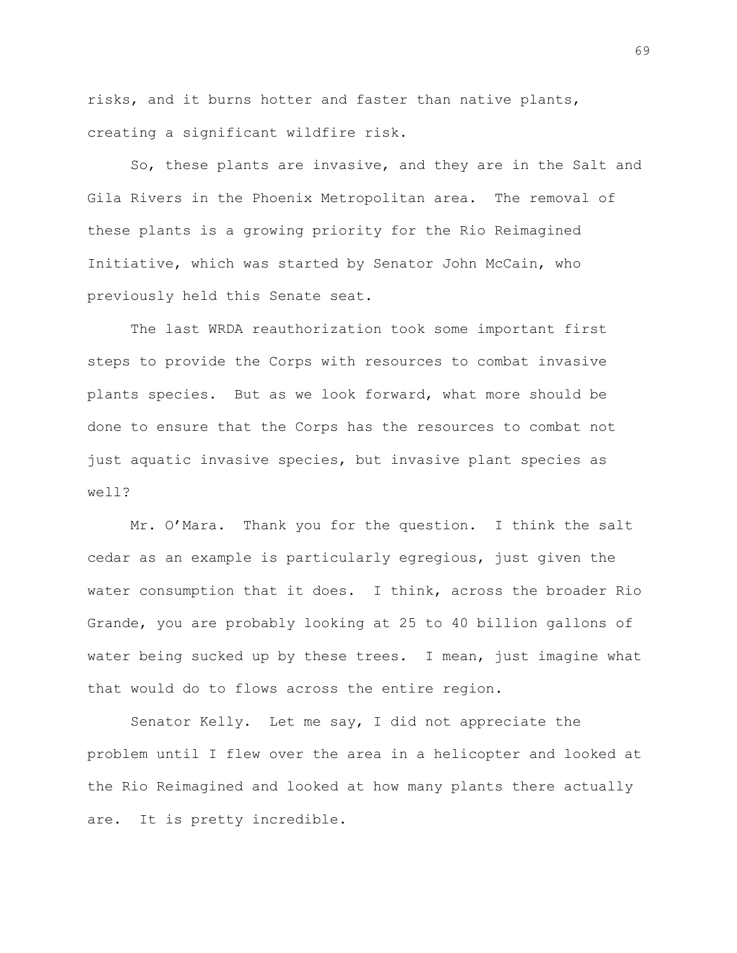risks, and it burns hotter and faster than native plants, creating a significant wildfire risk.

So, these plants are invasive, and they are in the Salt and Gila Rivers in the Phoenix Metropolitan area. The removal of these plants is a growing priority for the Rio Reimagined Initiative, which was started by Senator John McCain, who previously held this Senate seat.

The last WRDA reauthorization took some important first steps to provide the Corps with resources to combat invasive plants species. But as we look forward, what more should be done to ensure that the Corps has the resources to combat not just aquatic invasive species, but invasive plant species as well?

Mr. O'Mara. Thank you for the question. I think the salt cedar as an example is particularly egregious, just given the water consumption that it does. I think, across the broader Rio Grande, you are probably looking at 25 to 40 billion gallons of water being sucked up by these trees. I mean, just imagine what that would do to flows across the entire region.

Senator Kelly. Let me say, I did not appreciate the problem until I flew over the area in a helicopter and looked at the Rio Reimagined and looked at how many plants there actually are. It is pretty incredible.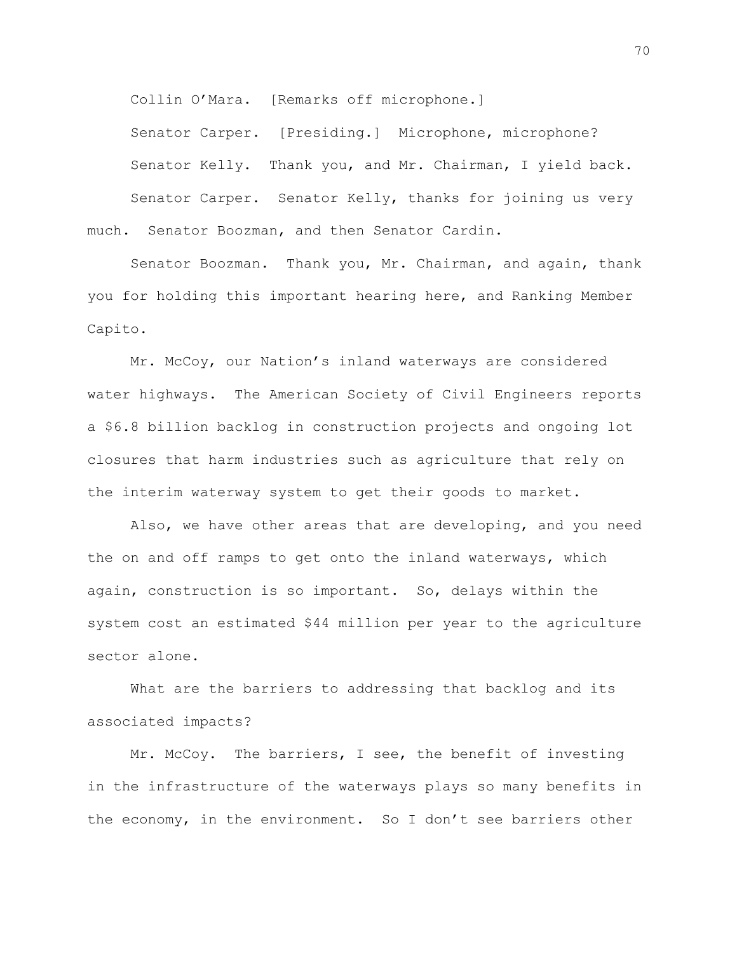Collin O'Mara. [Remarks off microphone.]

Senator Carper. [Presiding.] Microphone, microphone?

Senator Kelly. Thank you, and Mr. Chairman, I yield back.

Senator Carper. Senator Kelly, thanks for joining us very much. Senator Boozman, and then Senator Cardin.

Senator Boozman. Thank you, Mr. Chairman, and again, thank you for holding this important hearing here, and Ranking Member Capito.

Mr. McCoy, our Nation's inland waterways are considered water highways. The American Society of Civil Engineers reports a \$6.8 billion backlog in construction projects and ongoing lot closures that harm industries such as agriculture that rely on the interim waterway system to get their goods to market.

Also, we have other areas that are developing, and you need the on and off ramps to get onto the inland waterways, which again, construction is so important. So, delays within the system cost an estimated \$44 million per year to the agriculture sector alone.

What are the barriers to addressing that backlog and its associated impacts?

Mr. McCoy. The barriers, I see, the benefit of investing in the infrastructure of the waterways plays so many benefits in the economy, in the environment. So I don't see barriers other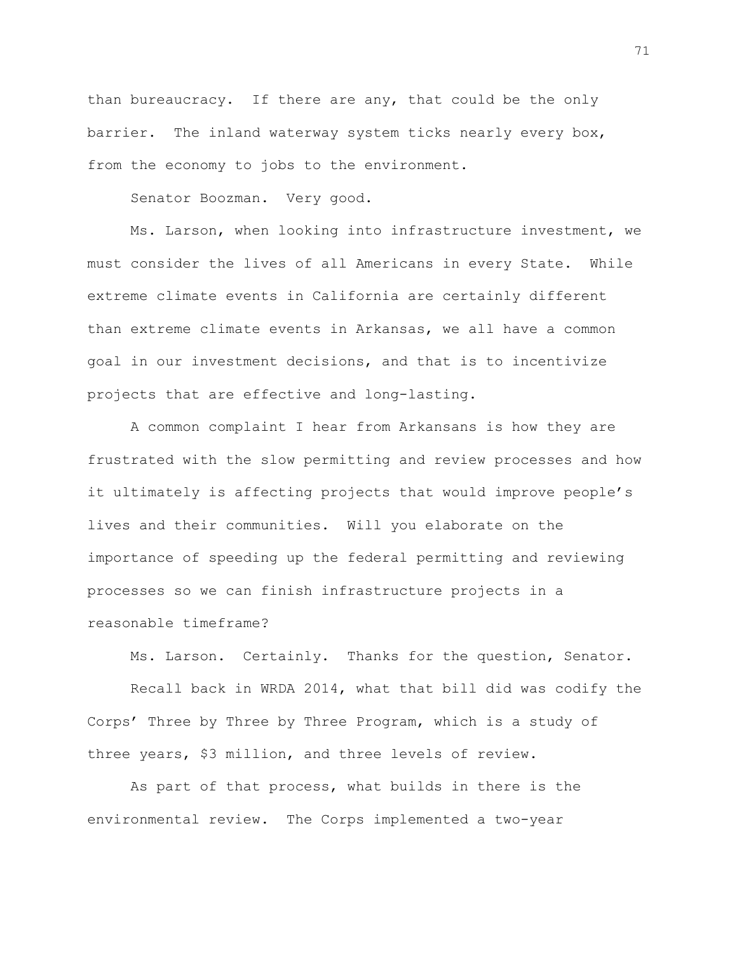than bureaucracy. If there are any, that could be the only barrier. The inland waterway system ticks nearly every box, from the economy to jobs to the environment.

Senator Boozman. Very good.

Ms. Larson, when looking into infrastructure investment, we must consider the lives of all Americans in every State. While extreme climate events in California are certainly different than extreme climate events in Arkansas, we all have a common goal in our investment decisions, and that is to incentivize projects that are effective and long-lasting.

A common complaint I hear from Arkansans is how they are frustrated with the slow permitting and review processes and how it ultimately is affecting projects that would improve people's lives and their communities. Will you elaborate on the importance of speeding up the federal permitting and reviewing processes so we can finish infrastructure projects in a reasonable timeframe?

Ms. Larson. Certainly. Thanks for the question, Senator.

Recall back in WRDA 2014, what that bill did was codify the Corps' Three by Three by Three Program, which is a study of three years, \$3 million, and three levels of review.

As part of that process, what builds in there is the environmental review. The Corps implemented a two-year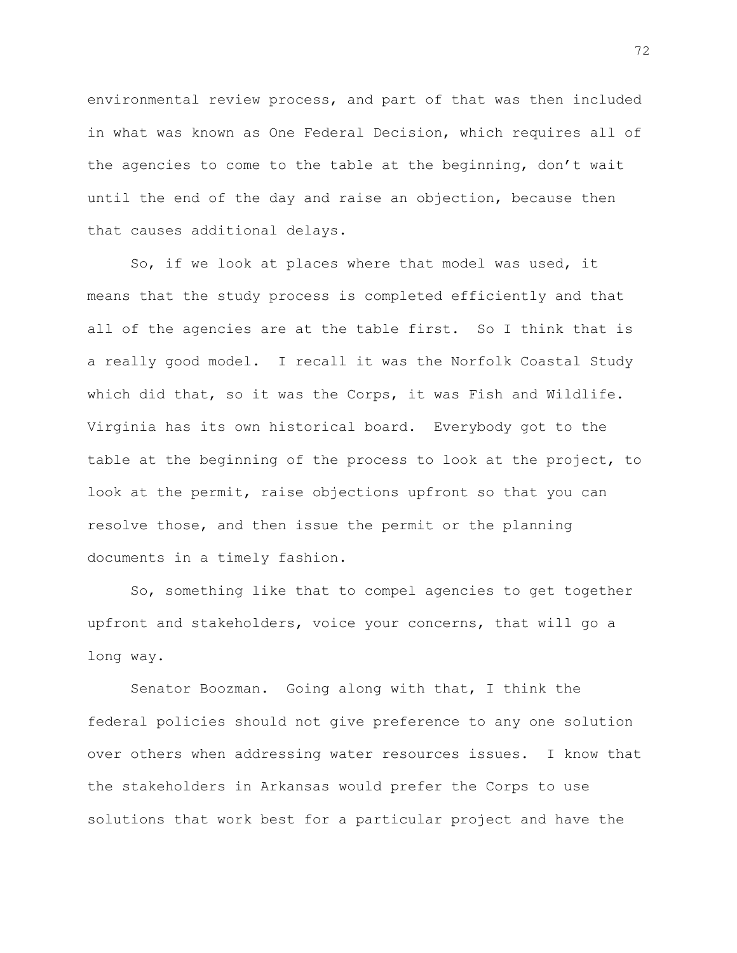environmental review process, and part of that was then included in what was known as One Federal Decision, which requires all of the agencies to come to the table at the beginning, don't wait until the end of the day and raise an objection, because then that causes additional delays.

So, if we look at places where that model was used, it means that the study process is completed efficiently and that all of the agencies are at the table first. So I think that is a really good model. I recall it was the Norfolk Coastal Study which did that, so it was the Corps, it was Fish and Wildlife. Virginia has its own historical board. Everybody got to the table at the beginning of the process to look at the project, to look at the permit, raise objections upfront so that you can resolve those, and then issue the permit or the planning documents in a timely fashion.

So, something like that to compel agencies to get together upfront and stakeholders, voice your concerns, that will go a long way.

Senator Boozman. Going along with that, I think the federal policies should not give preference to any one solution over others when addressing water resources issues. I know that the stakeholders in Arkansas would prefer the Corps to use solutions that work best for a particular project and have the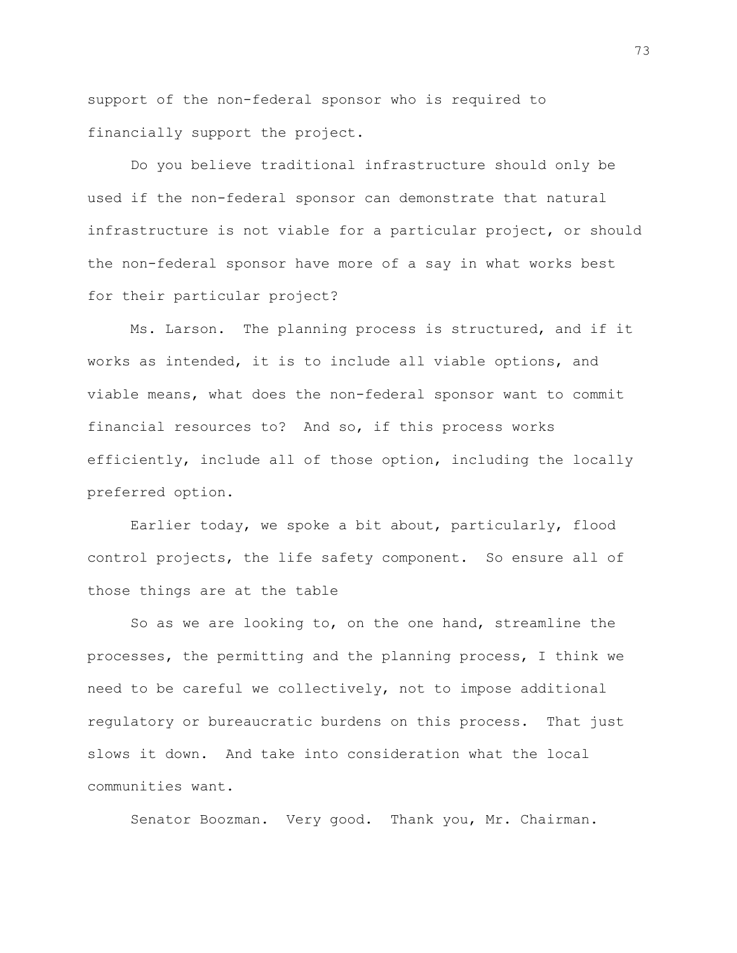support of the non-federal sponsor who is required to financially support the project.

Do you believe traditional infrastructure should only be used if the non-federal sponsor can demonstrate that natural infrastructure is not viable for a particular project, or should the non-federal sponsor have more of a say in what works best for their particular project?

Ms. Larson. The planning process is structured, and if it works as intended, it is to include all viable options, and viable means, what does the non-federal sponsor want to commit financial resources to? And so, if this process works efficiently, include all of those option, including the locally preferred option.

Earlier today, we spoke a bit about, particularly, flood control projects, the life safety component. So ensure all of those things are at the table

So as we are looking to, on the one hand, streamline the processes, the permitting and the planning process, I think we need to be careful we collectively, not to impose additional regulatory or bureaucratic burdens on this process. That just slows it down. And take into consideration what the local communities want.

Senator Boozman. Very good. Thank you, Mr. Chairman.

73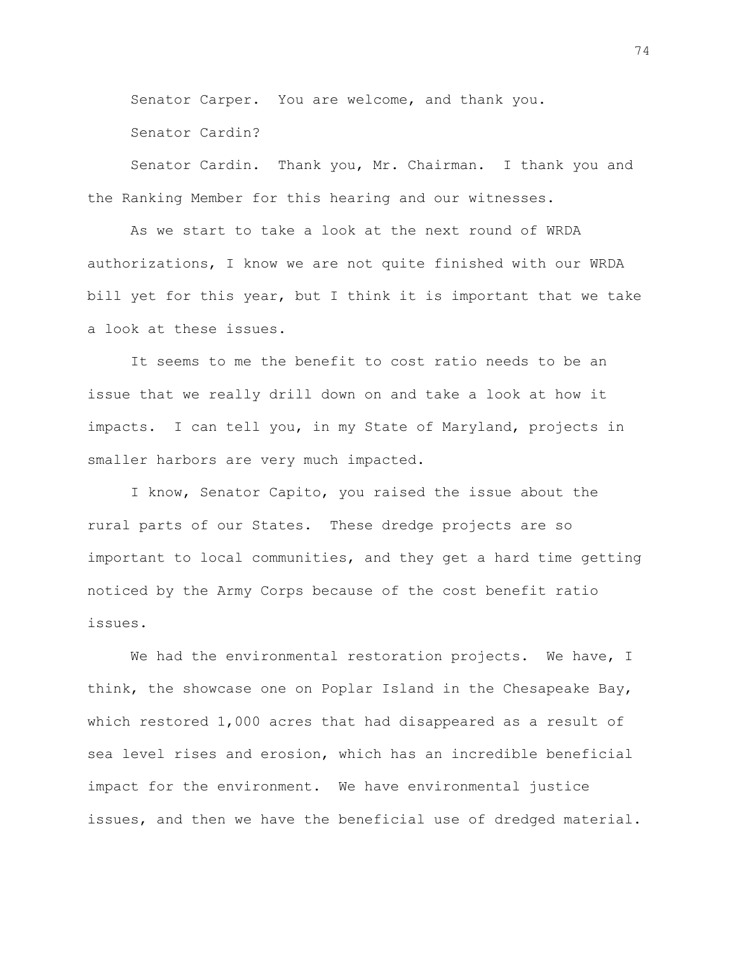Senator Carper. You are welcome, and thank you.

Senator Cardin?

Senator Cardin. Thank you, Mr. Chairman. I thank you and the Ranking Member for this hearing and our witnesses.

As we start to take a look at the next round of WRDA authorizations, I know we are not quite finished with our WRDA bill yet for this year, but I think it is important that we take a look at these issues.

It seems to me the benefit to cost ratio needs to be an issue that we really drill down on and take a look at how it impacts. I can tell you, in my State of Maryland, projects in smaller harbors are very much impacted.

I know, Senator Capito, you raised the issue about the rural parts of our States. These dredge projects are so important to local communities, and they get a hard time getting noticed by the Army Corps because of the cost benefit ratio issues.

We had the environmental restoration projects. We have, I think, the showcase one on Poplar Island in the Chesapeake Bay, which restored 1,000 acres that had disappeared as a result of sea level rises and erosion, which has an incredible beneficial impact for the environment. We have environmental justice issues, and then we have the beneficial use of dredged material.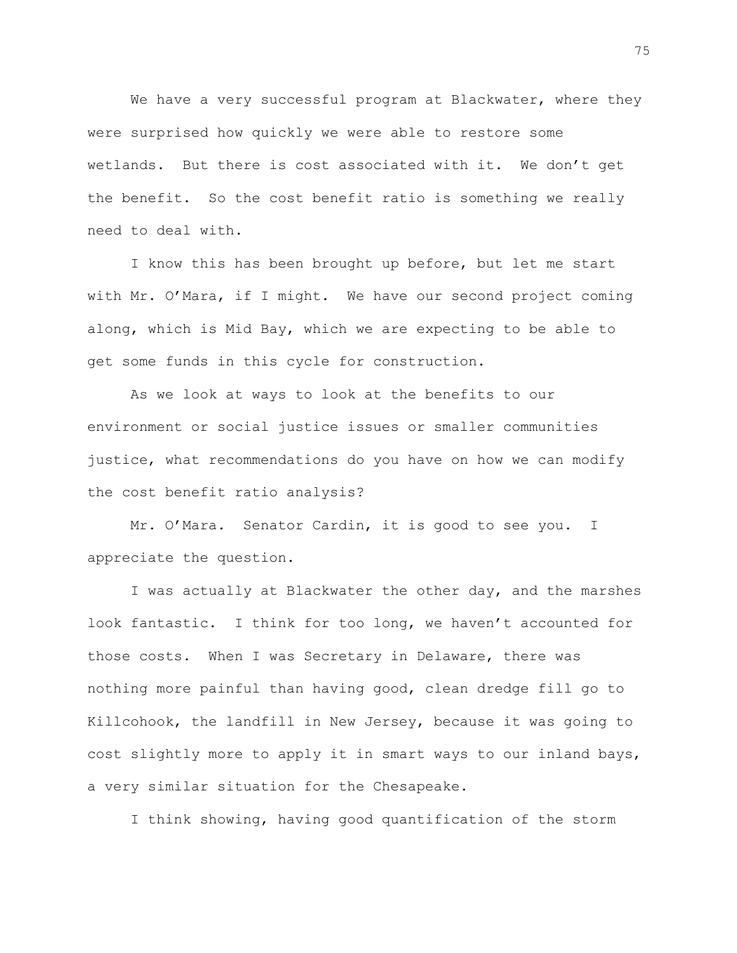We have a very successful program at Blackwater, where they were surprised how quickly we were able to restore some wetlands. But there is cost associated with it. We don't get the benefit. So the cost benefit ratio is something we really need to deal with.

I know this has been brought up before, but let me start with Mr. O'Mara, if I might. We have our second project coming along, which is Mid Bay, which we are expecting to be able to get some funds in this cycle for construction.

As we look at ways to look at the benefits to our environment or social justice issues or smaller communities justice, what recommendations do you have on how we can modify the cost benefit ratio analysis?

Mr. O'Mara. Senator Cardin, it is good to see you. I appreciate the question.

I was actually at Blackwater the other day, and the marshes look fantastic. I think for too long, we haven't accounted for those costs. When I was Secretary in Delaware, there was nothing more painful than having good, clean dredge fill go to Killcohook, the landfill in New Jersey, because it was going to cost slightly more to apply it in smart ways to our inland bays, a very similar situation for the Chesapeake.

I think showing, having good quantification of the storm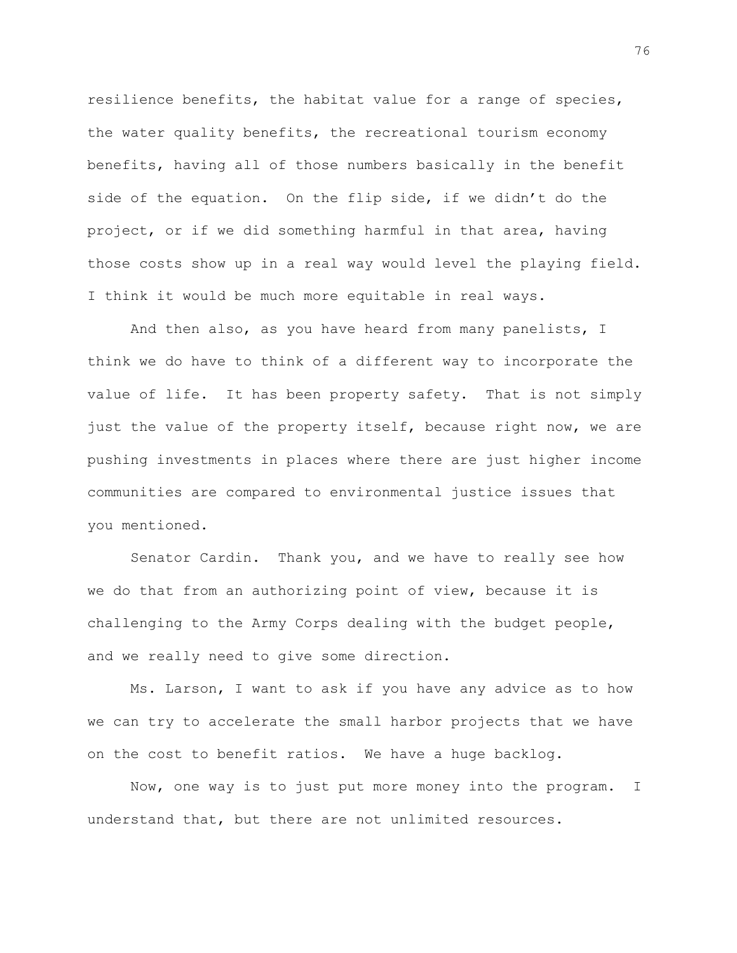resilience benefits, the habitat value for a range of species, the water quality benefits, the recreational tourism economy benefits, having all of those numbers basically in the benefit side of the equation. On the flip side, if we didn't do the project, or if we did something harmful in that area, having those costs show up in a real way would level the playing field. I think it would be much more equitable in real ways.

And then also, as you have heard from many panelists, I think we do have to think of a different way to incorporate the value of life. It has been property safety. That is not simply just the value of the property itself, because right now, we are pushing investments in places where there are just higher income communities are compared to environmental justice issues that you mentioned.

Senator Cardin. Thank you, and we have to really see how we do that from an authorizing point of view, because it is challenging to the Army Corps dealing with the budget people, and we really need to give some direction.

Ms. Larson, I want to ask if you have any advice as to how we can try to accelerate the small harbor projects that we have on the cost to benefit ratios. We have a huge backlog.

Now, one way is to just put more money into the program. I understand that, but there are not unlimited resources.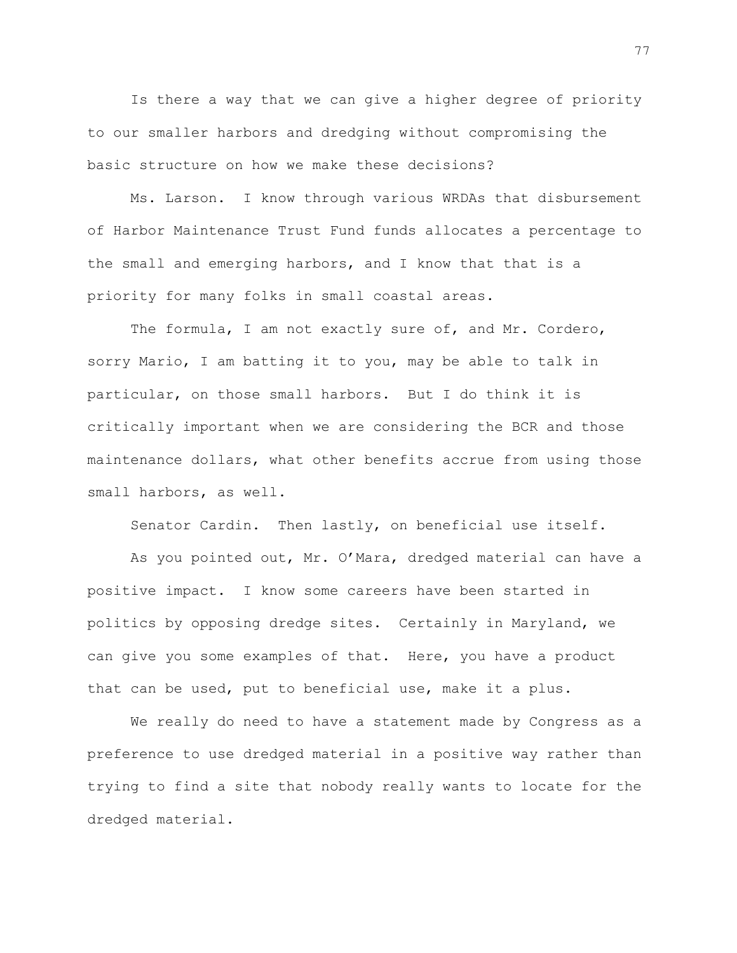Is there a way that we can give a higher degree of priority to our smaller harbors and dredging without compromising the basic structure on how we make these decisions?

Ms. Larson. I know through various WRDAs that disbursement of Harbor Maintenance Trust Fund funds allocates a percentage to the small and emerging harbors, and I know that that is a priority for many folks in small coastal areas.

The formula, I am not exactly sure of, and Mr. Cordero, sorry Mario, I am batting it to you, may be able to talk in particular, on those small harbors. But I do think it is critically important when we are considering the BCR and those maintenance dollars, what other benefits accrue from using those small harbors, as well.

Senator Cardin. Then lastly, on beneficial use itself.

As you pointed out, Mr. O'Mara, dredged material can have a positive impact. I know some careers have been started in politics by opposing dredge sites. Certainly in Maryland, we can give you some examples of that. Here, you have a product that can be used, put to beneficial use, make it a plus.

We really do need to have a statement made by Congress as a preference to use dredged material in a positive way rather than trying to find a site that nobody really wants to locate for the dredged material.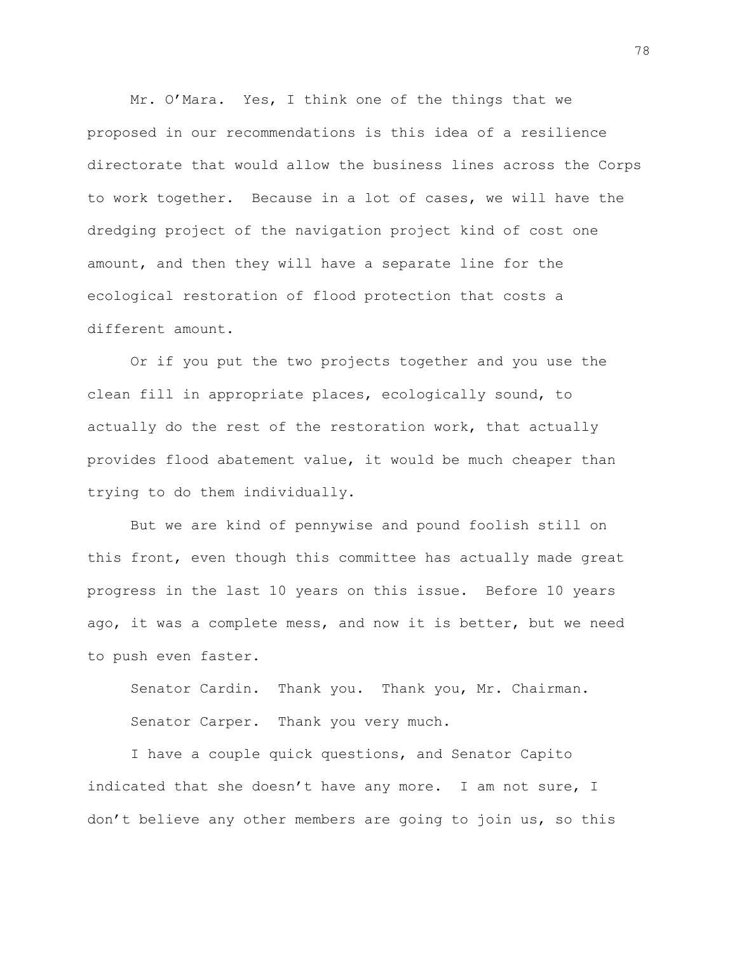Mr. O'Mara. Yes, I think one of the things that we proposed in our recommendations is this idea of a resilience directorate that would allow the business lines across the Corps to work together. Because in a lot of cases, we will have the dredging project of the navigation project kind of cost one amount, and then they will have a separate line for the ecological restoration of flood protection that costs a different amount.

Or if you put the two projects together and you use the clean fill in appropriate places, ecologically sound, to actually do the rest of the restoration work, that actually provides flood abatement value, it would be much cheaper than trying to do them individually.

But we are kind of pennywise and pound foolish still on this front, even though this committee has actually made great progress in the last 10 years on this issue. Before 10 years ago, it was a complete mess, and now it is better, but we need to push even faster.

Senator Cardin. Thank you. Thank you, Mr. Chairman. Senator Carper. Thank you very much.

I have a couple quick questions, and Senator Capito indicated that she doesn't have any more. I am not sure, I don't believe any other members are going to join us, so this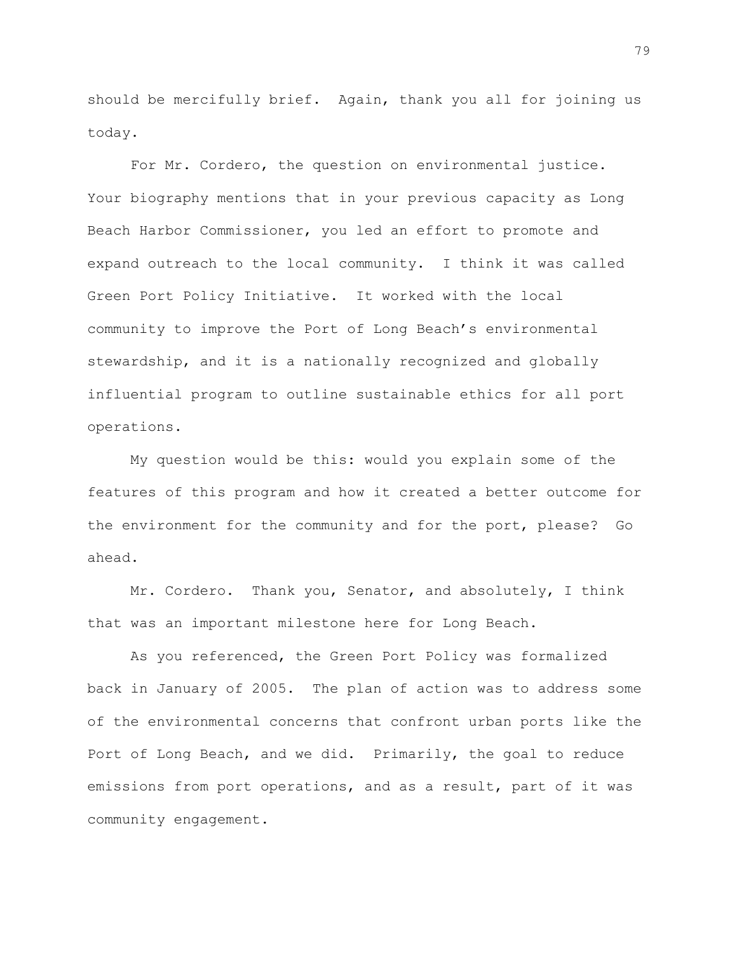should be mercifully brief. Again, thank you all for joining us today.

For Mr. Cordero, the question on environmental justice. Your biography mentions that in your previous capacity as Long Beach Harbor Commissioner, you led an effort to promote and expand outreach to the local community. I think it was called Green Port Policy Initiative. It worked with the local community to improve the Port of Long Beach's environmental stewardship, and it is a nationally recognized and globally influential program to outline sustainable ethics for all port operations.

My question would be this: would you explain some of the features of this program and how it created a better outcome for the environment for the community and for the port, please? Go ahead.

Mr. Cordero. Thank you, Senator, and absolutely, I think that was an important milestone here for Long Beach.

As you referenced, the Green Port Policy was formalized back in January of 2005. The plan of action was to address some of the environmental concerns that confront urban ports like the Port of Long Beach, and we did. Primarily, the goal to reduce emissions from port operations, and as a result, part of it was community engagement.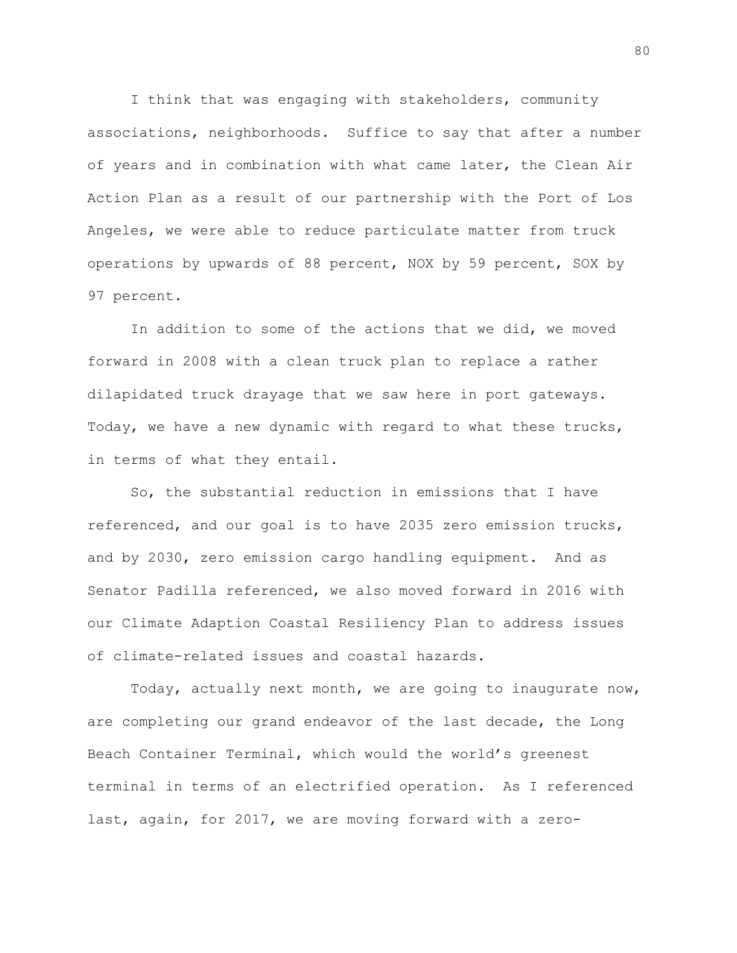I think that was engaging with stakeholders, community associations, neighborhoods. Suffice to say that after a number of years and in combination with what came later, the Clean Air Action Plan as a result of our partnership with the Port of Los Angeles, we were able to reduce particulate matter from truck operations by upwards of 88 percent, NOX by 59 percent, SOX by 97 percent.

In addition to some of the actions that we did, we moved forward in 2008 with a clean truck plan to replace a rather dilapidated truck drayage that we saw here in port gateways. Today, we have a new dynamic with regard to what these trucks, in terms of what they entail.

So, the substantial reduction in emissions that I have referenced, and our goal is to have 2035 zero emission trucks, and by 2030, zero emission cargo handling equipment. And as Senator Padilla referenced, we also moved forward in 2016 with our Climate Adaption Coastal Resiliency Plan to address issues of climate-related issues and coastal hazards.

Today, actually next month, we are going to inaugurate now, are completing our grand endeavor of the last decade, the Long Beach Container Terminal, which would the world's greenest terminal in terms of an electrified operation. As I referenced last, again, for 2017, we are moving forward with a zero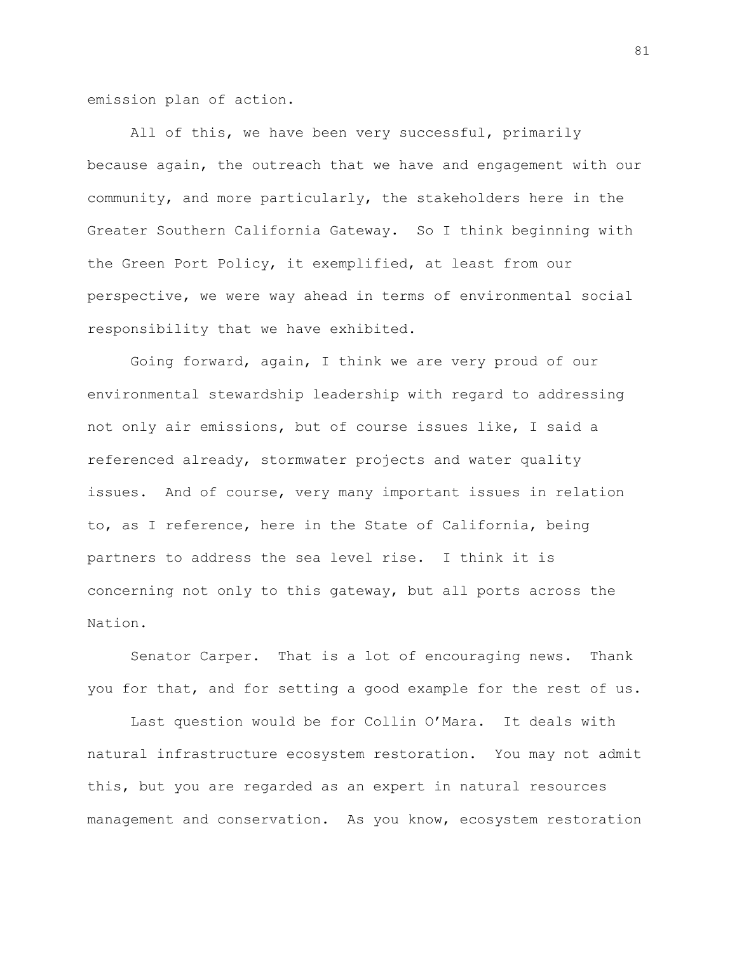emission plan of action.

All of this, we have been very successful, primarily because again, the outreach that we have and engagement with our community, and more particularly, the stakeholders here in the Greater Southern California Gateway. So I think beginning with the Green Port Policy, it exemplified, at least from our perspective, we were way ahead in terms of environmental social responsibility that we have exhibited.

Going forward, again, I think we are very proud of our environmental stewardship leadership with regard to addressing not only air emissions, but of course issues like, I said a referenced already, stormwater projects and water quality issues. And of course, very many important issues in relation to, as I reference, here in the State of California, being partners to address the sea level rise. I think it is concerning not only to this gateway, but all ports across the Nation.

Senator Carper. That is a lot of encouraging news. Thank you for that, and for setting a good example for the rest of us.

Last question would be for Collin O'Mara. It deals with natural infrastructure ecosystem restoration. You may not admit this, but you are regarded as an expert in natural resources management and conservation. As you know, ecosystem restoration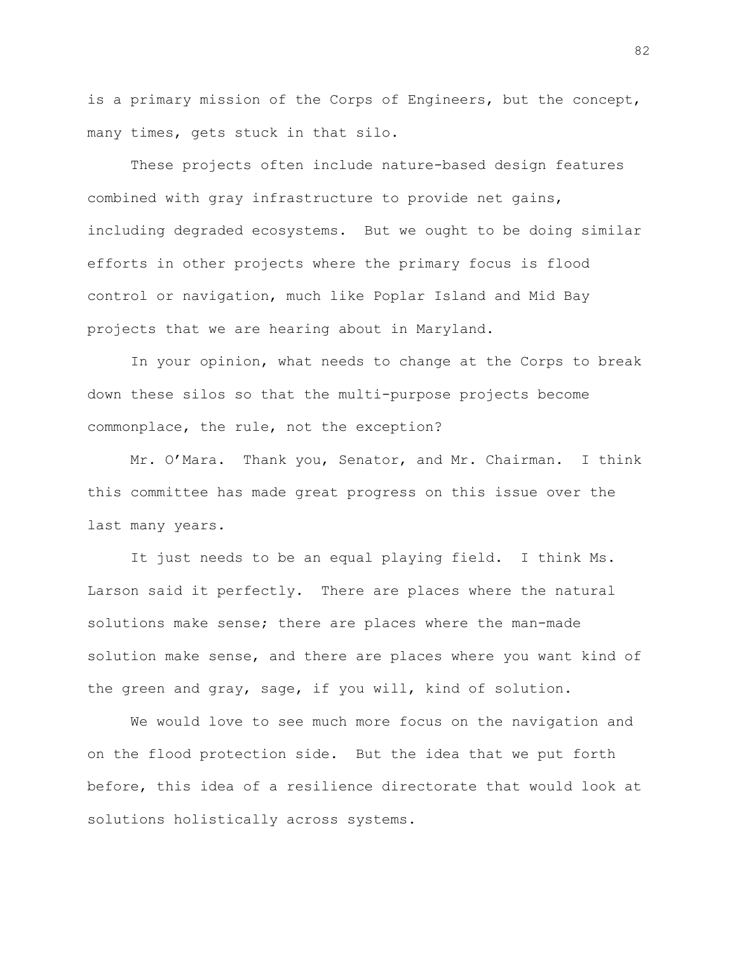is a primary mission of the Corps of Engineers, but the concept, many times, gets stuck in that silo.

These projects often include nature-based design features combined with gray infrastructure to provide net gains, including degraded ecosystems. But we ought to be doing similar efforts in other projects where the primary focus is flood control or navigation, much like Poplar Island and Mid Bay projects that we are hearing about in Maryland.

In your opinion, what needs to change at the Corps to break down these silos so that the multi-purpose projects become commonplace, the rule, not the exception?

Mr. O'Mara. Thank you, Senator, and Mr. Chairman. I think this committee has made great progress on this issue over the last many years.

It just needs to be an equal playing field. I think Ms. Larson said it perfectly. There are places where the natural solutions make sense; there are places where the man-made solution make sense, and there are places where you want kind of the green and gray, sage, if you will, kind of solution.

We would love to see much more focus on the navigation and on the flood protection side. But the idea that we put forth before, this idea of a resilience directorate that would look at solutions holistically across systems.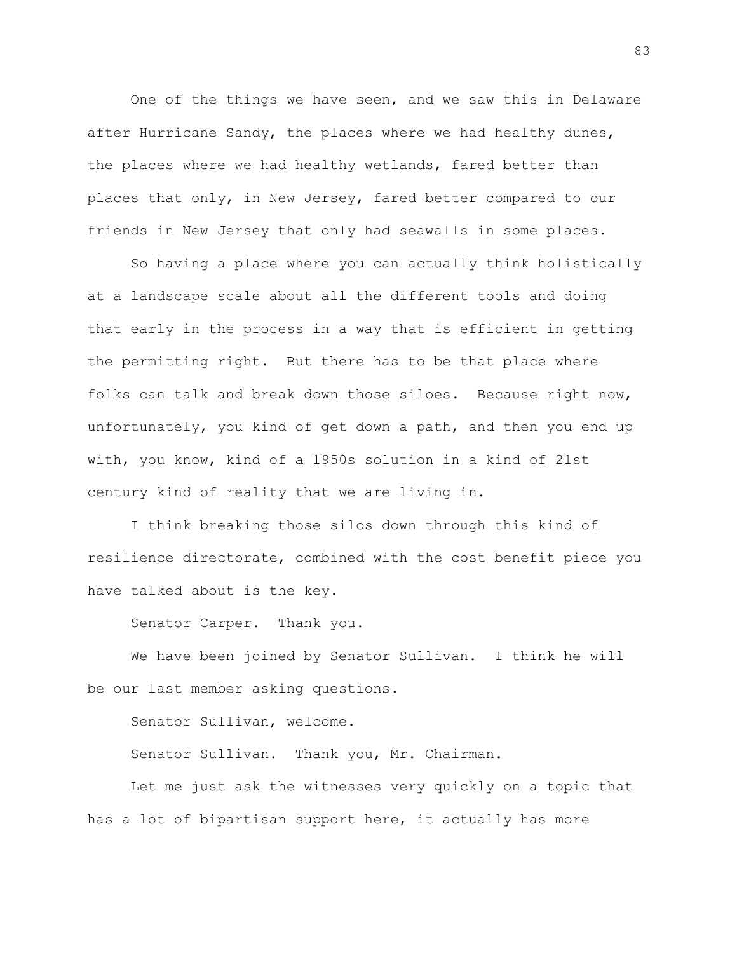One of the things we have seen, and we saw this in Delaware after Hurricane Sandy, the places where we had healthy dunes, the places where we had healthy wetlands, fared better than places that only, in New Jersey, fared better compared to our friends in New Jersey that only had seawalls in some places.

So having a place where you can actually think holistically at a landscape scale about all the different tools and doing that early in the process in a way that is efficient in getting the permitting right. But there has to be that place where folks can talk and break down those siloes. Because right now, unfortunately, you kind of get down a path, and then you end up with, you know, kind of a 1950s solution in a kind of 21st century kind of reality that we are living in.

I think breaking those silos down through this kind of resilience directorate, combined with the cost benefit piece you have talked about is the key.

Senator Carper. Thank you.

We have been joined by Senator Sullivan. I think he will be our last member asking questions.

Senator Sullivan, welcome.

Senator Sullivan. Thank you, Mr. Chairman.

Let me just ask the witnesses very quickly on a topic that has a lot of bipartisan support here, it actually has more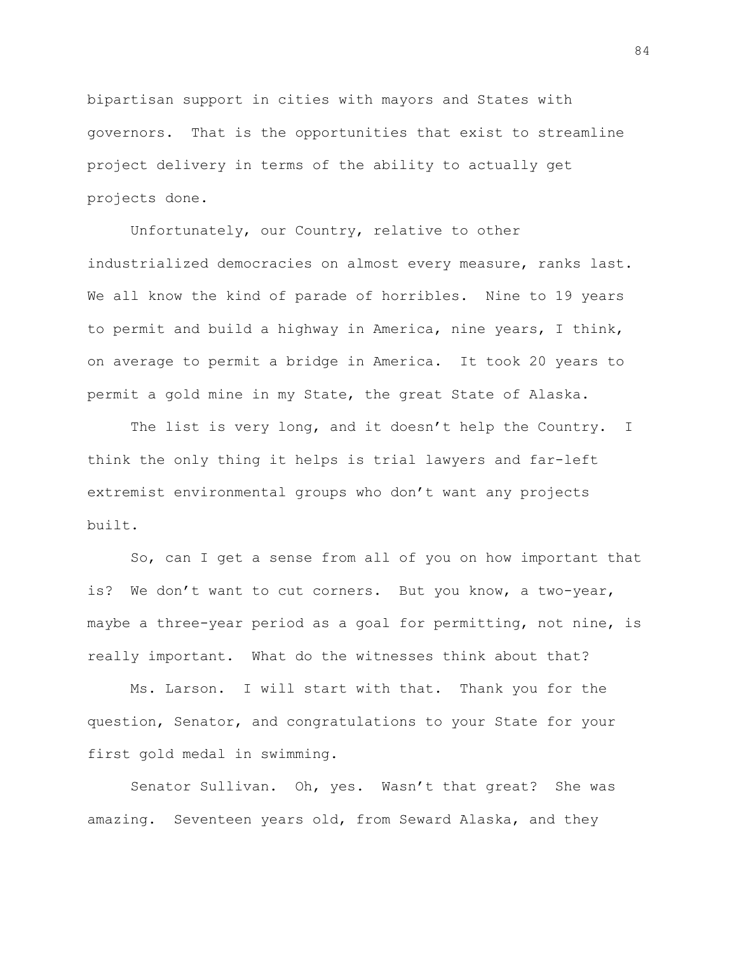bipartisan support in cities with mayors and States with governors. That is the opportunities that exist to streamline project delivery in terms of the ability to actually get projects done.

Unfortunately, our Country, relative to other industrialized democracies on almost every measure, ranks last. We all know the kind of parade of horribles. Nine to 19 years to permit and build a highway in America, nine years, I think, on average to permit a bridge in America. It took 20 years to permit a gold mine in my State, the great State of Alaska.

The list is very long, and it doesn't help the Country. I think the only thing it helps is trial lawyers and far-left extremist environmental groups who don't want any projects built.

So, can I get a sense from all of you on how important that is? We don't want to cut corners. But you know, a two-year, maybe a three-year period as a goal for permitting, not nine, is really important. What do the witnesses think about that?

Ms. Larson. I will start with that. Thank you for the question, Senator, and congratulations to your State for your first gold medal in swimming.

Senator Sullivan. Oh, yes. Wasn't that great? She was amazing. Seventeen years old, from Seward Alaska, and they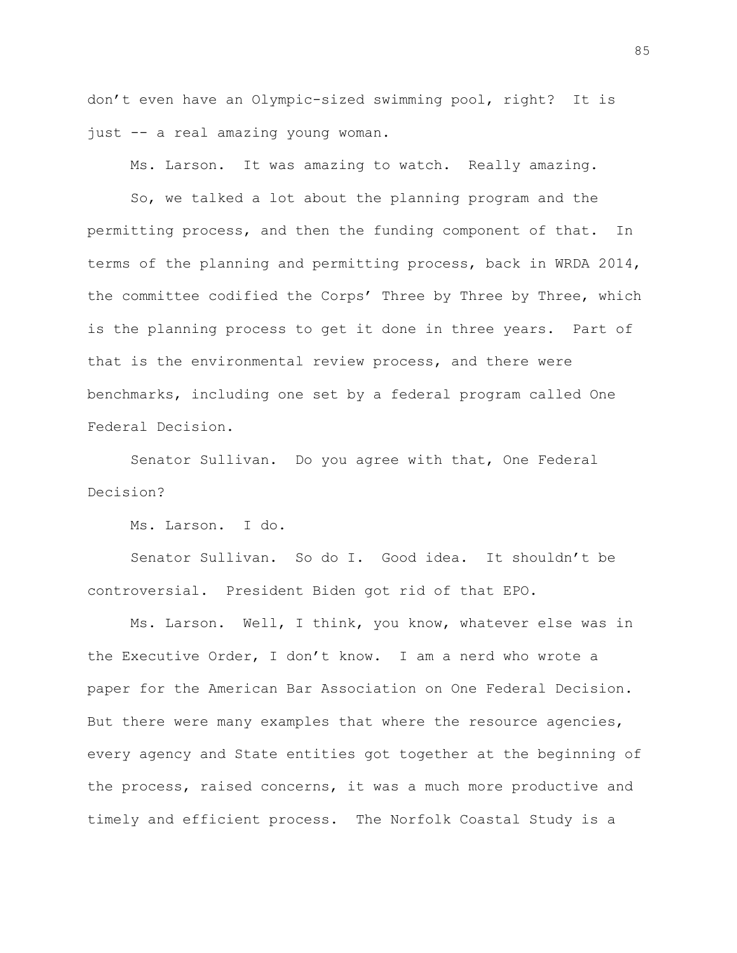don't even have an Olympic-sized swimming pool, right? It is just -- a real amazing young woman.

Ms. Larson. It was amazing to watch. Really amazing.

So, we talked a lot about the planning program and the permitting process, and then the funding component of that. In terms of the planning and permitting process, back in WRDA 2014, the committee codified the Corps' Three by Three by Three, which is the planning process to get it done in three years. Part of that is the environmental review process, and there were benchmarks, including one set by a federal program called One Federal Decision.

Senator Sullivan. Do you agree with that, One Federal Decision?

Ms. Larson. I do.

Senator Sullivan. So do I. Good idea. It shouldn't be controversial. President Biden got rid of that EPO.

Ms. Larson. Well, I think, you know, whatever else was in the Executive Order, I don't know. I am a nerd who wrote a paper for the American Bar Association on One Federal Decision. But there were many examples that where the resource agencies, every agency and State entities got together at the beginning of the process, raised concerns, it was a much more productive and timely and efficient process. The Norfolk Coastal Study is a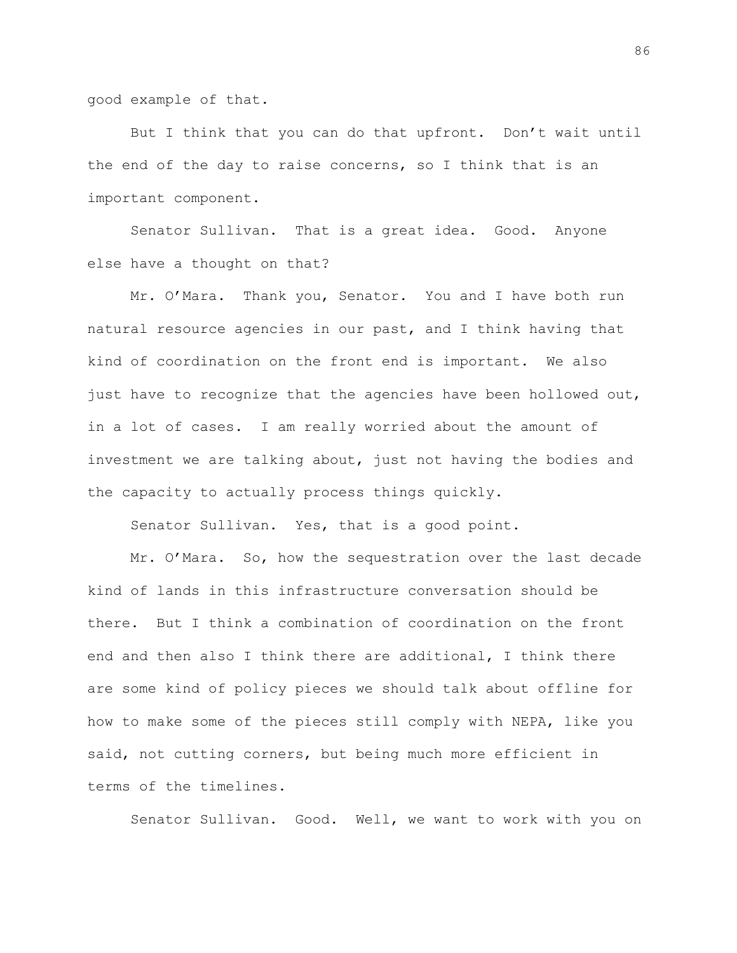good example of that.

But I think that you can do that upfront. Don't wait until the end of the day to raise concerns, so I think that is an important component.

Senator Sullivan. That is a great idea. Good. Anyone else have a thought on that?

Mr. O'Mara. Thank you, Senator. You and I have both run natural resource agencies in our past, and I think having that kind of coordination on the front end is important. We also just have to recognize that the agencies have been hollowed out, in a lot of cases. I am really worried about the amount of investment we are talking about, just not having the bodies and the capacity to actually process things quickly.

Senator Sullivan. Yes, that is a good point.

Mr. O'Mara. So, how the sequestration over the last decade kind of lands in this infrastructure conversation should be there. But I think a combination of coordination on the front end and then also I think there are additional, I think there are some kind of policy pieces we should talk about offline for how to make some of the pieces still comply with NEPA, like you said, not cutting corners, but being much more efficient in terms of the timelines.

Senator Sullivan. Good. Well, we want to work with you on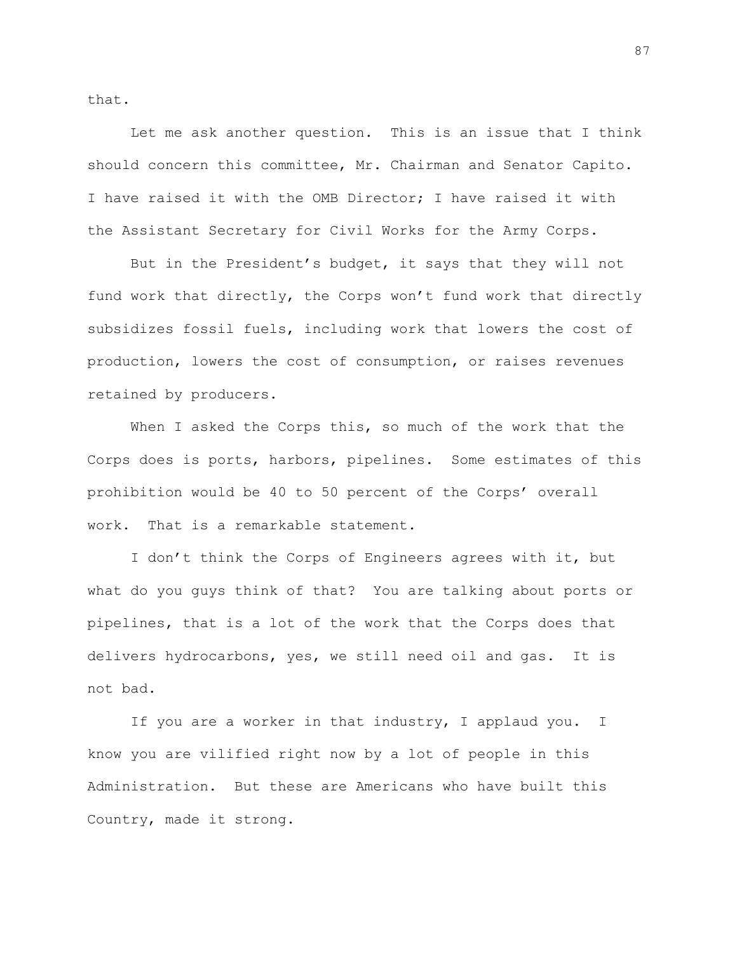that.

Let me ask another question. This is an issue that I think should concern this committee, Mr. Chairman and Senator Capito. I have raised it with the OMB Director; I have raised it with the Assistant Secretary for Civil Works for the Army Corps.

But in the President's budget, it says that they will not fund work that directly, the Corps won't fund work that directly subsidizes fossil fuels, including work that lowers the cost of production, lowers the cost of consumption, or raises revenues retained by producers.

When I asked the Corps this, so much of the work that the Corps does is ports, harbors, pipelines. Some estimates of this prohibition would be 40 to 50 percent of the Corps' overall work. That is a remarkable statement.

I don't think the Corps of Engineers agrees with it, but what do you guys think of that? You are talking about ports or pipelines, that is a lot of the work that the Corps does that delivers hydrocarbons, yes, we still need oil and gas. It is not bad.

If you are a worker in that industry, I applaud you. I know you are vilified right now by a lot of people in this Administration. But these are Americans who have built this Country, made it strong.

87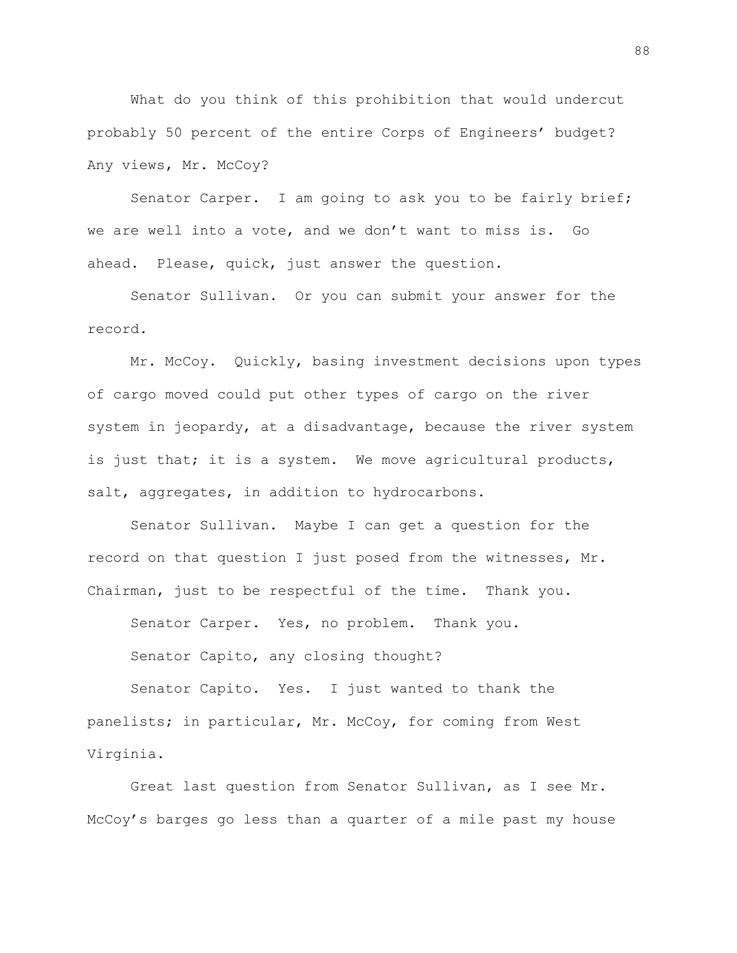What do you think of this prohibition that would undercut probably 50 percent of the entire Corps of Engineers' budget? Any views, Mr. McCoy?

Senator Carper. I am going to ask you to be fairly brief; we are well into a vote, and we don't want to miss is. Go ahead. Please, quick, just answer the question.

Senator Sullivan. Or you can submit your answer for the record.

Mr. McCoy. Quickly, basing investment decisions upon types of cargo moved could put other types of cargo on the river system in jeopardy, at a disadvantage, because the river system is just that; it is a system. We move agricultural products, salt, aggregates, in addition to hydrocarbons.

Senator Sullivan. Maybe I can get a question for the record on that question I just posed from the witnesses, Mr. Chairman, just to be respectful of the time. Thank you.

Senator Carper. Yes, no problem. Thank you.

Senator Capito, any closing thought?

Senator Capito. Yes. I just wanted to thank the panelists; in particular, Mr. McCoy, for coming from West Virginia.

Great last question from Senator Sullivan, as I see Mr. McCoy's barges go less than a quarter of a mile past my house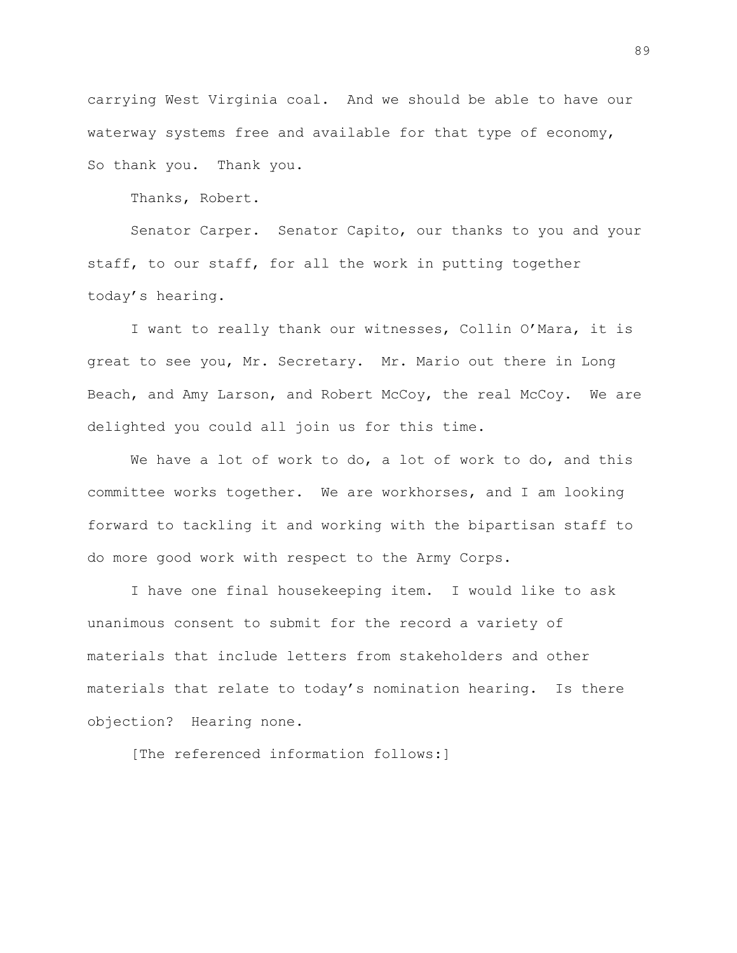carrying West Virginia coal. And we should be able to have our waterway systems free and available for that type of economy, So thank you. Thank you.

Thanks, Robert.

Senator Carper. Senator Capito, our thanks to you and your staff, to our staff, for all the work in putting together today's hearing.

I want to really thank our witnesses, Collin O'Mara, it is great to see you, Mr. Secretary. Mr. Mario out there in Long Beach, and Amy Larson, and Robert McCoy, the real McCoy. We are delighted you could all join us for this time.

We have a lot of work to do, a lot of work to do, and this committee works together. We are workhorses, and I am looking forward to tackling it and working with the bipartisan staff to do more good work with respect to the Army Corps.

I have one final housekeeping item. I would like to ask unanimous consent to submit for the record a variety of materials that include letters from stakeholders and other materials that relate to today's nomination hearing. Is there objection? Hearing none.

[The referenced information follows:]